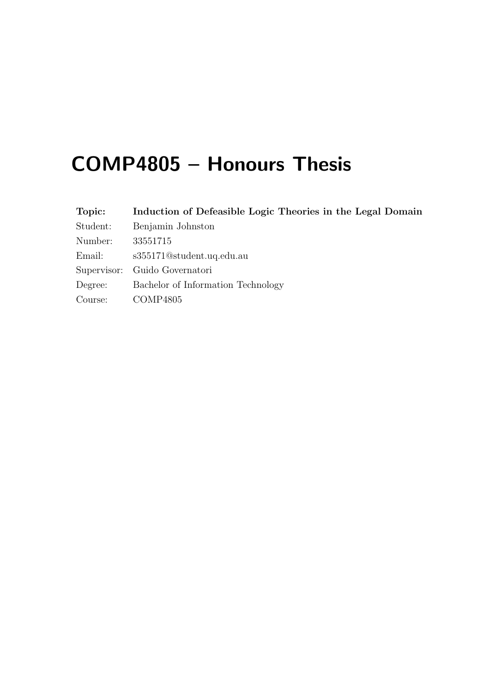# COMP4805 – Honours Thesis

| Topic:   | Induction of Defeasible Logic Theories in the Legal Domain |  |  |  |
|----------|------------------------------------------------------------|--|--|--|
| Student: | Benjamin Johnston                                          |  |  |  |
| Number:  | 33551715                                                   |  |  |  |
| Email:   | s355171@student.uq.edu.au                                  |  |  |  |
|          | Supervisor: Guido Governatori                              |  |  |  |
| Degree:  | Bachelor of Information Technology                         |  |  |  |
| Course:  | COMP4805                                                   |  |  |  |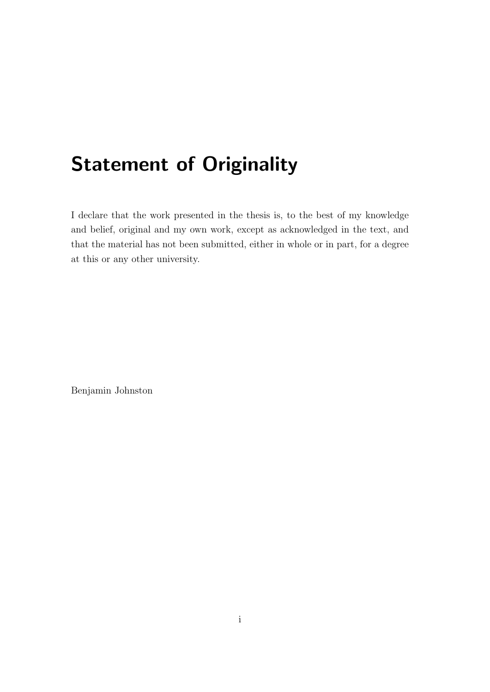# Statement of Originality

I declare that the work presented in the thesis is, to the best of my knowledge and belief, original and my own work, except as acknowledged in the text, and that the material has not been submitted, either in whole or in part, for a degree at this or any other university.

Benjamin Johnston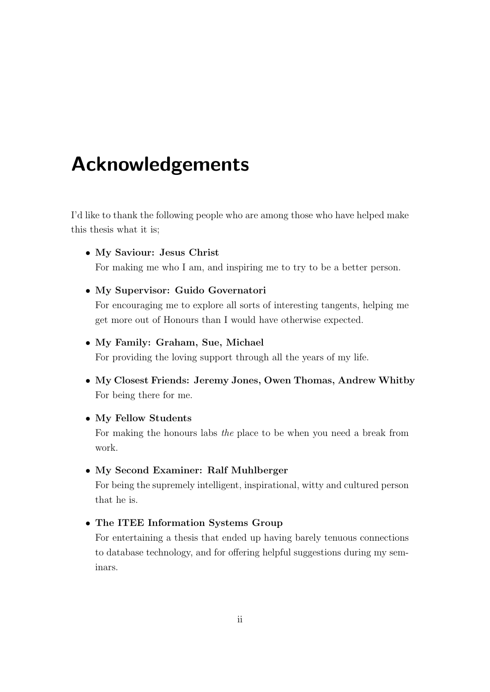# Acknowledgements

I'd like to thank the following people who are among those who have helped make this thesis what it is;

#### • My Saviour: Jesus Christ

For making me who I am, and inspiring me to try to be a better person.

#### • My Supervisor: Guido Governatori

For encouraging me to explore all sorts of interesting tangents, helping me get more out of Honours than I would have otherwise expected.

#### • My Family: Graham, Sue, Michael

For providing the loving support through all the years of my life.

• My Closest Friends: Jeremy Jones, Owen Thomas, Andrew Whitby For being there for me.

#### • My Fellow Students

For making the honours labs the place to be when you need a break from work.

#### • My Second Examiner: Ralf Muhlberger

For being the supremely intelligent, inspirational, witty and cultured person that he is.

#### • The ITEE Information Systems Group

For entertaining a thesis that ended up having barely tenuous connections to database technology, and for offering helpful suggestions during my seminars.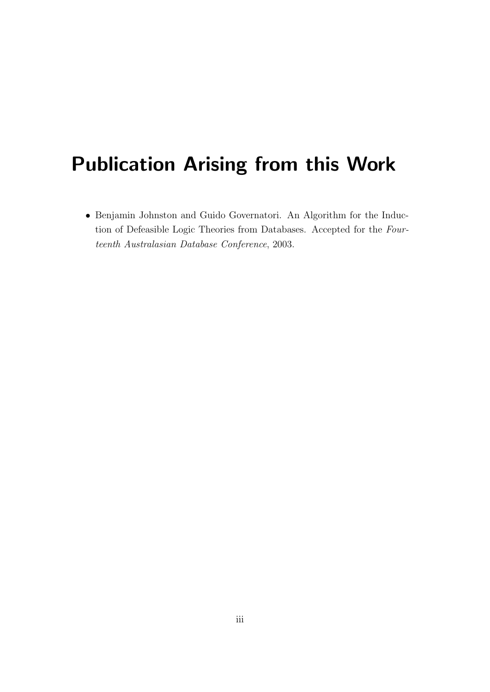# Publication Arising from this Work

• Benjamin Johnston and Guido Governatori. An Algorithm for the Induction of Defeasible Logic Theories from Databases. Accepted for the Fourteenth Australasian Database Conference, 2003.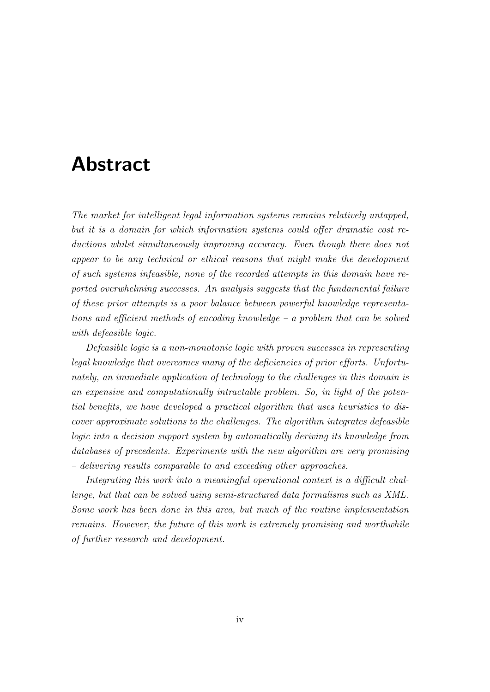## Abstract

The market for intelligent legal information systems remains relatively untapped, but it is a domain for which information systems could offer dramatic cost reductions whilst simultaneously improving accuracy. Even though there does not appear to be any technical or ethical reasons that might make the development of such systems infeasible, none of the recorded attempts in this domain have reported overwhelming successes. An analysis suggests that the fundamental failure of these prior attempts is a poor balance between powerful knowledge representations and efficient methods of encoding knowledge – a problem that can be solved with defeasible logic.

Defeasible logic is a non-monotonic logic with proven successes in representing legal knowledge that overcomes many of the deficiencies of prior efforts. Unfortunately, an immediate application of technology to the challenges in this domain is an expensive and computationally intractable problem. So, in light of the potential benefits, we have developed a practical algorithm that uses heuristics to discover approximate solutions to the challenges. The algorithm integrates defeasible logic into a decision support system by automatically deriving its knowledge from databases of precedents. Experiments with the new algorithm are very promising – delivering results comparable to and exceeding other approaches.

Integrating this work into a meaningful operational context is a difficult challenge, but that can be solved using semi-structured data formalisms such as XML. Some work has been done in this area, but much of the routine implementation remains. However, the future of this work is extremely promising and worthwhile of further research and development.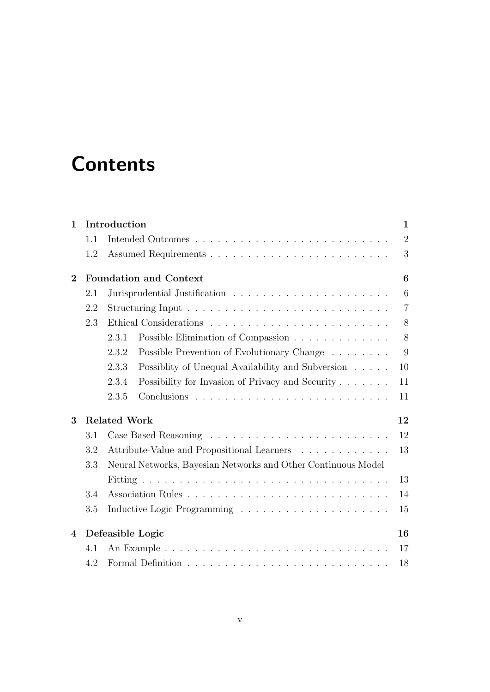# **Contents**

| Introduction<br>$\mathbf{1}$ |     |                                                               |                |  |  |  |  |
|------------------------------|-----|---------------------------------------------------------------|----------------|--|--|--|--|
|                              | 1.1 |                                                               | $\overline{2}$ |  |  |  |  |
|                              | 1.2 |                                                               | 3              |  |  |  |  |
| $\mathbf{2}$                 |     | <b>Foundation and Context</b>                                 | 6              |  |  |  |  |
|                              | 2.1 |                                                               | 6              |  |  |  |  |
|                              | 2.2 | $\overline{7}$                                                |                |  |  |  |  |
|                              | 2.3 |                                                               | 8              |  |  |  |  |
|                              |     | Possible Elimination of Compassion<br>2.3.1                   | 8              |  |  |  |  |
|                              |     | Possible Prevention of Evolutionary Change<br>2.3.2           | 9              |  |  |  |  |
|                              |     | Possiblity of Unequal Availability and Subversion<br>2.3.3    | 10             |  |  |  |  |
|                              |     | 2.3.4<br>Possibility for Invasion of Privacy and Security     | 11             |  |  |  |  |
|                              |     | 2.3.5                                                         | 11             |  |  |  |  |
| 3                            |     | <b>Related Work</b>                                           | 12             |  |  |  |  |
|                              | 3.1 |                                                               | 12             |  |  |  |  |
|                              | 3.2 | 13<br>Attribute-Value and Propositional Learners              |                |  |  |  |  |
|                              | 3.3 | Neural Networks, Bayesian Networks and Other Continuous Model |                |  |  |  |  |
|                              |     | 13                                                            |                |  |  |  |  |
|                              | 3.4 | 14                                                            |                |  |  |  |  |
|                              | 3.5 |                                                               | 15             |  |  |  |  |
| $\overline{4}$               |     | Defeasible Logic                                              | 16             |  |  |  |  |
|                              | 4.1 |                                                               | 17             |  |  |  |  |
|                              | 4.2 |                                                               | 18             |  |  |  |  |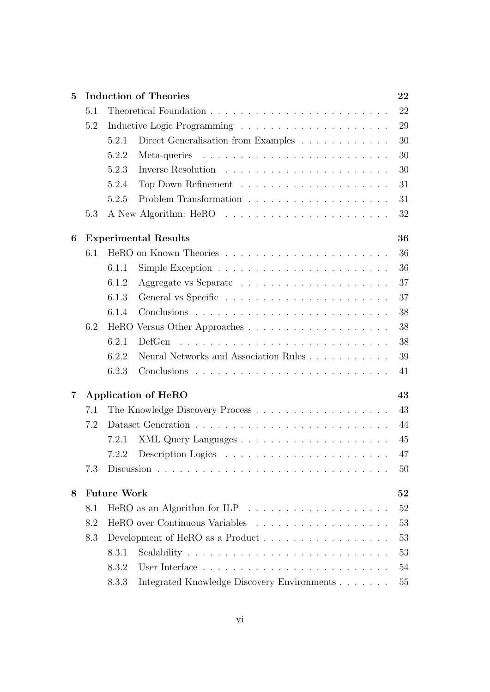| $\overline{5}$ |     | <b>Induction of Theories</b><br>22                                      |    |  |  |  |
|----------------|-----|-------------------------------------------------------------------------|----|--|--|--|
|                | 5.1 |                                                                         | 22 |  |  |  |
|                | 5.2 |                                                                         | 29 |  |  |  |
|                |     | Direct Generalisation from Examples<br>5.2.1                            | 30 |  |  |  |
|                |     | 5.2.2                                                                   | 30 |  |  |  |
|                |     | 5.2.3                                                                   | 30 |  |  |  |
|                |     | 5.2.4                                                                   | 31 |  |  |  |
|                |     | 5.2.5                                                                   | 31 |  |  |  |
|                | 5.3 |                                                                         | 32 |  |  |  |
| 6              |     | <b>Experimental Results</b>                                             | 36 |  |  |  |
|                | 6.1 |                                                                         | 36 |  |  |  |
|                |     | 6.1.1                                                                   | 36 |  |  |  |
|                |     | 6.1.2                                                                   | 37 |  |  |  |
|                |     | 6.1.3                                                                   | 37 |  |  |  |
|                |     | 6.1.4                                                                   | 38 |  |  |  |
|                | 6.2 |                                                                         | 38 |  |  |  |
|                |     | 6.2.1<br>DefGen                                                         | 38 |  |  |  |
|                |     | Neural Networks and Association Rules<br>6.2.2                          | 39 |  |  |  |
|                |     | 6.2.3                                                                   | 41 |  |  |  |
| 7              |     | <b>Application of HeRO</b>                                              | 43 |  |  |  |
|                | 7.1 |                                                                         | 43 |  |  |  |
|                | 7.2 |                                                                         | 44 |  |  |  |
|                |     | 7.2.1                                                                   | 45 |  |  |  |
|                |     | 7.2.2<br>Description Logics $\dots \dots \dots \dots \dots \dots \dots$ | 47 |  |  |  |
|                | 7.3 |                                                                         | 50 |  |  |  |
| 8              |     | <b>Future Work</b>                                                      | 52 |  |  |  |
|                | 8.1 |                                                                         | 52 |  |  |  |
|                | 8.2 |                                                                         | 53 |  |  |  |
|                | 8.3 | Development of HeRO as a Product                                        | 53 |  |  |  |
|                |     | 8.3.1                                                                   | 53 |  |  |  |
|                |     | 8.3.2                                                                   | 54 |  |  |  |
|                |     | Integrated Knowledge Discovery Environments<br>8.3.3                    | 55 |  |  |  |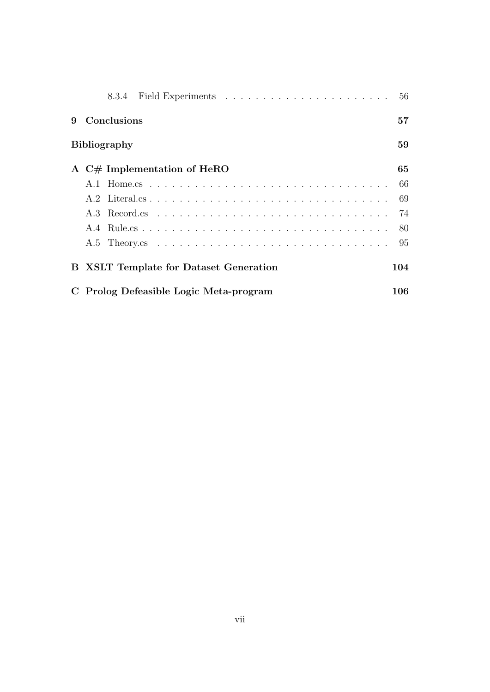| 9 | Conclusions                                   | 57      |
|---|-----------------------------------------------|---------|
|   | <b>Bibliography</b>                           | 59      |
|   | A $C#$ Implementation of HeRO                 | 65      |
|   |                                               | -66     |
|   |                                               | -69     |
|   |                                               |         |
|   |                                               | 80      |
|   |                                               | -95     |
|   | <b>B</b> XSLT Template for Dataset Generation | 104     |
|   | C Prolog Defeasible Logic Meta-program        | $106\,$ |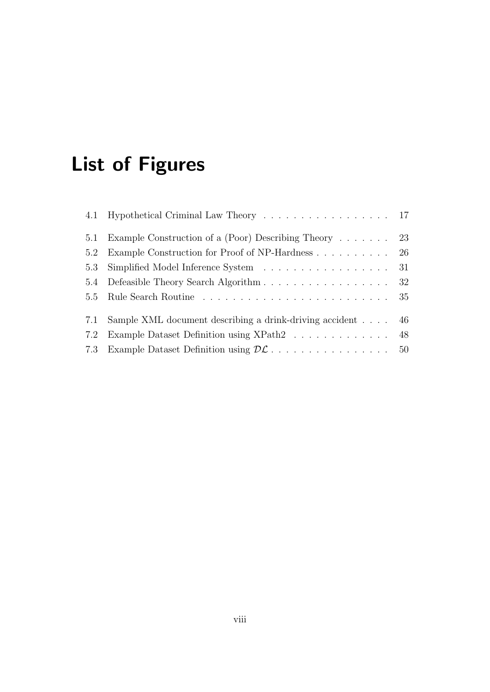# List of Figures

|     | 4.1 Hypothetical Criminal Law Theory 17                     |    |
|-----|-------------------------------------------------------------|----|
|     | 5.1 Example Construction of a (Poor) Describing Theory 23   |    |
|     | 5.2 Example Construction for Proof of NP-Hardness 26        |    |
|     | 5.3 Simplified Model Inference System 31                    |    |
|     | 5.4 Defeasible Theory Search Algorithm 32                   |    |
|     |                                                             |    |
|     | 7.1 Sample XML document describing a drink-driving accident | 46 |
| 7.2 | Example Dataset Definition using XPath2 48                  |    |
|     |                                                             |    |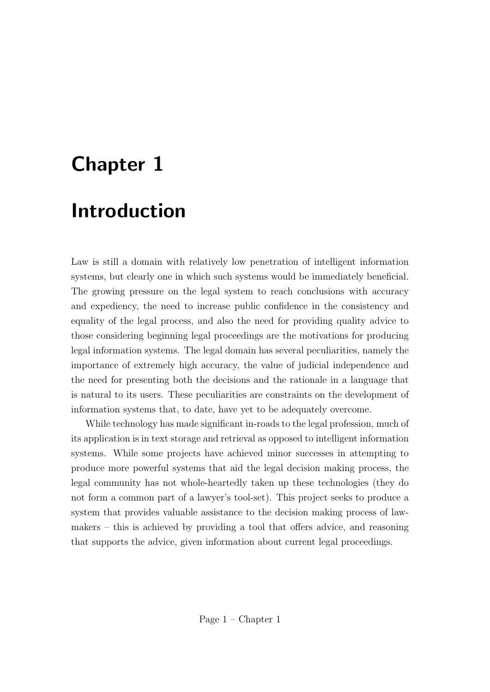# Chapter 1 Introduction

Law is still a domain with relatively low penetration of intelligent information systems, but clearly one in which such systems would be immediately beneficial. The growing pressure on the legal system to reach conclusions with accuracy and expediency, the need to increase public confidence in the consistency and equality of the legal process, and also the need for providing quality advice to those considering beginning legal proceedings are the motivations for producing legal information systems. The legal domain has several peculiarities, namely the importance of extremely high accuracy, the value of judicial independence and the need for presenting both the decisions and the rationale in a language that is natural to its users. These peculiarities are constraints on the development of information systems that, to date, have yet to be adequately overcome.

While technology has made significant in-roads to the legal profession, much of its application is in text storage and retrieval as opposed to intelligent information systems. While some projects have achieved minor successes in attempting to produce more powerful systems that aid the legal decision making process, the legal community has not whole-heartedly taken up these technologies (they do not form a common part of a lawyer's tool-set). This project seeks to produce a system that provides valuable assistance to the decision making process of lawmakers – this is achieved by providing a tool that offers advice, and reasoning that supports the advice, given information about current legal proceedings.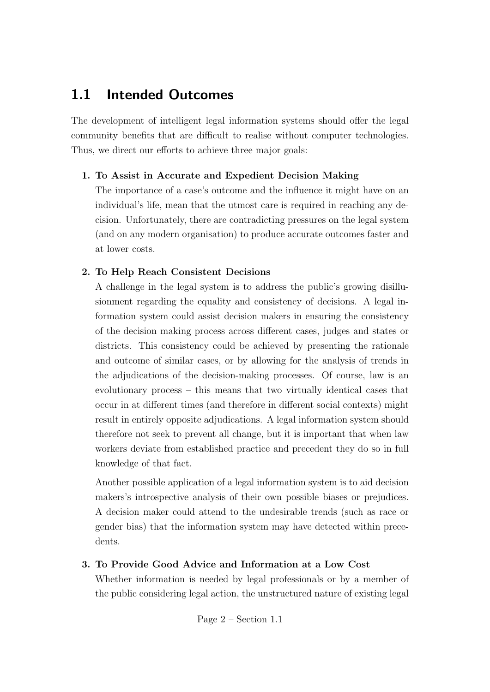### 1.1 Intended Outcomes

The development of intelligent legal information systems should offer the legal community benefits that are difficult to realise without computer technologies. Thus, we direct our efforts to achieve three major goals:

#### 1. To Assist in Accurate and Expedient Decision Making

The importance of a case's outcome and the influence it might have on an individual's life, mean that the utmost care is required in reaching any decision. Unfortunately, there are contradicting pressures on the legal system (and on any modern organisation) to produce accurate outcomes faster and at lower costs.

#### 2. To Help Reach Consistent Decisions

A challenge in the legal system is to address the public's growing disillusionment regarding the equality and consistency of decisions. A legal information system could assist decision makers in ensuring the consistency of the decision making process across different cases, judges and states or districts. This consistency could be achieved by presenting the rationale and outcome of similar cases, or by allowing for the analysis of trends in the adjudications of the decision-making processes. Of course, law is an evolutionary process – this means that two virtually identical cases that occur in at different times (and therefore in different social contexts) might result in entirely opposite adjudications. A legal information system should therefore not seek to prevent all change, but it is important that when law workers deviate from established practice and precedent they do so in full knowledge of that fact.

Another possible application of a legal information system is to aid decision makers's introspective analysis of their own possible biases or prejudices. A decision maker could attend to the undesirable trends (such as race or gender bias) that the information system may have detected within precedents.

#### 3. To Provide Good Advice and Information at a Low Cost

Whether information is needed by legal professionals or by a member of the public considering legal action, the unstructured nature of existing legal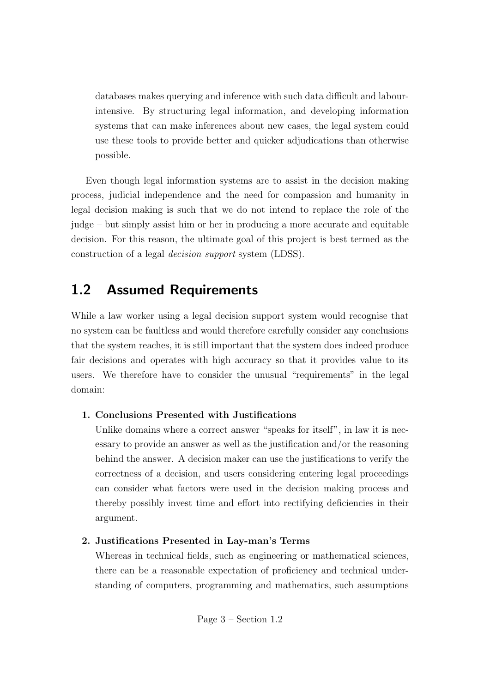databases makes querying and inference with such data difficult and labourintensive. By structuring legal information, and developing information systems that can make inferences about new cases, the legal system could use these tools to provide better and quicker adjudications than otherwise possible.

Even though legal information systems are to assist in the decision making process, judicial independence and the need for compassion and humanity in legal decision making is such that we do not intend to replace the role of the judge – but simply assist him or her in producing a more accurate and equitable decision. For this reason, the ultimate goal of this project is best termed as the construction of a legal decision support system (LDSS).

### 1.2 Assumed Requirements

While a law worker using a legal decision support system would recognise that no system can be faultless and would therefore carefully consider any conclusions that the system reaches, it is still important that the system does indeed produce fair decisions and operates with high accuracy so that it provides value to its users. We therefore have to consider the unusual "requirements" in the legal domain:

#### 1. Conclusions Presented with Justifications

Unlike domains where a correct answer "speaks for itself", in law it is necessary to provide an answer as well as the justification and/or the reasoning behind the answer. A decision maker can use the justifications to verify the correctness of a decision, and users considering entering legal proceedings can consider what factors were used in the decision making process and thereby possibly invest time and effort into rectifying deficiencies in their argument.

#### 2. Justifications Presented in Lay-man's Terms

Whereas in technical fields, such as engineering or mathematical sciences, there can be a reasonable expectation of proficiency and technical understanding of computers, programming and mathematics, such assumptions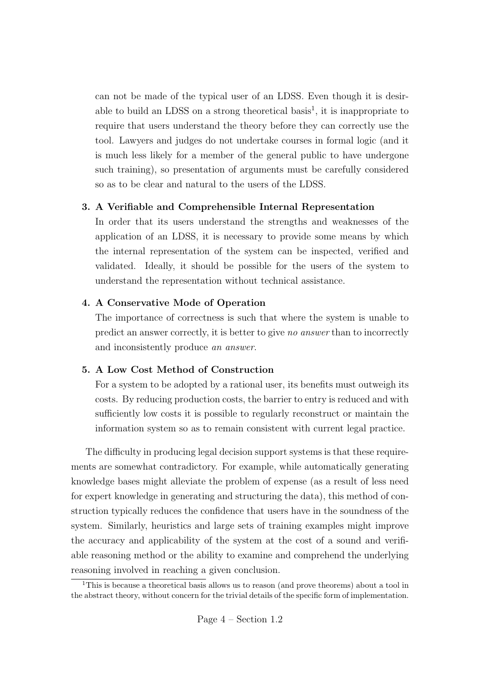can not be made of the typical user of an LDSS. Even though it is desirable to build an LDSS on a strong theoretical basis<sup>1</sup>, it is inappropriate to require that users understand the theory before they can correctly use the tool. Lawyers and judges do not undertake courses in formal logic (and it is much less likely for a member of the general public to have undergone such training), so presentation of arguments must be carefully considered so as to be clear and natural to the users of the LDSS.

#### 3. A Verifiable and Comprehensible Internal Representation

In order that its users understand the strengths and weaknesses of the application of an LDSS, it is necessary to provide some means by which the internal representation of the system can be inspected, verified and validated. Ideally, it should be possible for the users of the system to understand the representation without technical assistance.

#### 4. A Conservative Mode of Operation

The importance of correctness is such that where the system is unable to predict an answer correctly, it is better to give no answer than to incorrectly and inconsistently produce an answer.

#### 5. A Low Cost Method of Construction

For a system to be adopted by a rational user, its benefits must outweigh its costs. By reducing production costs, the barrier to entry is reduced and with sufficiently low costs it is possible to regularly reconstruct or maintain the information system so as to remain consistent with current legal practice.

The difficulty in producing legal decision support systems is that these requirements are somewhat contradictory. For example, while automatically generating knowledge bases might alleviate the problem of expense (as a result of less need for expert knowledge in generating and structuring the data), this method of construction typically reduces the confidence that users have in the soundness of the system. Similarly, heuristics and large sets of training examples might improve the accuracy and applicability of the system at the cost of a sound and verifiable reasoning method or the ability to examine and comprehend the underlying reasoning involved in reaching a given conclusion.

<sup>&</sup>lt;sup>1</sup>This is because a theoretical basis allows us to reason (and prove theorems) about a tool in the abstract theory, without concern for the trivial details of the specific form of implementation.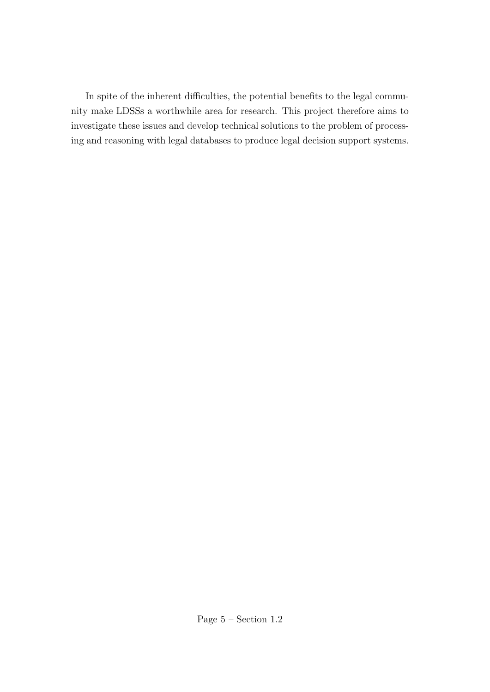In spite of the inherent difficulties, the potential benefits to the legal community make LDSSs a worthwhile area for research. This project therefore aims to investigate these issues and develop technical solutions to the problem of processing and reasoning with legal databases to produce legal decision support systems.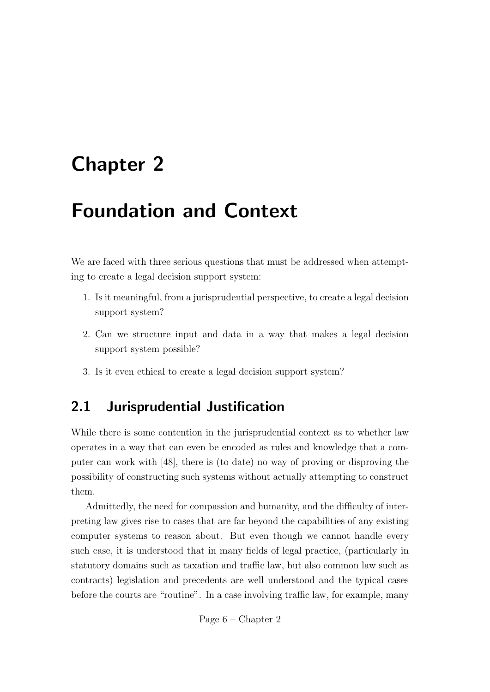# Chapter 2

# Foundation and Context

We are faced with three serious questions that must be addressed when attempting to create a legal decision support system:

- 1. Is it meaningful, from a jurisprudential perspective, to create a legal decision support system?
- 2. Can we structure input and data in a way that makes a legal decision support system possible?
- 3. Is it even ethical to create a legal decision support system?

### 2.1 Jurisprudential Justification

While there is some contention in the jurisprudential context as to whether law operates in a way that can even be encoded as rules and knowledge that a computer can work with [48], there is (to date) no way of proving or disproving the possibility of constructing such systems without actually attempting to construct them.

Admittedly, the need for compassion and humanity, and the difficulty of interpreting law gives rise to cases that are far beyond the capabilities of any existing computer systems to reason about. But even though we cannot handle every such case, it is understood that in many fields of legal practice, (particularly in statutory domains such as taxation and traffic law, but also common law such as contracts) legislation and precedents are well understood and the typical cases before the courts are "routine". In a case involving traffic law, for example, many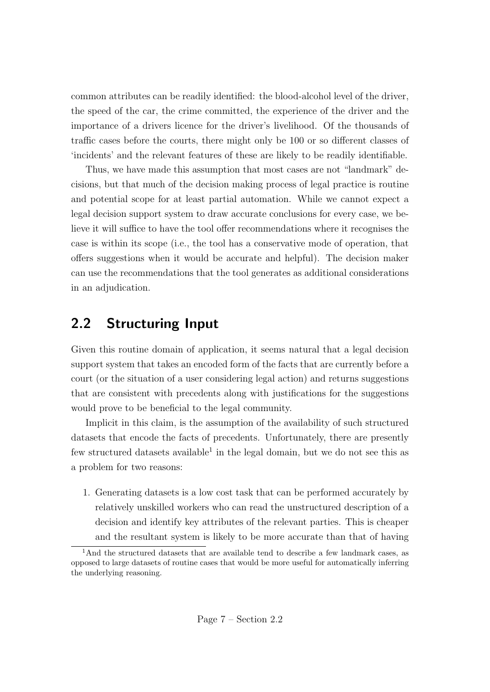common attributes can be readily identified: the blood-alcohol level of the driver, the speed of the car, the crime committed, the experience of the driver and the importance of a drivers licence for the driver's livelihood. Of the thousands of traffic cases before the courts, there might only be 100 or so different classes of 'incidents' and the relevant features of these are likely to be readily identifiable.

Thus, we have made this assumption that most cases are not "landmark" decisions, but that much of the decision making process of legal practice is routine and potential scope for at least partial automation. While we cannot expect a legal decision support system to draw accurate conclusions for every case, we believe it will suffice to have the tool offer recommendations where it recognises the case is within its scope (i.e., the tool has a conservative mode of operation, that offers suggestions when it would be accurate and helpful). The decision maker can use the recommendations that the tool generates as additional considerations in an adjudication.

### 2.2 Structuring Input

Given this routine domain of application, it seems natural that a legal decision support system that takes an encoded form of the facts that are currently before a court (or the situation of a user considering legal action) and returns suggestions that are consistent with precedents along with justifications for the suggestions would prove to be beneficial to the legal community.

Implicit in this claim, is the assumption of the availability of such structured datasets that encode the facts of precedents. Unfortunately, there are presently few structured datasets available<sup>1</sup> in the legal domain, but we do not see this as a problem for two reasons:

1. Generating datasets is a low cost task that can be performed accurately by relatively unskilled workers who can read the unstructured description of a decision and identify key attributes of the relevant parties. This is cheaper and the resultant system is likely to be more accurate than that of having

<sup>&</sup>lt;sup>1</sup>And the structured datasets that are available tend to describe a few landmark cases, as opposed to large datasets of routine cases that would be more useful for automatically inferring the underlying reasoning.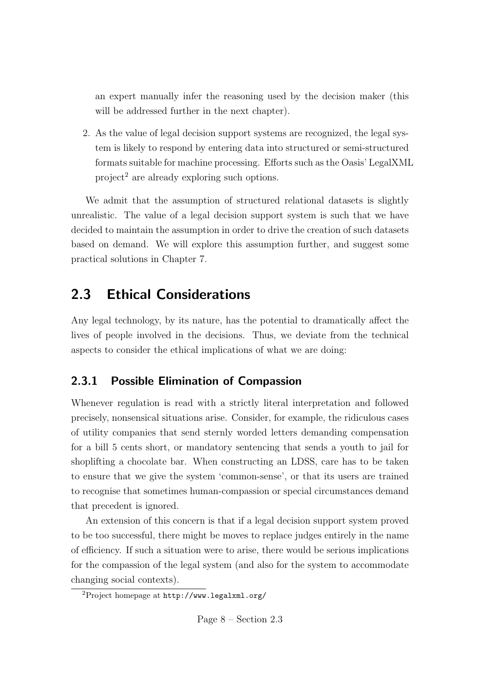an expert manually infer the reasoning used by the decision maker (this will be addressed further in the next chapter).

2. As the value of legal decision support systems are recognized, the legal system is likely to respond by entering data into structured or semi-structured formats suitable for machine processing. Efforts such as the Oasis' LegalXML project<sup>2</sup> are already exploring such options.

We admit that the assumption of structured relational datasets is slightly unrealistic. The value of a legal decision support system is such that we have decided to maintain the assumption in order to drive the creation of such datasets based on demand. We will explore this assumption further, and suggest some practical solutions in Chapter 7.

### 2.3 Ethical Considerations

Any legal technology, by its nature, has the potential to dramatically affect the lives of people involved in the decisions. Thus, we deviate from the technical aspects to consider the ethical implications of what we are doing:

### 2.3.1 Possible Elimination of Compassion

Whenever regulation is read with a strictly literal interpretation and followed precisely, nonsensical situations arise. Consider, for example, the ridiculous cases of utility companies that send sternly worded letters demanding compensation for a bill 5 cents short, or mandatory sentencing that sends a youth to jail for shoplifting a chocolate bar. When constructing an LDSS, care has to be taken to ensure that we give the system 'common-sense', or that its users are trained to recognise that sometimes human-compassion or special circumstances demand that precedent is ignored.

An extension of this concern is that if a legal decision support system proved to be too successful, there might be moves to replace judges entirely in the name of efficiency. If such a situation were to arise, there would be serious implications for the compassion of the legal system (and also for the system to accommodate changing social contexts).

Page 8 – Section 2.3

<sup>2</sup>Project homepage at http://www.legalxml.org/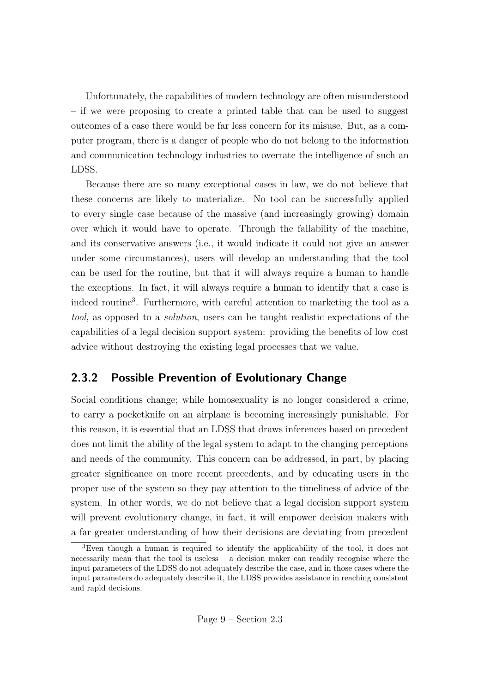Unfortunately, the capabilities of modern technology are often misunderstood – if we were proposing to create a printed table that can be used to suggest outcomes of a case there would be far less concern for its misuse. But, as a computer program, there is a danger of people who do not belong to the information and communication technology industries to overrate the intelligence of such an LDSS.

Because there are so many exceptional cases in law, we do not believe that these concerns are likely to materialize. No tool can be successfully applied to every single case because of the massive (and increasingly growing) domain over which it would have to operate. Through the fallability of the machine, and its conservative answers (i.e., it would indicate it could not give an answer under some circumstances), users will develop an understanding that the tool can be used for the routine, but that it will always require a human to handle the exceptions. In fact, it will always require a human to identify that a case is indeed routine<sup>3</sup> . Furthermore, with careful attention to marketing the tool as a tool, as opposed to a solution, users can be taught realistic expectations of the capabilities of a legal decision support system: providing the benefits of low cost advice without destroying the existing legal processes that we value.

#### 2.3.2 Possible Prevention of Evolutionary Change

Social conditions change; while homosexuality is no longer considered a crime, to carry a pocketknife on an airplane is becoming increasingly punishable. For this reason, it is essential that an LDSS that draws inferences based on precedent does not limit the ability of the legal system to adapt to the changing perceptions and needs of the community. This concern can be addressed, in part, by placing greater significance on more recent precedents, and by educating users in the proper use of the system so they pay attention to the timeliness of advice of the system. In other words, we do not believe that a legal decision support system will prevent evolutionary change, in fact, it will empower decision makers with a far greater understanding of how their decisions are deviating from precedent

<sup>3</sup>Even though a human is required to identify the applicability of the tool, it does not necessarily mean that the tool is useless – a decision maker can readily recognise where the input parameters of the LDSS do not adequately describe the case, and in those cases where the input parameters do adequately describe it, the LDSS provides assistance in reaching consistent and rapid decisions.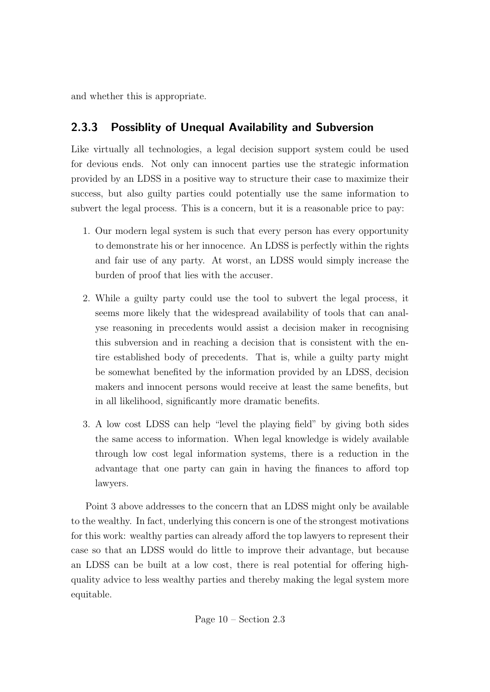and whether this is appropriate.

#### 2.3.3 Possiblity of Unequal Availability and Subversion

Like virtually all technologies, a legal decision support system could be used for devious ends. Not only can innocent parties use the strategic information provided by an LDSS in a positive way to structure their case to maximize their success, but also guilty parties could potentially use the same information to subvert the legal process. This is a concern, but it is a reasonable price to pay:

- 1. Our modern legal system is such that every person has every opportunity to demonstrate his or her innocence. An LDSS is perfectly within the rights and fair use of any party. At worst, an LDSS would simply increase the burden of proof that lies with the accuser.
- 2. While a guilty party could use the tool to subvert the legal process, it seems more likely that the widespread availability of tools that can analyse reasoning in precedents would assist a decision maker in recognising this subversion and in reaching a decision that is consistent with the entire established body of precedents. That is, while a guilty party might be somewhat benefited by the information provided by an LDSS, decision makers and innocent persons would receive at least the same benefits, but in all likelihood, significantly more dramatic benefits.
- 3. A low cost LDSS can help "level the playing field" by giving both sides the same access to information. When legal knowledge is widely available through low cost legal information systems, there is a reduction in the advantage that one party can gain in having the finances to afford top lawyers.

Point 3 above addresses to the concern that an LDSS might only be available to the wealthy. In fact, underlying this concern is one of the strongest motivations for this work: wealthy parties can already afford the top lawyers to represent their case so that an LDSS would do little to improve their advantage, but because an LDSS can be built at a low cost, there is real potential for offering highquality advice to less wealthy parties and thereby making the legal system more equitable.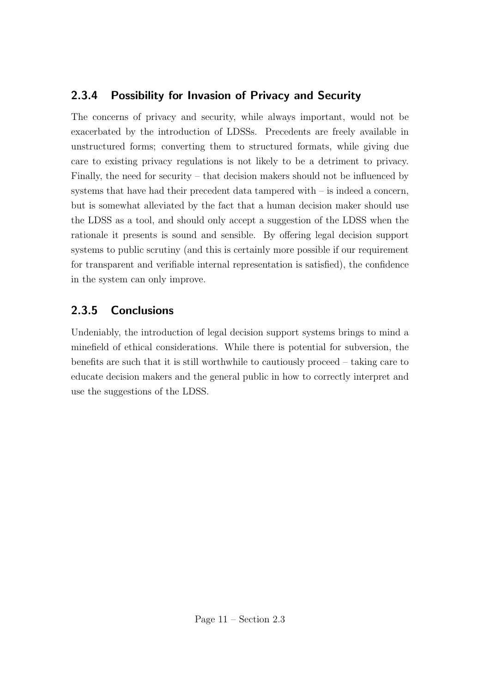### 2.3.4 Possibility for Invasion of Privacy and Security

The concerns of privacy and security, while always important, would not be exacerbated by the introduction of LDSSs. Precedents are freely available in unstructured forms; converting them to structured formats, while giving due care to existing privacy regulations is not likely to be a detriment to privacy. Finally, the need for security – that decision makers should not be influenced by systems that have had their precedent data tampered with  $-$  is indeed a concern, but is somewhat alleviated by the fact that a human decision maker should use the LDSS as a tool, and should only accept a suggestion of the LDSS when the rationale it presents is sound and sensible. By offering legal decision support systems to public scrutiny (and this is certainly more possible if our requirement for transparent and verifiable internal representation is satisfied), the confidence in the system can only improve.

### 2.3.5 Conclusions

Undeniably, the introduction of legal decision support systems brings to mind a minefield of ethical considerations. While there is potential for subversion, the benefits are such that it is still worthwhile to cautiously proceed – taking care to educate decision makers and the general public in how to correctly interpret and use the suggestions of the LDSS.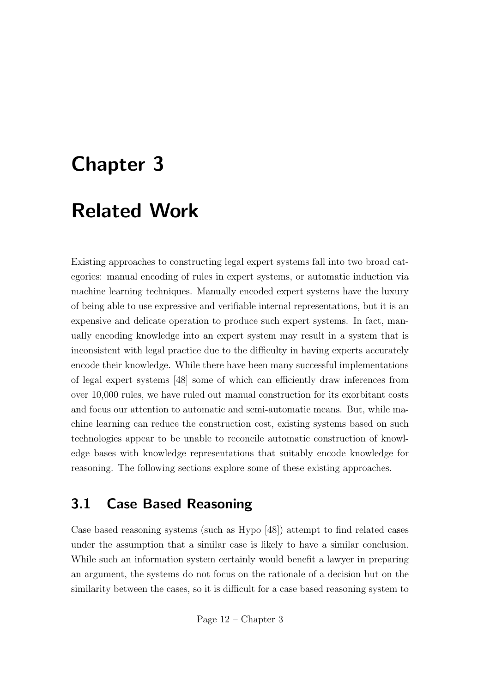# Chapter 3

# Related Work

Existing approaches to constructing legal expert systems fall into two broad categories: manual encoding of rules in expert systems, or automatic induction via machine learning techniques. Manually encoded expert systems have the luxury of being able to use expressive and verifiable internal representations, but it is an expensive and delicate operation to produce such expert systems. In fact, manually encoding knowledge into an expert system may result in a system that is inconsistent with legal practice due to the difficulty in having experts accurately encode their knowledge. While there have been many successful implementations of legal expert systems [48] some of which can efficiently draw inferences from over 10,000 rules, we have ruled out manual construction for its exorbitant costs and focus our attention to automatic and semi-automatic means. But, while machine learning can reduce the construction cost, existing systems based on such technologies appear to be unable to reconcile automatic construction of knowledge bases with knowledge representations that suitably encode knowledge for reasoning. The following sections explore some of these existing approaches.

### 3.1 Case Based Reasoning

Case based reasoning systems (such as Hypo [48]) attempt to find related cases under the assumption that a similar case is likely to have a similar conclusion. While such an information system certainly would benefit a lawyer in preparing an argument, the systems do not focus on the rationale of a decision but on the similarity between the cases, so it is difficult for a case based reasoning system to

Page 12 – Chapter 3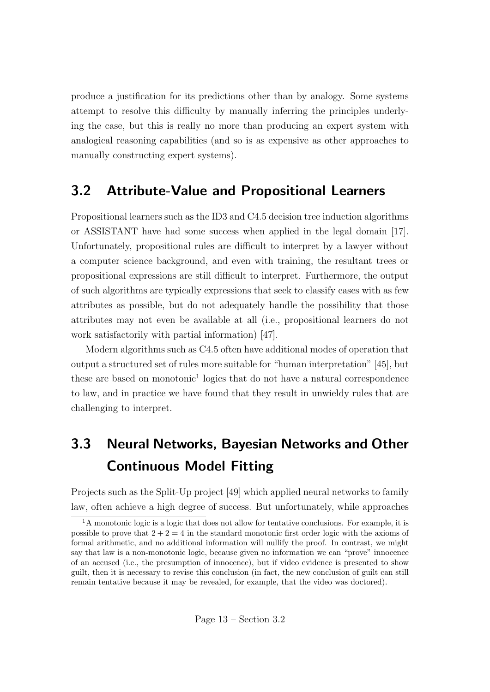produce a justification for its predictions other than by analogy. Some systems attempt to resolve this difficulty by manually inferring the principles underlying the case, but this is really no more than producing an expert system with analogical reasoning capabilities (and so is as expensive as other approaches to manually constructing expert systems).

### 3.2 Attribute-Value and Propositional Learners

Propositional learners such as the ID3 and C4.5 decision tree induction algorithms or ASSISTANT have had some success when applied in the legal domain [17]. Unfortunately, propositional rules are difficult to interpret by a lawyer without a computer science background, and even with training, the resultant trees or propositional expressions are still difficult to interpret. Furthermore, the output of such algorithms are typically expressions that seek to classify cases with as few attributes as possible, but do not adequately handle the possibility that those attributes may not even be available at all (i.e., propositional learners do not work satisfactorily with partial information) [47].

Modern algorithms such as C4.5 often have additional modes of operation that output a structured set of rules more suitable for "human interpretation" [45], but these are based on monotonic<sup>1</sup> logics that do not have a natural correspondence to law, and in practice we have found that they result in unwieldy rules that are challenging to interpret.

## 3.3 Neural Networks, Bayesian Networks and Other Continuous Model Fitting

Projects such as the Split-Up project [49] which applied neural networks to family law, often achieve a high degree of success. But unfortunately, while approaches

 $1_A$  monotonic logic is a logic that does not allow for tentative conclusions. For example, it is possible to prove that  $2 + 2 = 4$  in the standard monotonic first order logic with the axioms of formal arithmetic, and no additional information will nullify the proof. In contrast, we might say that law is a non-monotonic logic, because given no information we can "prove" innocence of an accused (i.e., the presumption of innocence), but if video evidence is presented to show guilt, then it is necessary to revise this conclusion (in fact, the new conclusion of guilt can still remain tentative because it may be revealed, for example, that the video was doctored).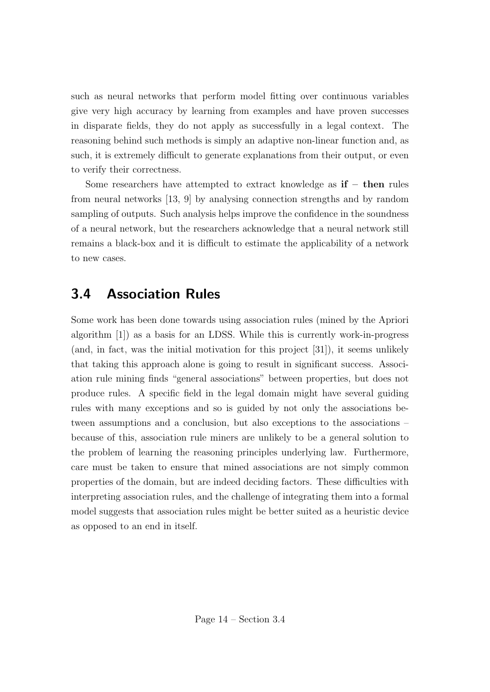such as neural networks that perform model fitting over continuous variables give very high accuracy by learning from examples and have proven successes in disparate fields, they do not apply as successfully in a legal context. The reasoning behind such methods is simply an adaptive non-linear function and, as such, it is extremely difficult to generate explanations from their output, or even to verify their correctness.

Some researchers have attempted to extract knowledge as  $\mathbf{if}$  – then rules from neural networks [13, 9] by analysing connection strengths and by random sampling of outputs. Such analysis helps improve the confidence in the soundness of a neural network, but the researchers acknowledge that a neural network still remains a black-box and it is difficult to estimate the applicability of a network to new cases.

### 3.4 Association Rules

Some work has been done towards using association rules (mined by the Apriori algorithm [1]) as a basis for an LDSS. While this is currently work-in-progress (and, in fact, was the initial motivation for this project [31]), it seems unlikely that taking this approach alone is going to result in significant success. Association rule mining finds "general associations" between properties, but does not produce rules. A specific field in the legal domain might have several guiding rules with many exceptions and so is guided by not only the associations between assumptions and a conclusion, but also exceptions to the associations – because of this, association rule miners are unlikely to be a general solution to the problem of learning the reasoning principles underlying law. Furthermore, care must be taken to ensure that mined associations are not simply common properties of the domain, but are indeed deciding factors. These difficulties with interpreting association rules, and the challenge of integrating them into a formal model suggests that association rules might be better suited as a heuristic device as opposed to an end in itself.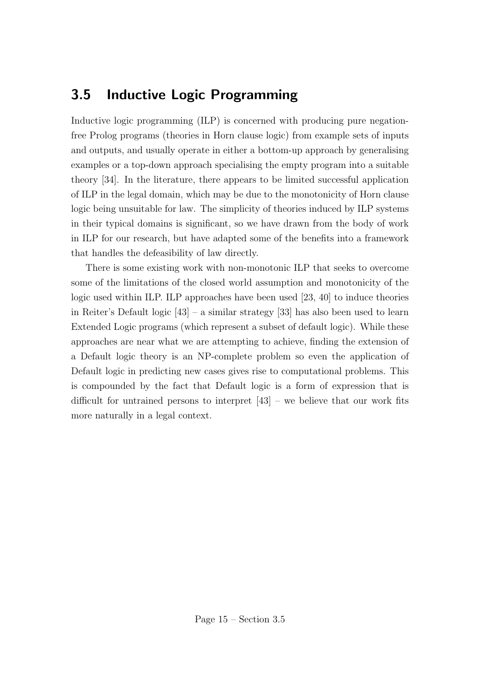### 3.5 Inductive Logic Programming

Inductive logic programming (ILP) is concerned with producing pure negationfree Prolog programs (theories in Horn clause logic) from example sets of inputs and outputs, and usually operate in either a bottom-up approach by generalising examples or a top-down approach specialising the empty program into a suitable theory [34]. In the literature, there appears to be limited successful application of ILP in the legal domain, which may be due to the monotonicity of Horn clause logic being unsuitable for law. The simplicity of theories induced by ILP systems in their typical domains is significant, so we have drawn from the body of work in ILP for our research, but have adapted some of the benefits into a framework that handles the defeasibility of law directly.

There is some existing work with non-monotonic ILP that seeks to overcome some of the limitations of the closed world assumption and monotonicity of the logic used within ILP. ILP approaches have been used [23, 40] to induce theories in Reiter's Default logic [43] – a similar strategy [33] has also been used to learn Extended Logic programs (which represent a subset of default logic). While these approaches are near what we are attempting to achieve, finding the extension of a Default logic theory is an NP-complete problem so even the application of Default logic in predicting new cases gives rise to computational problems. This is compounded by the fact that Default logic is a form of expression that is difficult for untrained persons to interpret  $[43]$  – we believe that our work fits more naturally in a legal context.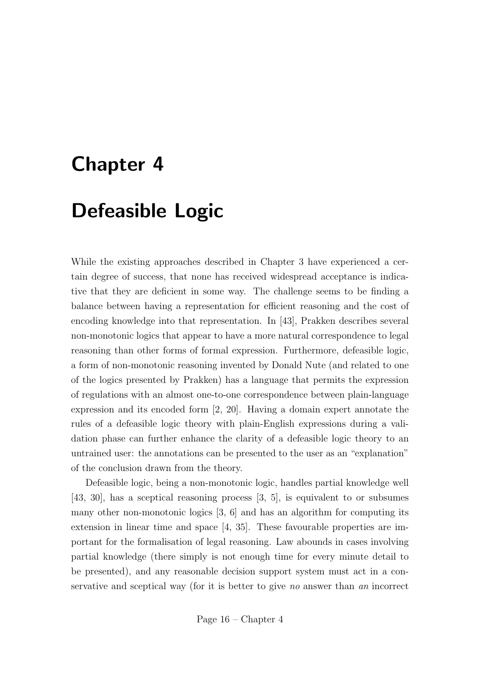## Chapter 4

## Defeasible Logic

While the existing approaches described in Chapter 3 have experienced a certain degree of success, that none has received widespread acceptance is indicative that they are deficient in some way. The challenge seems to be finding a balance between having a representation for efficient reasoning and the cost of encoding knowledge into that representation. In [43], Prakken describes several non-monotonic logics that appear to have a more natural correspondence to legal reasoning than other forms of formal expression. Furthermore, defeasible logic, a form of non-monotonic reasoning invented by Donald Nute (and related to one of the logics presented by Prakken) has a language that permits the expression of regulations with an almost one-to-one correspondence between plain-language expression and its encoded form [2, 20]. Having a domain expert annotate the rules of a defeasible logic theory with plain-English expressions during a validation phase can further enhance the clarity of a defeasible logic theory to an untrained user: the annotations can be presented to the user as an "explanation" of the conclusion drawn from the theory.

Defeasible logic, being a non-monotonic logic, handles partial knowledge well [43, 30], has a sceptical reasoning process [3, 5], is equivalent to or subsumes many other non-monotonic logics [3, 6] and has an algorithm for computing its extension in linear time and space [4, 35]. These favourable properties are important for the formalisation of legal reasoning. Law abounds in cases involving partial knowledge (there simply is not enough time for every minute detail to be presented), and any reasonable decision support system must act in a conservative and sceptical way (for it is better to give no answer than an incorrect

Page 16 – Chapter 4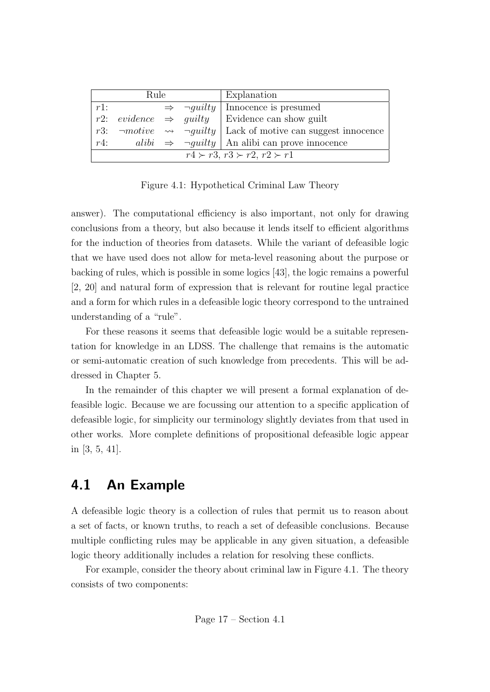| Rule                                          |  |  | Explanation |                                                                                |
|-----------------------------------------------|--|--|-------------|--------------------------------------------------------------------------------|
| $r1$ :                                        |  |  |             | $\Rightarrow \neg guilty \mid Innocence \text{ is presumed}$                   |
|                                               |  |  |             | r2: evidence $\Rightarrow$ guilty Evidence can show guilt                      |
|                                               |  |  |             | r3: $\neg motive \rightarrow \neg guilty$ Lack of motive can suggest innocence |
| r4:                                           |  |  |             | alibi $\Rightarrow \neg g uilty$   An alibi can prove innocence                |
| $r4 \succ r3$ , $r3 \succ r2$ , $r2 \succ r1$ |  |  |             |                                                                                |

Figure 4.1: Hypothetical Criminal Law Theory

answer). The computational efficiency is also important, not only for drawing conclusions from a theory, but also because it lends itself to efficient algorithms for the induction of theories from datasets. While the variant of defeasible logic that we have used does not allow for meta-level reasoning about the purpose or backing of rules, which is possible in some logics [43], the logic remains a powerful [2, 20] and natural form of expression that is relevant for routine legal practice and a form for which rules in a defeasible logic theory correspond to the untrained understanding of a "rule".

For these reasons it seems that defeasible logic would be a suitable representation for knowledge in an LDSS. The challenge that remains is the automatic or semi-automatic creation of such knowledge from precedents. This will be addressed in Chapter 5.

In the remainder of this chapter we will present a formal explanation of defeasible logic. Because we are focussing our attention to a specific application of defeasible logic, for simplicity our terminology slightly deviates from that used in other works. More complete definitions of propositional defeasible logic appear in [3, 5, 41].

### 4.1 An Example

A defeasible logic theory is a collection of rules that permit us to reason about a set of facts, or known truths, to reach a set of defeasible conclusions. Because multiple conflicting rules may be applicable in any given situation, a defeasible logic theory additionally includes a relation for resolving these conflicts.

For example, consider the theory about criminal law in Figure 4.1. The theory consists of two components: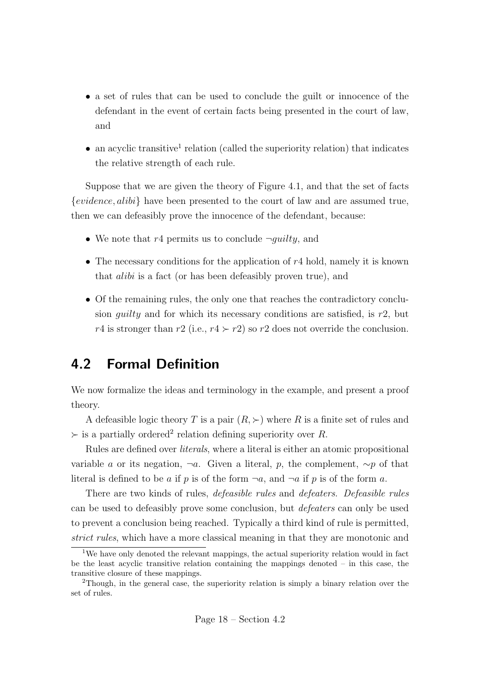- a set of rules that can be used to conclude the guilt or innocence of the defendant in the event of certain facts being presented in the court of law, and
- $\bullet$  an acyclic transitive<sup>1</sup> relation (called the superiority relation) that indicates the relative strength of each rule.

Suppose that we are given the theory of Figure 4.1, and that the set of facts  ${evidence}, alibi$  have been presented to the court of law and are assumed true, then we can defeasibly prove the innocence of the defendant, because:

- We note that  $r4$  permits us to conclude  $\neg$ *quilty*, and
- The necessary conditions for the application of r4 hold, namely it is known that alibi is a fact (or has been defeasibly proven true), and
- Of the remaining rules, the only one that reaches the contradictory conclusion *guilty* and for which its necessary conditions are satisfied, is  $r2$ , but r4 is stronger than r2 (i.e.,  $r4 > r2$ ) so r2 does not override the conclusion.

### 4.2 Formal Definition

We now formalize the ideas and terminology in the example, and present a proof theory.

A defeasible logic theory T is a pair  $(R, \succ)$  where R is a finite set of rules and  $\succ$  is a partially ordered<sup>2</sup> relation defining superiority over R.

Rules are defined over literals, where a literal is either an atomic propositional variable a or its negation,  $\neg a$ . Given a literal, p, the complement,  $\sim p$  of that literal is defined to be a if p is of the form  $\neg a$ , and  $\neg a$  if p is of the form a.

There are two kinds of rules, defeasible rules and defeaters. Defeasible rules can be used to defeasibly prove some conclusion, but defeaters can only be used to prevent a conclusion being reached. Typically a third kind of rule is permitted, strict rules, which have a more classical meaning in that they are monotonic and

<sup>&</sup>lt;sup>1</sup>We have only denoted the relevant mappings, the actual superiority relation would in fact be the least acyclic transitive relation containing the mappings denoted – in this case, the transitive closure of these mappings.

<sup>2</sup>Though, in the general case, the superiority relation is simply a binary relation over the set of rules.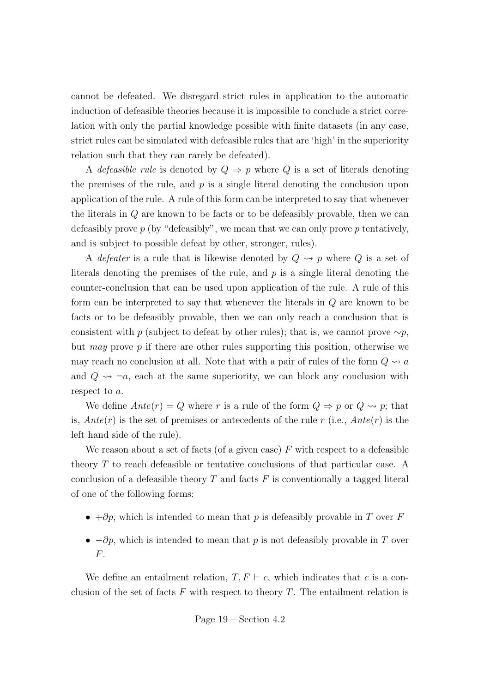cannot be defeated. We disregard strict rules in application to the automatic induction of defeasible theories because it is impossible to conclude a strict correlation with only the partial knowledge possible with finite datasets (in any case, strict rules can be simulated with defeasible rules that are 'high' in the superiority relation such that they can rarely be defeated).

A *defeasible rule* is denoted by  $Q \Rightarrow p$  where Q is a set of literals denoting the premises of the rule, and  $p$  is a single literal denoting the conclusion upon application of the rule. A rule of this form can be interpreted to say that whenever the literals in Q are known to be facts or to be defeasibly provable, then we can defeasibly prove  $p$  (by "defeasibly", we mean that we can only prove  $p$  tentatively, and is subject to possible defeat by other, stronger, rules).

A *defeater* is a rule that is likewise denoted by  $Q \rightsquigarrow p$  where  $Q$  is a set of literals denoting the premises of the rule, and  $p$  is a single literal denoting the counter-conclusion that can be used upon application of the rule. A rule of this form can be interpreted to say that whenever the literals in Q are known to be facts or to be defeasibly provable, then we can only reach a conclusion that is consistent with p (subject to defeat by other rules); that is, we cannot prove  $\sim p$ , but may prove  $p$  if there are other rules supporting this position, otherwise we may reach no conclusion at all. Note that with a pair of rules of the form  $Q \rightsquigarrow a$ and  $Q \rightarrow \neg a$ , each at the same superiority, we can block any conclusion with respect to a.

We define  $Ante(r) = Q$  where r is a rule of the form  $Q \Rightarrow p$  or  $Q \rightsquigarrow p$ ; that is,  $Ante(r)$  is the set of premises or antecedents of the rule r (i.e.,  $Ante(r)$  is the left hand side of the rule).

We reason about a set of facts (of a given case)  $F$  with respect to a defeasible theory T to reach defeasible or tentative conclusions of that particular case. A conclusion of a defeasible theory  $T$  and facts  $F$  is conventionally a tagged literal of one of the following forms:

- $+ \partial p$ , which is intended to mean that p is defeasibly provable in T over F
- $-\partial p$ , which is intended to mean that p is not defeasibly provable in T over F.

We define an entailment relation,  $T, F \vdash c$ , which indicates that c is a conclusion of the set of facts  $F$  with respect to theory  $T$ . The entailment relation is

Page 
$$
19 -
$$
Section 4.2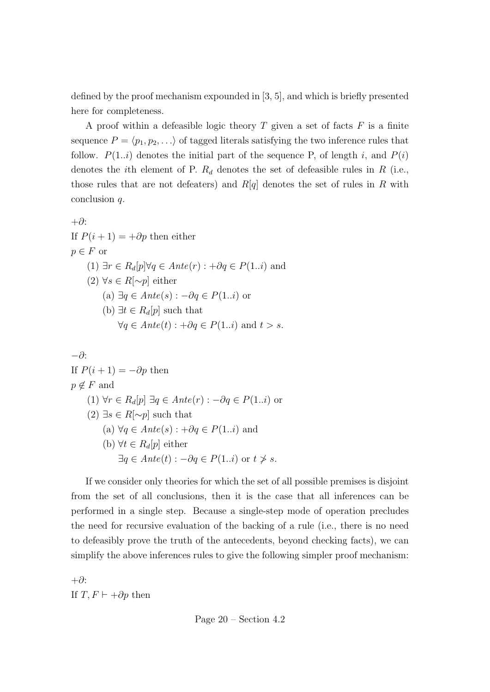defined by the proof mechanism expounded in [3, 5], and which is briefly presented here for completeness.

A proof within a defeasible logic theory  $T$  given a set of facts  $F$  is a finite sequence  $P = \langle p_1, p_2, \ldots \rangle$  of tagged literals satisfying the two inference rules that follow.  $P(1..i)$  denotes the initial part of the sequence P, of length i, and  $P(i)$ denotes the *i*th element of P.  $R_d$  denotes the set of defeasible rules in R (i.e., those rules that are not defeaters) and  $R[q]$  denotes the set of rules in R with conclusion q.

+∂: If  $P(i + 1) = +\partial p$  then either  $p \in F$  or (1)  $\exists r \in R_d[p] \forall q \in Ante(r) : +\partial q \in P(1..i)$  and (2) ∀s ∈ R[ $\sim p$ ] either (a) ∃ $q \in Ante(s) : -\partial q \in P(1..i)$  or (b)  $\exists t \in R_d[p]$  such that  $\forall q \in Ante(t) : +\partial q \in P(1..i)$  and  $t > s$ .

$$
-\partial
$$
:  
\nIf  $P(i + 1) = -\partial p$  then  
\n $p \notin F$  and  
\n(1)  $\forall r \in R_d[p] \exists q \in Ante(r) : -\partial q \in P(1..i)$  or  
\n(2)  $\exists s \in R[\sim p]$  such that  
\n(a)  $\forall q \in Ante(s) : +\partial q \in P(1..i)$  and  
\n(b)  $\forall t \in R_d[p]$  either  
\n $\exists q \in Ante(t) : -\partial q \in P(1..i)$  or  $t \neq s$ .

If we consider only theories for which the set of all possible premises is disjoint from the set of all conclusions, then it is the case that all inferences can be performed in a single step. Because a single-step mode of operation precludes the need for recursive evaluation of the backing of a rule (i.e., there is no need to defeasibly prove the truth of the antecedents, beyond checking facts), we can simplify the above inferences rules to give the following simpler proof mechanism:

+∂: If  $T, F \vdash +\partial p$  then

Page 20 – Section 4.2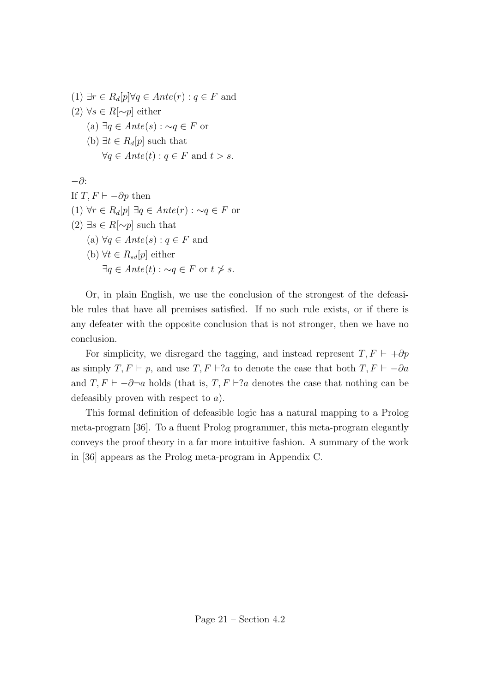(1) ∃ $r \in R_d[p] \forall q \in Ante(r) : q \in F$  and (2) ∀s ∈ R[ $\sim p$ ] either (a) ∃q ∈  $Ante(s)$ : ∼q ∈ F or (b)  $\exists t \in R_d[p]$  such that  $\forall q \in Ante(t) : q \in F \text{ and } t > s.$ −∂: If  $T, F \vdash -\partial p$  then (1)  $\forall r \in R_d[p] \exists q \in Ante(r) : \neg q \in F$  or  $(2) \exists s \in R[\sim p]$  such that (a)  $\forall q \in Ante(s) : q \in F$  and (b)  $\forall t \in R_{sd}[p]$  either  $\exists q \in Ante(t) : \neg q \in F$  or  $t \not\geq s$ .

Or, in plain English, we use the conclusion of the strongest of the defeasible rules that have all premises satisfied. If no such rule exists, or if there is any defeater with the opposite conclusion that is not stronger, then we have no conclusion.

For simplicity, we disregard the tagging, and instead represent  $T, F \vdash +\partial p$ as simply  $T, F \vdash p$ , and use  $T, F \vdash ?a$  to denote the case that both  $T, F \vdash -\partial a$ and  $T, F \vdash -\partial \neg a$  holds (that is,  $T, F \vdash ?a$  denotes the case that nothing can be defeasibly proven with respect to a).

This formal definition of defeasible logic has a natural mapping to a Prolog meta-program [36]. To a fluent Prolog programmer, this meta-program elegantly conveys the proof theory in a far more intuitive fashion. A summary of the work in [36] appears as the Prolog meta-program in Appendix C.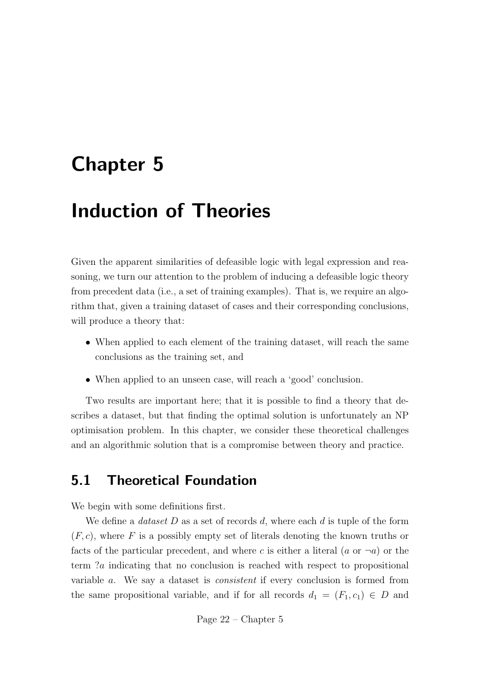# Chapter 5

# Induction of Theories

Given the apparent similarities of defeasible logic with legal expression and reasoning, we turn our attention to the problem of inducing a defeasible logic theory from precedent data (i.e., a set of training examples). That is, we require an algorithm that, given a training dataset of cases and their corresponding conclusions, will produce a theory that:

- When applied to each element of the training dataset, will reach the same conclusions as the training set, and
- When applied to an unseen case, will reach a 'good' conclusion.

Two results are important here; that it is possible to find a theory that describes a dataset, but that finding the optimal solution is unfortunately an NP optimisation problem. In this chapter, we consider these theoretical challenges and an algorithmic solution that is a compromise between theory and practice.

### 5.1 Theoretical Foundation

We begin with some definitions first.

We define a *dataset*  $D$  as a set of records  $d$ , where each  $d$  is tuple of the form  $(F, c)$ , where F is a possibly empty set of literals denoting the known truths or facts of the particular precedent, and where c is either a literal (a or  $\neg a$ ) or the term ?a indicating that no conclusion is reached with respect to propositional variable a. We say a dataset is consistent if every conclusion is formed from the same propositional variable, and if for all records  $d_1 = (F_1, c_1) \in D$  and

Page 22 – Chapter 5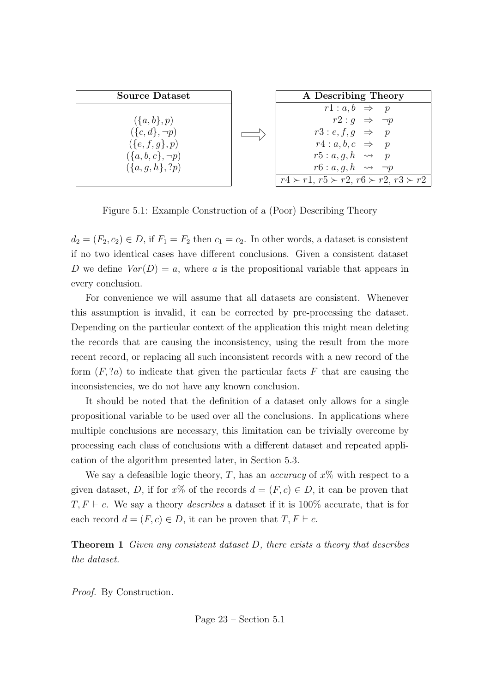

Figure 5.1: Example Construction of a (Poor) Describing Theory

 $d_2 = (F_2, c_2) \in D$ , if  $F_1 = F_2$  then  $c_1 = c_2$ . In other words, a dataset is consistent if no two identical cases have different conclusions. Given a consistent dataset D we define  $Var(D) = a$ , where a is the propositional variable that appears in every conclusion.

For convenience we will assume that all datasets are consistent. Whenever this assumption is invalid, it can be corrected by pre-processing the dataset. Depending on the particular context of the application this might mean deleting the records that are causing the inconsistency, using the result from the more recent record, or replacing all such inconsistent records with a new record of the form  $(F, ?a)$  to indicate that given the particular facts F that are causing the inconsistencies, we do not have any known conclusion.

It should be noted that the definition of a dataset only allows for a single propositional variable to be used over all the conclusions. In applications where multiple conclusions are necessary, this limitation can be trivially overcome by processing each class of conclusions with a different dataset and repeated application of the algorithm presented later, in Section 5.3.

We say a defeasible logic theory, T, has an *accuracy* of  $x\%$  with respect to a given dataset, D, if for  $x\%$  of the records  $d = (F, c) \in D$ , it can be proven that  $T, F \vdash c$ . We say a theory *describes* a dataset if it is 100% accurate, that is for each record  $d = (F, c) \in D$ , it can be proven that  $T, F \vdash c$ .

Theorem 1 Given any consistent dataset D, there exists a theory that describes the dataset.

Proof. By Construction.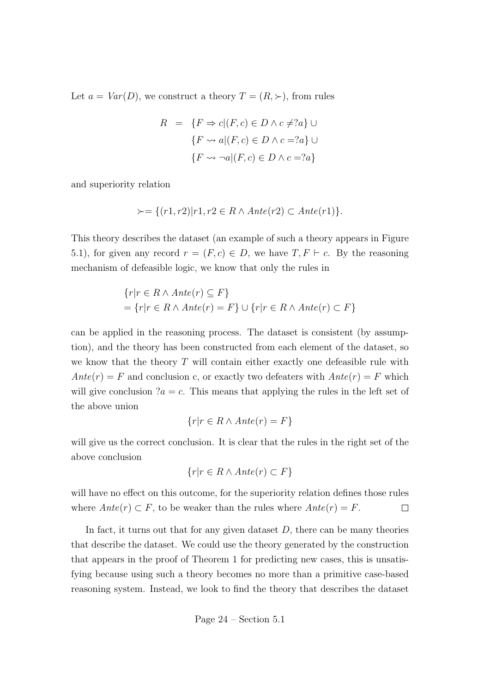Let  $a = Var(D)$ , we construct a theory  $T = (R, \succ)$ , from rules

$$
R = \{F \Rightarrow c | (F, c) \in D \land c \neq ?a\} \cup
$$

$$
\{F \leadsto a | (F, c) \in D \land c = ?a\} \cup
$$

$$
\{F \leadsto \neg a | (F, c) \in D \land c = ?a\}
$$

and superiority relation

$$
\succ = \{(r1, r2)|r1, r2 \in R \land Ante(r2) \subset Ante(r1)\}.
$$

This theory describes the dataset (an example of such a theory appears in Figure 5.1), for given any record  $r = (F, c) \in D$ , we have  $T, F \vdash c$ . By the reasoning mechanism of defeasible logic, we know that only the rules in

$$
\{r|r \in R \land Ante(r) \subseteq F\}
$$
  
=  $\{r|r \in R \land Ante(r) = F\} \cup \{r|r \in R \land Ante(r) \subset F\}$ 

can be applied in the reasoning process. The dataset is consistent (by assumption), and the theory has been constructed from each element of the dataset, so we know that the theory  $T$  will contain either exactly one defeasible rule with  $Ante(r) = F$  and conclusion c, or exactly two defeaters with  $Ante(r) = F$  which will give conclusion  $a = c$ . This means that applying the rules in the left set of the above union

$$
\{r|r \in R \land Ante(r) = F\}
$$

will give us the correct conclusion. It is clear that the rules in the right set of the above conclusion

$$
\{r|r \in R \land Ante(r) \subset F\}
$$

will have no effect on this outcome, for the superiority relation defines those rules where  $Ante(r) \subset F$ , to be weaker than the rules where  $Ante(r) = F$ .  $\Box$ 

In fact, it turns out that for any given dataset  $D$ , there can be many theories that describe the dataset. We could use the theory generated by the construction that appears in the proof of Theorem 1 for predicting new cases, this is unsatisfying because using such a theory becomes no more than a primitive case-based reasoning system. Instead, we look to find the theory that describes the dataset

Page 
$$
24 - Section 5.1
$$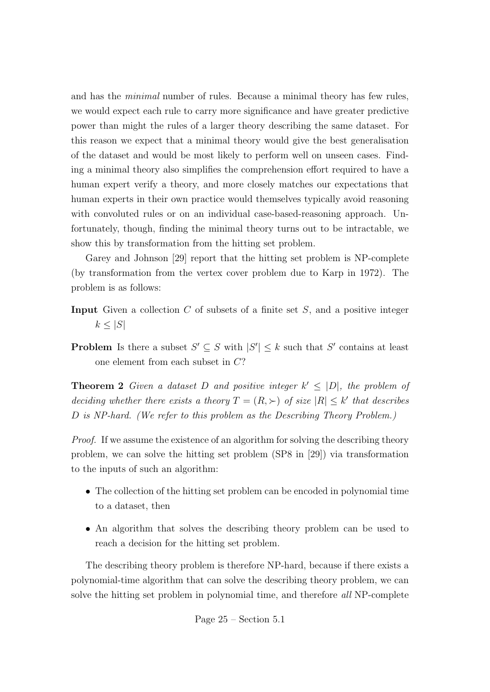and has the minimal number of rules. Because a minimal theory has few rules, we would expect each rule to carry more significance and have greater predictive power than might the rules of a larger theory describing the same dataset. For this reason we expect that a minimal theory would give the best generalisation of the dataset and would be most likely to perform well on unseen cases. Finding a minimal theory also simplifies the comprehension effort required to have a human expert verify a theory, and more closely matches our expectations that human experts in their own practice would themselves typically avoid reasoning with convoluted rules or on an individual case-based-reasoning approach. Unfortunately, though, finding the minimal theory turns out to be intractable, we show this by transformation from the hitting set problem.

Garey and Johnson [29] report that the hitting set problem is NP-complete (by transformation from the vertex cover problem due to Karp in 1972). The problem is as follows:

- **Input** Given a collection  $C$  of subsets of a finite set  $S$ , and a positive integer  $k \leq |S|$
- **Problem** Is there a subset  $S' \subseteq S$  with  $|S'| \leq k$  such that S' contains at least one element from each subset in C?

**Theorem 2** Given a dataset D and positive integer  $k' \leq |D|$ , the problem of deciding whether there exists a theory  $T = (R, \succ)$  of size  $|R| \leq k'$  that describes D is NP-hard. (We refer to this problem as the Describing Theory Problem.)

Proof. If we assume the existence of an algorithm for solving the describing theory problem, we can solve the hitting set problem (SP8 in [29]) via transformation to the inputs of such an algorithm:

- The collection of the hitting set problem can be encoded in polynomial time to a dataset, then
- An algorithm that solves the describing theory problem can be used to reach a decision for the hitting set problem.

The describing theory problem is therefore NP-hard, because if there exists a polynomial-time algorithm that can solve the describing theory problem, we can solve the hitting set problem in polynomial time, and therefore all NP-complete

Page 
$$
25 -
$$
 Section 5.1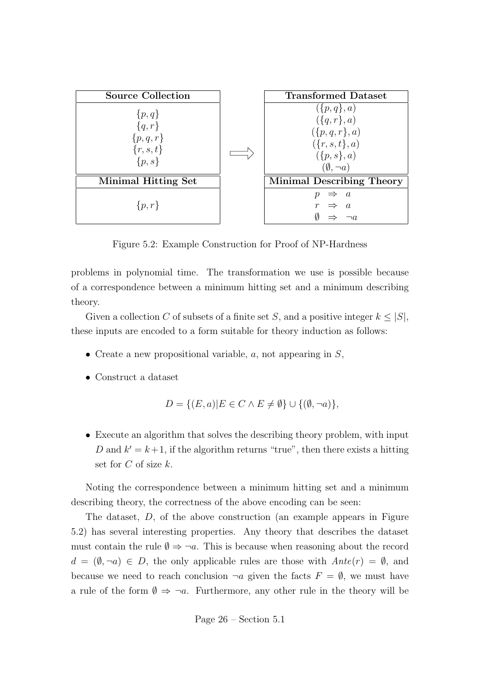| <b>Source Collection</b>                                          | <b>Transformed Dataset</b>                                                                                                                            |
|-------------------------------------------------------------------|-------------------------------------------------------------------------------------------------------------------------------------------------------|
| $\{p,q\}$<br>${q,r}$<br>$\{p,q,r\}$<br>$\{r, s, t\}$<br>$\{p,s\}$ | $(\lbrace p,q \rbrace, a)$<br>$(\lbrace q, r \rbrace, a)$<br>$(\lbrace p,q,r \rbrace,a)$<br>$(\{r,s,t\},a)$<br>$(\{p,s\},a)$<br>$(\emptyset, \neg a)$ |
| <b>Minimal Hitting Set</b>                                        | <b>Minimal Describing Theory</b>                                                                                                                      |
| $\{p,r\}$                                                         | $\overline{a}$                                                                                                                                        |

Figure 5.2: Example Construction for Proof of NP-Hardness

problems in polynomial time. The transformation we use is possible because of a correspondence between a minimum hitting set and a minimum describing theory.

Given a collection C of subsets of a finite set S, and a positive integer  $k \leq |S|$ , these inputs are encoded to a form suitable for theory induction as follows:

- Create a new propositional variable,  $a$ , not appearing in  $S$ ,
- Construct a dataset

$$
D = \{ (E, a) | E \in C \land E \neq \emptyset \} \cup \{ (\emptyset, \neg a) \},
$$

• Execute an algorithm that solves the describing theory problem, with input D and  $k' = k+1$ , if the algorithm returns "true", then there exists a hitting set for  $C$  of size  $k$ .

Noting the correspondence between a minimum hitting set and a minimum describing theory, the correctness of the above encoding can be seen:

The dataset, D, of the above construction (an example appears in Figure 5.2) has several interesting properties. Any theory that describes the dataset must contain the rule  $\emptyset \Rightarrow \neg a$ . This is because when reasoning about the record  $d = (\emptyset, \neg a) \in D$ , the only applicable rules are those with  $Ante(r) = \emptyset$ , and because we need to reach conclusion  $\neg a$  given the facts  $F = \emptyset$ , we must have a rule of the form  $\emptyset \Rightarrow \neg a$ . Furthermore, any other rule in the theory will be

Page 
$$
26 -
$$
 Section 5.1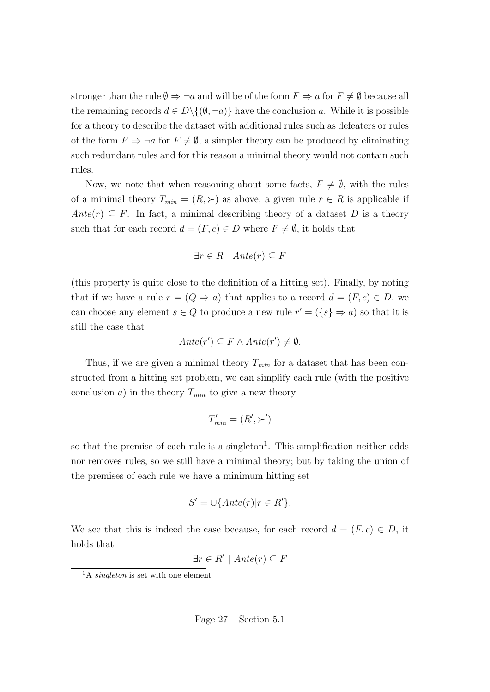stronger than the rule  $\emptyset \Rightarrow \neg a$  and will be of the form  $F \Rightarrow a$  for  $F \neq \emptyset$  because all the remaining records  $d \in D \setminus \{(\emptyset, \neg a)\}\$  have the conclusion a. While it is possible for a theory to describe the dataset with additional rules such as defeaters or rules of the form  $F \Rightarrow \neg a$  for  $F \neq \emptyset$ , a simpler theory can be produced by eliminating such redundant rules and for this reason a minimal theory would not contain such rules.

Now, we note that when reasoning about some facts,  $F \neq \emptyset$ , with the rules of a minimal theory  $T_{min} = (R, \succ)$  as above, a given rule  $r \in R$  is applicable if  $Ante(r) \subseteq F$ . In fact, a minimal describing theory of a dataset D is a theory such that for each record  $d = (F, c) \in D$  where  $F \neq \emptyset$ , it holds that

$$
\exists r \in R \mid Ante(r) \subseteq F
$$

(this property is quite close to the definition of a hitting set). Finally, by noting that if we have a rule  $r = (Q \Rightarrow a)$  that applies to a record  $d = (F, c) \in D$ , we can choose any element  $s \in Q$  to produce a new rule  $r' = (\{s\} \Rightarrow a)$  so that it is still the case that

$$
Ante(r') \subseteq F \wedge Ante(r') \neq \emptyset.
$$

Thus, if we are given a minimal theory  $T_{min}$  for a dataset that has been constructed from a hitting set problem, we can simplify each rule (with the positive conclusion a) in the theory  $T_{min}$  to give a new theory

$$
T'_{min} = (R', \succ')
$$

so that the premise of each rule is a singleton<sup>1</sup>. This simplification neither adds nor removes rules, so we still have a minimal theory; but by taking the union of the premises of each rule we have a minimum hitting set

$$
S' = \bigcup \{ Ante(r) | r \in R' \}.
$$

We see that this is indeed the case because, for each record  $d = (F, c) \in D$ , it holds that

$$
\exists r \in R' \mid Ante(r) \subseteq F
$$

<sup>&</sup>lt;sup>1</sup>A *singleton* is set with one element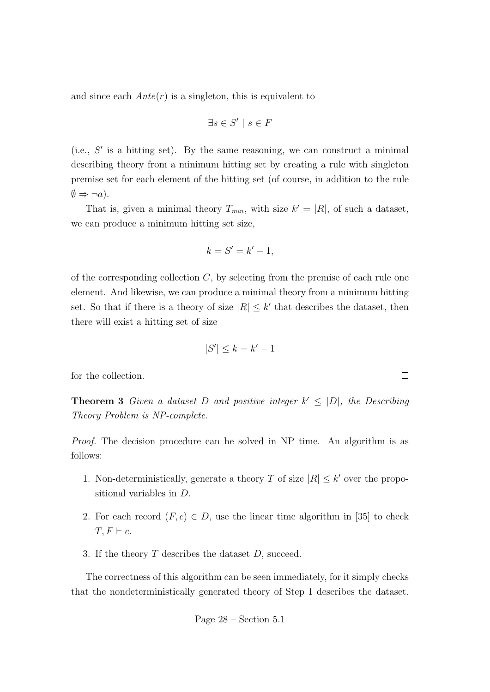and since each  $Ante(r)$  is a singleton, this is equivalent to

$$
\exists s \in S' \mid s \in F
$$

 $(i.e., S'$  is a hitting set). By the same reasoning, we can construct a minimal describing theory from a minimum hitting set by creating a rule with singleton premise set for each element of the hitting set (of course, in addition to the rule  $\emptyset \Rightarrow \neg a$ .

That is, given a minimal theory  $T_{min}$ , with size  $k' = |R|$ , of such a dataset, we can produce a minimum hitting set size,

$$
k = S' = k' - 1,
$$

of the corresponding collection  $C$ , by selecting from the premise of each rule one element. And likewise, we can produce a minimal theory from a minimum hitting set. So that if there is a theory of size  $|R| \leq k'$  that describes the dataset, then there will exist a hitting set of size

$$
|S'| \le k = k' - 1
$$

 $\Box$ 

for the collection.

**Theorem 3** Given a dataset D and positive integer  $k' \leq |D|$ , the Describing Theory Problem is NP-complete.

Proof. The decision procedure can be solved in NP time. An algorithm is as follows:

- 1. Non-deterministically, generate a theory T of size  $|R| \leq k'$  over the propositional variables in D.
- 2. For each record  $(F, c) \in D$ , use the linear time algorithm in [35] to check  $T, F \vdash c.$
- 3. If the theory  $T$  describes the dataset  $D$ , succeed.

The correctness of this algorithm can be seen immediately, for it simply checks that the nondeterministically generated theory of Step 1 describes the dataset.

Page 
$$
28 -
$$
 Section 5.1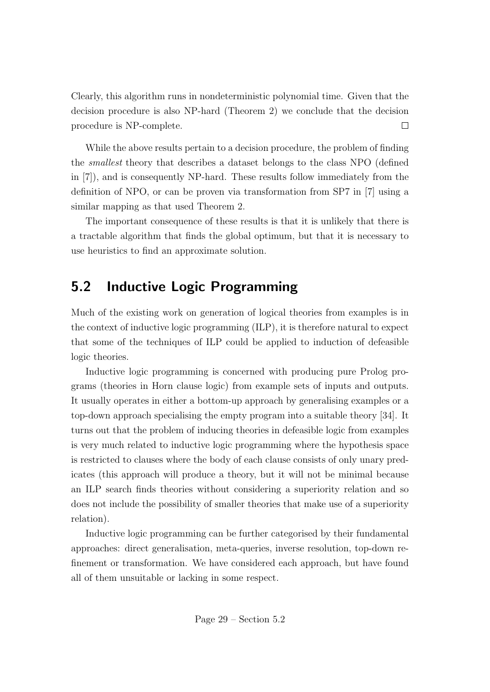Clearly, this algorithm runs in nondeterministic polynomial time. Given that the decision procedure is also NP-hard (Theorem 2) we conclude that the decision procedure is NP-complete.  $\Box$ 

While the above results pertain to a decision procedure, the problem of finding the smallest theory that describes a dataset belongs to the class NPO (defined in [7]), and is consequently NP-hard. These results follow immediately from the definition of NPO, or can be proven via transformation from SP7 in [7] using a similar mapping as that used Theorem 2.

The important consequence of these results is that it is unlikely that there is a tractable algorithm that finds the global optimum, but that it is necessary to use heuristics to find an approximate solution.

### 5.2 Inductive Logic Programming

Much of the existing work on generation of logical theories from examples is in the context of inductive logic programming (ILP), it is therefore natural to expect that some of the techniques of ILP could be applied to induction of defeasible logic theories.

Inductive logic programming is concerned with producing pure Prolog programs (theories in Horn clause logic) from example sets of inputs and outputs. It usually operates in either a bottom-up approach by generalising examples or a top-down approach specialising the empty program into a suitable theory [34]. It turns out that the problem of inducing theories in defeasible logic from examples is very much related to inductive logic programming where the hypothesis space is restricted to clauses where the body of each clause consists of only unary predicates (this approach will produce a theory, but it will not be minimal because an ILP search finds theories without considering a superiority relation and so does not include the possibility of smaller theories that make use of a superiority relation).

Inductive logic programming can be further categorised by their fundamental approaches: direct generalisation, meta-queries, inverse resolution, top-down refinement or transformation. We have considered each approach, but have found all of them unsuitable or lacking in some respect.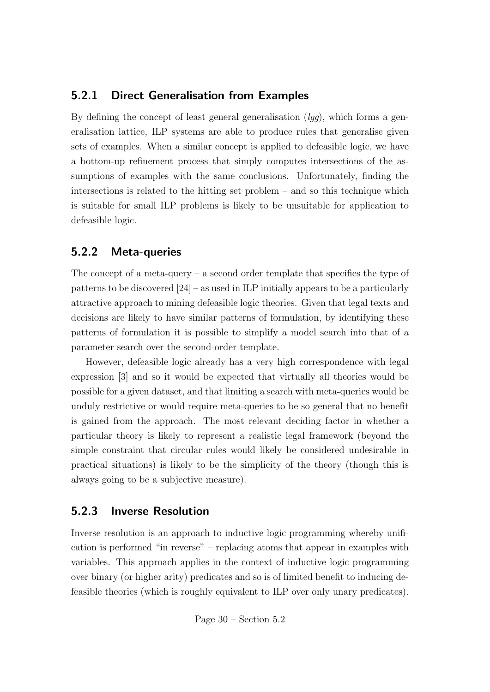#### 5.2.1 Direct Generalisation from Examples

By defining the concept of least general generalisation  $(lqq)$ , which forms a generalisation lattice, ILP systems are able to produce rules that generalise given sets of examples. When a similar concept is applied to defeasible logic, we have a bottom-up refinement process that simply computes intersections of the assumptions of examples with the same conclusions. Unfortunately, finding the intersections is related to the hitting set problem – and so this technique which is suitable for small ILP problems is likely to be unsuitable for application to defeasible logic.

#### 5.2.2 Meta-queries

The concept of a meta-query – a second order template that specifies the type of patterns to be discovered [24] – as used in ILP initially appears to be a particularly attractive approach to mining defeasible logic theories. Given that legal texts and decisions are likely to have similar patterns of formulation, by identifying these patterns of formulation it is possible to simplify a model search into that of a parameter search over the second-order template.

However, defeasible logic already has a very high correspondence with legal expression [3] and so it would be expected that virtually all theories would be possible for a given dataset, and that limiting a search with meta-queries would be unduly restrictive or would require meta-queries to be so general that no benefit is gained from the approach. The most relevant deciding factor in whether a particular theory is likely to represent a realistic legal framework (beyond the simple constraint that circular rules would likely be considered undesirable in practical situations) is likely to be the simplicity of the theory (though this is always going to be a subjective measure).

#### 5.2.3 Inverse Resolution

Inverse resolution is an approach to inductive logic programming whereby unification is performed "in reverse" – replacing atoms that appear in examples with variables. This approach applies in the context of inductive logic programming over binary (or higher arity) predicates and so is of limited benefit to inducing defeasible theories (which is roughly equivalent to ILP over only unary predicates).

Page 30 – Section 5.2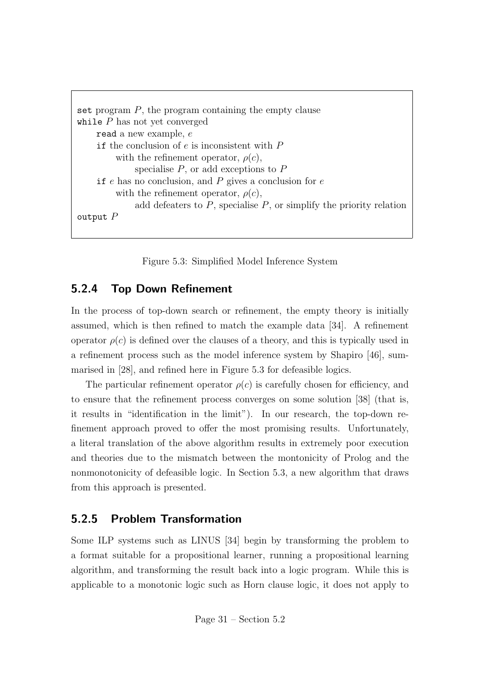```
set program P, the program containing the empty clause
while P has not yet converged
    read a new example, e
    if the conclusion of e is inconsistent with Pwith the refinement operator, \rho(c),
             specialise P, or add exceptions to Pif e has no conclusion, and P gives a conclusion for ewith the refinement operator, \rho(c),
              add defeaters to P, specialise P, or simplify the priority relation
output P
```
Figure 5.3: Simplified Model Inference System

### 5.2.4 Top Down Refinement

In the process of top-down search or refinement, the empty theory is initially assumed, which is then refined to match the example data [34]. A refinement operator  $\rho(c)$  is defined over the clauses of a theory, and this is typically used in a refinement process such as the model inference system by Shapiro [46], summarised in [28], and refined here in Figure 5.3 for defeasible logics.

The particular refinement operator  $\rho(c)$  is carefully chosen for efficiency, and to ensure that the refinement process converges on some solution [38] (that is, it results in "identification in the limit"). In our research, the top-down refinement approach proved to offer the most promising results. Unfortunately, a literal translation of the above algorithm results in extremely poor execution and theories due to the mismatch between the montonicity of Prolog and the nonmonotonicity of defeasible logic. In Section 5.3, a new algorithm that draws from this approach is presented.

#### 5.2.5 Problem Transformation

Some ILP systems such as LINUS [34] begin by transforming the problem to a format suitable for a propositional learner, running a propositional learning algorithm, and transforming the result back into a logic program. While this is applicable to a monotonic logic such as Horn clause logic, it does not apply to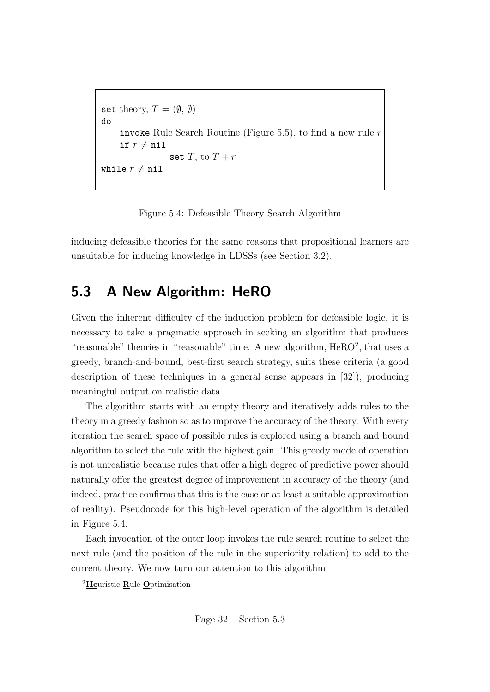```
set theory, T = (\emptyset, \emptyset)do
     invoke Rule Search Routine (Figure 5.5), to find a new rule r
     if r \neq \texttt{nil}set T, to T + rwhile r \neq \texttt{nil}
```
Figure 5.4: Defeasible Theory Search Algorithm

inducing defeasible theories for the same reasons that propositional learners are unsuitable for inducing knowledge in LDSSs (see Section 3.2).

### 5.3 A New Algorithm: HeRO

Given the inherent difficulty of the induction problem for defeasible logic, it is necessary to take a pragmatic approach in seeking an algorithm that produces "reasonable" theories in "reasonable" time. A new algorithm, HeRO<sup>2</sup>, that uses a greedy, branch-and-bound, best-first search strategy, suits these criteria (a good description of these techniques in a general sense appears in [32]), producing meaningful output on realistic data.

The algorithm starts with an empty theory and iteratively adds rules to the theory in a greedy fashion so as to improve the accuracy of the theory. With every iteration the search space of possible rules is explored using a branch and bound algorithm to select the rule with the highest gain. This greedy mode of operation is not unrealistic because rules that offer a high degree of predictive power should naturally offer the greatest degree of improvement in accuracy of the theory (and indeed, practice confirms that this is the case or at least a suitable approximation of reality). Pseudocode for this high-level operation of the algorithm is detailed in Figure 5.4.

Each invocation of the outer loop invokes the rule search routine to select the next rule (and the position of the rule in the superiority relation) to add to the current theory. We now turn our attention to this algorithm.

<sup>&</sup>lt;sup>2</sup>Heuristic Rule Optimisation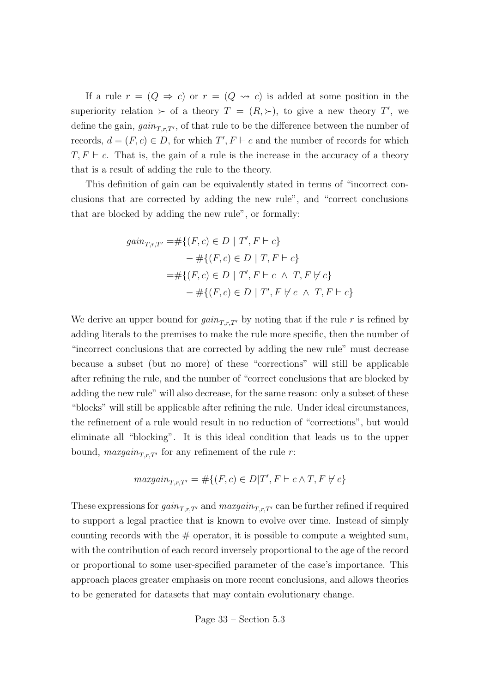If a rule  $r = (Q \Rightarrow c)$  or  $r = (Q \Rightarrow c)$  is added at some position in the superiority relation  $\succ$  of a theory  $T = (R, \succ)$ , to give a new theory T', we define the gain,  $gain_{T,r,T'}$ , of that rule to be the difference between the number of records,  $d = (F, c) \in D$ , for which  $T', F \vdash c$  and the number of records for which  $T, F \vdash c$ . That is, the gain of a rule is the increase in the accuracy of a theory that is a result of adding the rule to the theory.

This definition of gain can be equivalently stated in terms of "incorrect conclusions that are corrected by adding the new rule", and "correct conclusions that are blocked by adding the new rule", or formally:

$$
gain_{T,r,T'} = # \{(F, c) \in D \mid T', F \vdash c\}
$$
  

$$
- # \{(F, c) \in D \mid T, F \vdash c\}
$$
  

$$
= # \{(F, c) \in D \mid T', F \vdash c \land T, F \nvdash c\}
$$
  

$$
- # \{(F, c) \in D \mid T', F \nvdash c \land T, F \vdash c\}
$$

We derive an upper bound for  $gain_{T,r,T'}$  by noting that if the rule r is refined by adding literals to the premises to make the rule more specific, then the number of "incorrect conclusions that are corrected by adding the new rule" must decrease because a subset (but no more) of these "corrections" will still be applicable after refining the rule, and the number of "correct conclusions that are blocked by adding the new rule" will also decrease, for the same reason: only a subset of these "blocks" will still be applicable after refining the rule. Under ideal circumstances, the refinement of a rule would result in no reduction of "corrections", but would eliminate all "blocking". It is this ideal condition that leads us to the upper bound,  $maxgain_{T,r,T'}$  for any refinement of the rule r:

$$
maxgain_{T,r,T'} = \# \{ (F,c) \in D | T', F \vdash c \land T, F \not\vdash c \}
$$

These expressions for  $gain_{T,r,T'}$  and  $maxgain_{T,r,T'}$  can be further refined if required to support a legal practice that is known to evolve over time. Instead of simply counting records with the  $#$  operator, it is possible to compute a weighted sum, with the contribution of each record inversely proportional to the age of the record or proportional to some user-specified parameter of the case's importance. This approach places greater emphasis on more recent conclusions, and allows theories to be generated for datasets that may contain evolutionary change.

Page 
$$
33 -
$$
 Section 5.3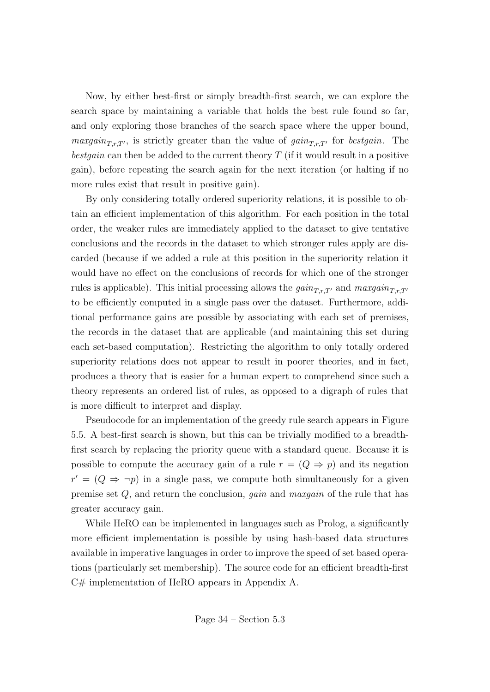Now, by either best-first or simply breadth-first search, we can explore the search space by maintaining a variable that holds the best rule found so far, and only exploring those branches of the search space where the upper bound, *maxgain*<sub>T,r,T'</sub>, is strictly greater than the value of  $gain_{T,r,T'}$  for *bestgain*. The bestgain can then be added to the current theory  $T$  (if it would result in a positive gain), before repeating the search again for the next iteration (or halting if no more rules exist that result in positive gain).

By only considering totally ordered superiority relations, it is possible to obtain an efficient implementation of this algorithm. For each position in the total order, the weaker rules are immediately applied to the dataset to give tentative conclusions and the records in the dataset to which stronger rules apply are discarded (because if we added a rule at this position in the superiority relation it would have no effect on the conclusions of records for which one of the stronger rules is applicable). This initial processing allows the  $gain_{T,r,T'}$  and  $maxgain_{T,r,T'}$ to be efficiently computed in a single pass over the dataset. Furthermore, additional performance gains are possible by associating with each set of premises, the records in the dataset that are applicable (and maintaining this set during each set-based computation). Restricting the algorithm to only totally ordered superiority relations does not appear to result in poorer theories, and in fact, produces a theory that is easier for a human expert to comprehend since such a theory represents an ordered list of rules, as opposed to a digraph of rules that is more difficult to interpret and display.

Pseudocode for an implementation of the greedy rule search appears in Figure 5.5. A best-first search is shown, but this can be trivially modified to a breadthfirst search by replacing the priority queue with a standard queue. Because it is possible to compute the accuracy gain of a rule  $r = (Q \Rightarrow p)$  and its negation  $r' = (Q \Rightarrow \neg p)$  in a single pass, we compute both simultaneously for a given premise set Q, and return the conclusion, gain and maxgain of the rule that has greater accuracy gain.

While HeRO can be implemented in languages such as Prolog, a significantly more efficient implementation is possible by using hash-based data structures available in imperative languages in order to improve the speed of set based operations (particularly set membership). The source code for an efficient breadth-first C# implementation of HeRO appears in Appendix A.

Page 
$$
34 -
$$
 Section 5.3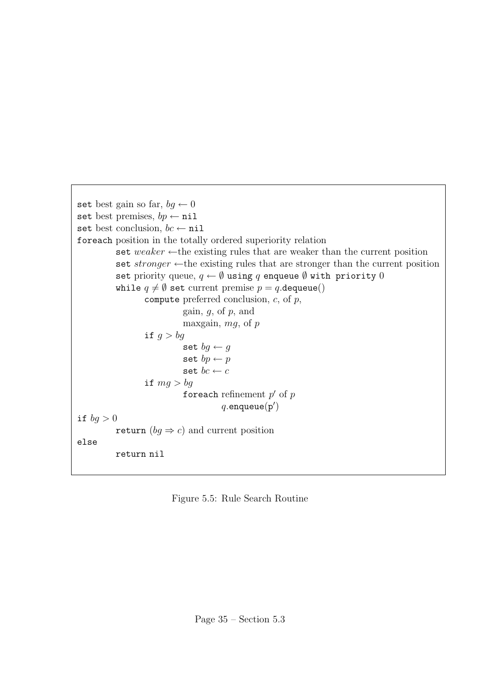```
set best gain so far, bq \leftarrow 0set best premises, bp \leftarrow \texttt{nil}set best conclusion, bc \leftarrow \texttt{nil}foreach position in the totally ordered superiority relation
          set weaker \leftarrow the existing rules that are weaker than the current position
          set stronger \leftarrowthe existing rules that are stronger than the current position
          set priority queue, q \leftarrow \emptyset using q enqueue \emptyset with priority 0
          while q \neq \emptyset set current premise p = q.dequeue()
                   compute preferred conclusion, c, of p,
                             gain, q, of p, and
                             maxgain, mg, of pif g > bgset bg \leftarrow gset bp \leftarrow pset bc \leftarrow cif mg > bgforeach refinement p' of pq.\mathtt{endue}(\mathtt{p}')if bg > 0return (bg \Rightarrow c) and current position
else
          return nil
```
Figure 5.5: Rule Search Routine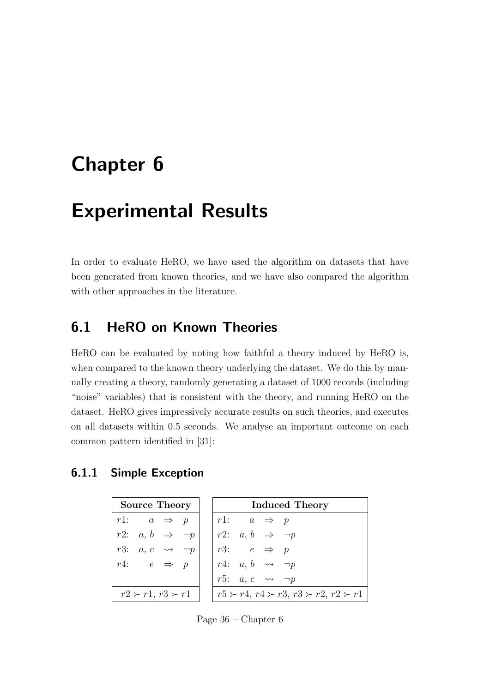## Chapter 6

## Experimental Results

In order to evaluate HeRO, we have used the algorithm on datasets that have been generated from known theories, and we have also compared the algorithm with other approaches in the literature.

### 6.1 HeRO on Known Theories

HeRO can be evaluated by noting how faithful a theory induced by HeRO is, when compared to the known theory underlying the dataset. We do this by manually creating a theory, randomly generating a dataset of 1000 records (including "noise" variables) that is consistent with the theory, and running HeRO on the dataset. HeRO gives impressively accurate results on such theories, and executes on all datasets within 0.5 seconds. We analyse an important outcome on each common pattern identified in [31]:

#### 6.1.1 Simple Exception

|                               |  |  |  | Source Theory     Induced Theory |  |                                                                                                                                                                                                                                                                                                                                                                                                  |  |  |
|-------------------------------|--|--|--|----------------------------------|--|--------------------------------------------------------------------------------------------------------------------------------------------------------------------------------------------------------------------------------------------------------------------------------------------------------------------------------------------------------------------------------------------------|--|--|
|                               |  |  |  |                                  |  | $\begin{array}{rcl} r1: & a & \Rightarrow & p \\ r2: & a, b & \Rightarrow & \neg p \\ r3: & a, c & \leadsto & \neg p \\ r4: & e & \Rightarrow & p \\ \end{array} \quad \begin{array}{ r1: } \hline r1: & a & \Rightarrow & p \\ r2: & a, b & \Rightarrow & \neg p \\ r3: & e & \Rightarrow & p \\ r4: & a, b & \leadsto & \neg p \\ \hline r5: & a, c & \leadsto & \neg p \\ \hline \end{array}$ |  |  |
|                               |  |  |  |                                  |  |                                                                                                                                                                                                                                                                                                                                                                                                  |  |  |
|                               |  |  |  |                                  |  |                                                                                                                                                                                                                                                                                                                                                                                                  |  |  |
|                               |  |  |  |                                  |  |                                                                                                                                                                                                                                                                                                                                                                                                  |  |  |
|                               |  |  |  |                                  |  |                                                                                                                                                                                                                                                                                                                                                                                                  |  |  |
| $r2 \succ r1$ , $r3 \succ r1$ |  |  |  |                                  |  | $r5 \succ r4, r4 \succ r3, r3 \succ r2, r2 \succ r1$                                                                                                                                                                                                                                                                                                                                             |  |  |

Page 36 – Chapter 6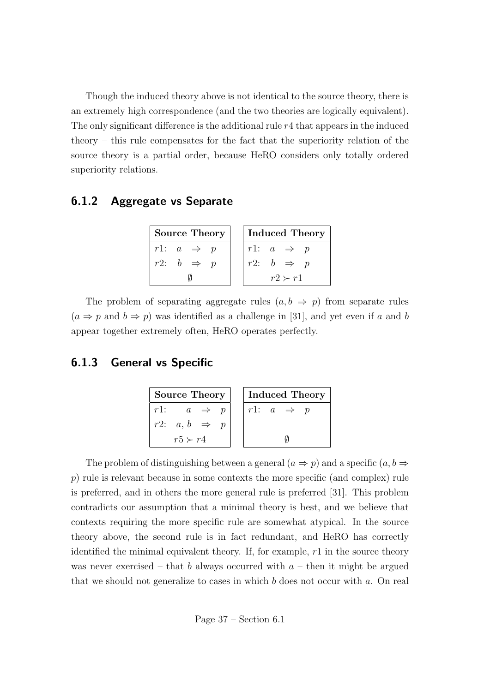Though the induced theory above is not identical to the source theory, there is an extremely high correspondence (and the two theories are logically equivalent). The only significant difference is the additional rule  $r<sub>4</sub>$  that appears in the induced theory – this rule compensates for the fact that the superiority relation of the source theory is a partial order, because HeRO considers only totally ordered superiority relations.

#### 6.1.2 Aggregate vs Separate

| <b>Source Theory</b>  | <b>Induced Theory</b> |
|-----------------------|-----------------------|
| $r1: a \Rightarrow p$ | r1: $a \Rightarrow p$ |
| $r2: b \Rightarrow p$ | $r2: b \Rightarrow p$ |
|                       | $r2 \succ r1$         |

The problem of separating aggregate rules  $(a, b \Rightarrow p)$  from separate rules  $(a \Rightarrow p \text{ and } b \Rightarrow p)$  was identified as a challenge in [31], and yet even if a and b appear together extremely often, HeRO operates perfectly.

#### 6.1.3 General vs Specific

| <b>Source Theory</b>        | <b>Induced Theory</b> |
|-----------------------------|-----------------------|
| $r1$ :<br>$a \Rightarrow p$ | r1: $a \Rightarrow p$ |
| $r2: a, b \Rightarrow$      |                       |
| $r5 \succ r4$               |                       |

The problem of distinguishing between a general  $(a \Rightarrow p)$  and a specific  $(a, b \Rightarrow p)$ p) rule is relevant because in some contexts the more specific (and complex) rule is preferred, and in others the more general rule is preferred [31]. This problem contradicts our assumption that a minimal theory is best, and we believe that contexts requiring the more specific rule are somewhat atypical. In the source theory above, the second rule is in fact redundant, and HeRO has correctly identified the minimal equivalent theory. If, for example,  $r1$  in the source theory was never exercised – that b always occurred with  $a$  – then it might be argued that we should not generalize to cases in which  $b$  does not occur with  $a$ . On real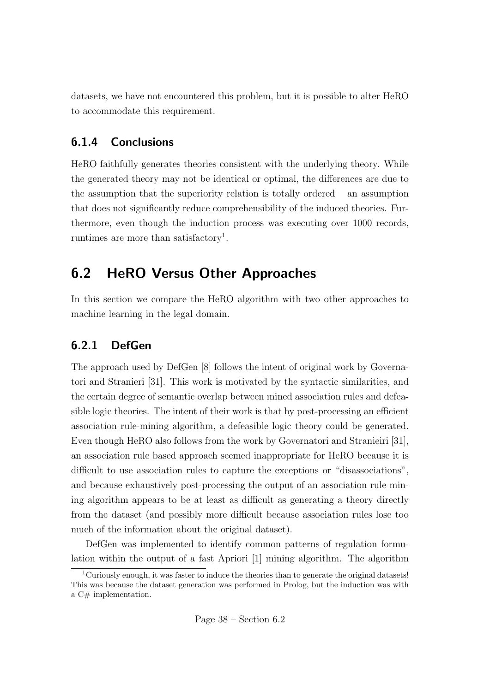datasets, we have not encountered this problem, but it is possible to alter HeRO to accommodate this requirement.

### 6.1.4 Conclusions

HeRO faithfully generates theories consistent with the underlying theory. While the generated theory may not be identical or optimal, the differences are due to the assumption that the superiority relation is totally ordered – an assumption that does not significantly reduce comprehensibility of the induced theories. Furthermore, even though the induction process was executing over 1000 records, runtimes are more than satisfactory<sup>1</sup>.

### 6.2 HeRO Versus Other Approaches

In this section we compare the HeRO algorithm with two other approaches to machine learning in the legal domain.

### 6.2.1 DefGen

The approach used by DefGen [8] follows the intent of original work by Governatori and Stranieri [31]. This work is motivated by the syntactic similarities, and the certain degree of semantic overlap between mined association rules and defeasible logic theories. The intent of their work is that by post-processing an efficient association rule-mining algorithm, a defeasible logic theory could be generated. Even though HeRO also follows from the work by Governatori and Stranieiri [31], an association rule based approach seemed inappropriate for HeRO because it is difficult to use association rules to capture the exceptions or "disassociations", and because exhaustively post-processing the output of an association rule mining algorithm appears to be at least as difficult as generating a theory directly from the dataset (and possibly more difficult because association rules lose too much of the information about the original dataset).

DefGen was implemented to identify common patterns of regulation formulation within the output of a fast Apriori [1] mining algorithm. The algorithm

Page 38 – Section 6.2

<sup>&</sup>lt;sup>1</sup>Curiously enough, it was faster to induce the theories than to generate the original datasets! This was because the dataset generation was performed in Prolog, but the induction was with a C# implementation.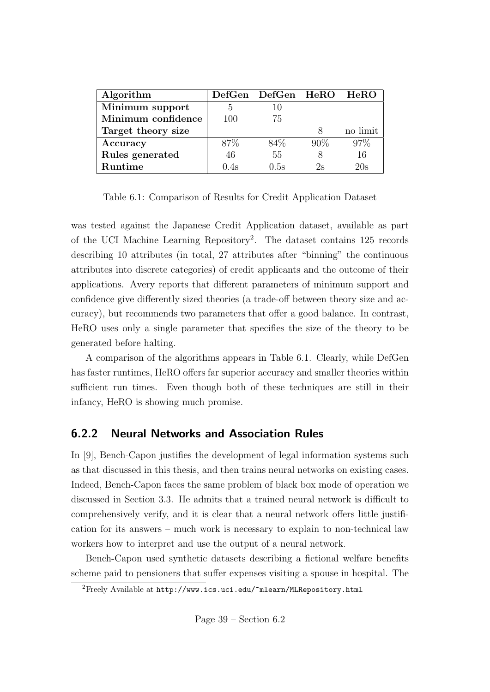| Algorithm          |      | DefGen DefGen HeRO HeRO |        |          |
|--------------------|------|-------------------------|--------|----------|
| Minimum support    | 5    |                         |        |          |
| Minimum confidence | 100  | 75                      |        |          |
| Target theory size |      |                         | Χ      | no limit |
| Accuracy           | 87\% | 84\%                    | $90\%$ | 97%      |
| Rules generated    | 46   | 55                      |        | 16       |
| <b>Runtime</b>     | 0.4s | 0.5s                    | 2s     | 20s      |

Table 6.1: Comparison of Results for Credit Application Dataset

was tested against the Japanese Credit Application dataset, available as part of the UCI Machine Learning Repository<sup>2</sup> . The dataset contains 125 records describing 10 attributes (in total, 27 attributes after "binning" the continuous attributes into discrete categories) of credit applicants and the outcome of their applications. Avery reports that different parameters of minimum support and confidence give differently sized theories (a trade-off between theory size and accuracy), but recommends two parameters that offer a good balance. In contrast, HeRO uses only a single parameter that specifies the size of the theory to be generated before halting.

A comparison of the algorithms appears in Table 6.1. Clearly, while DefGen has faster runtimes, HeRO offers far superior accuracy and smaller theories within sufficient run times. Even though both of these techniques are still in their infancy, HeRO is showing much promise.

#### 6.2.2 Neural Networks and Association Rules

In [9], Bench-Capon justifies the development of legal information systems such as that discussed in this thesis, and then trains neural networks on existing cases. Indeed, Bench-Capon faces the same problem of black box mode of operation we discussed in Section 3.3. He admits that a trained neural network is difficult to comprehensively verify, and it is clear that a neural network offers little justification for its answers – much work is necessary to explain to non-technical law workers how to interpret and use the output of a neural network.

Bench-Capon used synthetic datasets describing a fictional welfare benefits scheme paid to pensioners that suffer expenses visiting a spouse in hospital. The

<sup>&</sup>lt;sup>2</sup>Freely Available at http://www.ics.uci.edu/~mlearn/MLRepository.html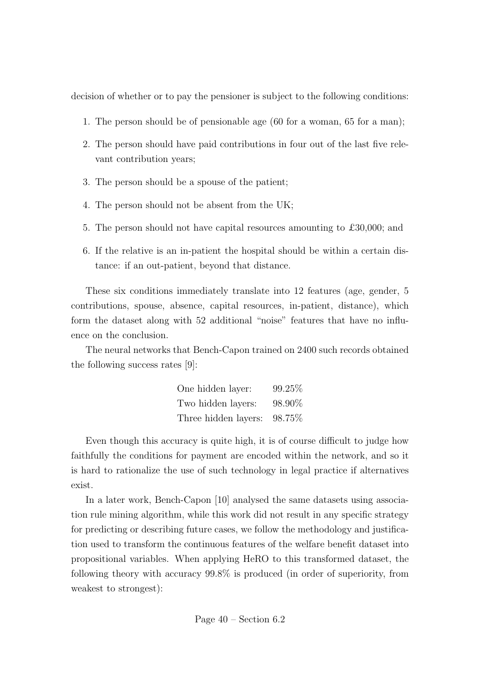decision of whether or to pay the pensioner is subject to the following conditions:

- 1. The person should be of pensionable age (60 for a woman, 65 for a man);
- 2. The person should have paid contributions in four out of the last five relevant contribution years;
- 3. The person should be a spouse of the patient;
- 4. The person should not be absent from the UK;
- 5. The person should not have capital resources amounting to £30,000; and
- 6. If the relative is an in-patient the hospital should be within a certain distance: if an out-patient, beyond that distance.

These six conditions immediately translate into 12 features (age, gender, 5 contributions, spouse, absence, capital resources, in-patient, distance), which form the dataset along with 52 additional "noise" features that have no influence on the conclusion.

The neural networks that Bench-Capon trained on 2400 such records obtained the following success rates [9]:

| One hidden layer:    | 99.25% |
|----------------------|--------|
| Two hidden layers:   | 98.90% |
| Three hidden layers: | 98.75% |

Even though this accuracy is quite high, it is of course difficult to judge how faithfully the conditions for payment are encoded within the network, and so it is hard to rationalize the use of such technology in legal practice if alternatives exist.

In a later work, Bench-Capon [10] analysed the same datasets using association rule mining algorithm, while this work did not result in any specific strategy for predicting or describing future cases, we follow the methodology and justification used to transform the continuous features of the welfare benefit dataset into propositional variables. When applying HeRO to this transformed dataset, the following theory with accuracy 99.8% is produced (in order of superiority, from weakest to strongest):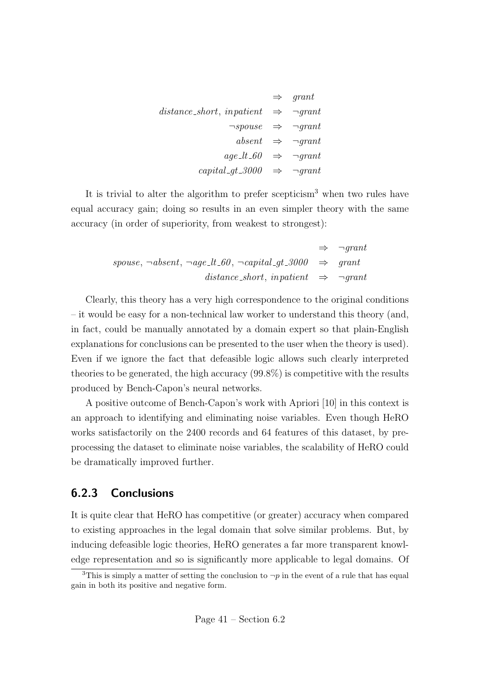|                                                        | $\Rightarrow$ qrant                      |
|--------------------------------------------------------|------------------------------------------|
| distance short, in patient $\Rightarrow$ $\neg$ grant  |                                          |
| $\neg s\textit{pouse} \Rightarrow \neg \textit{grant}$ |                                          |
|                                                        | absent $\Rightarrow$ $\neg$ <i>qrant</i> |
| $age\_lt\_60 \Rightarrow \neg grant$                   |                                          |
| capital_gt_3000 $\Rightarrow$ $\neg grant$             |                                          |

It is trivial to alter the algorithm to prefer scepticism<sup>3</sup> when two rules have equal accuracy gain; doing so results in an even simpler theory with the same accuracy (in order of superiority, from weakest to strongest):

$$
\Rightarrow \neg grant
$$
  
spouse,  $\neg absent$ ,  $\neg age\_\text{l}t\_\text{l}60$ ,  $\neg capital\_\text{gt}\_\text{l}3000$   $\Rightarrow$  grant  
distance\\_\text{l}4.5000  
distance\\_\text{l}4.5000  
constant  $\Rightarrow$   $\neg grant$ 

Clearly, this theory has a very high correspondence to the original conditions – it would be easy for a non-technical law worker to understand this theory (and, in fact, could be manually annotated by a domain expert so that plain-English explanations for conclusions can be presented to the user when the theory is used). Even if we ignore the fact that defeasible logic allows such clearly interpreted theories to be generated, the high accuracy (99.8%) is competitive with the results produced by Bench-Capon's neural networks.

A positive outcome of Bench-Capon's work with Apriori [10] in this context is an approach to identifying and eliminating noise variables. Even though HeRO works satisfactorily on the 2400 records and 64 features of this dataset, by preprocessing the dataset to eliminate noise variables, the scalability of HeRO could be dramatically improved further.

#### 6.2.3 Conclusions

It is quite clear that HeRO has competitive (or greater) accuracy when compared to existing approaches in the legal domain that solve similar problems. But, by inducing defeasible logic theories, HeRO generates a far more transparent knowledge representation and so is significantly more applicable to legal domains. Of

<sup>&</sup>lt;sup>3</sup>This is simply a matter of setting the conclusion to  $\neg p$  in the event of a rule that has equal gain in both its positive and negative form.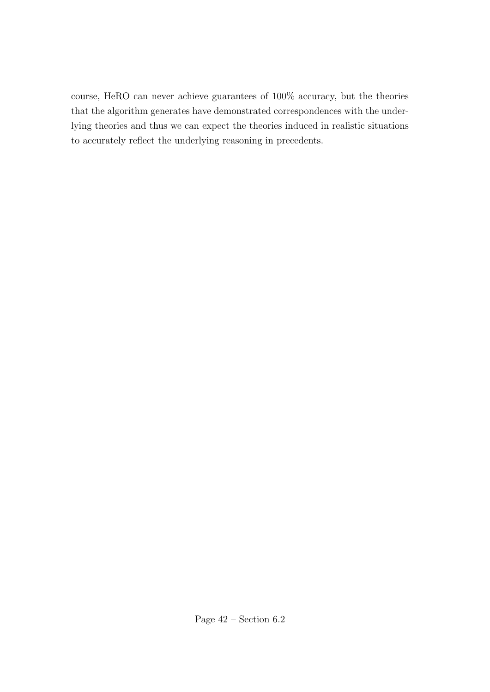course, HeRO can never achieve guarantees of 100% accuracy, but the theories that the algorithm generates have demonstrated correspondences with the underlying theories and thus we can expect the theories induced in realistic situations to accurately reflect the underlying reasoning in precedents.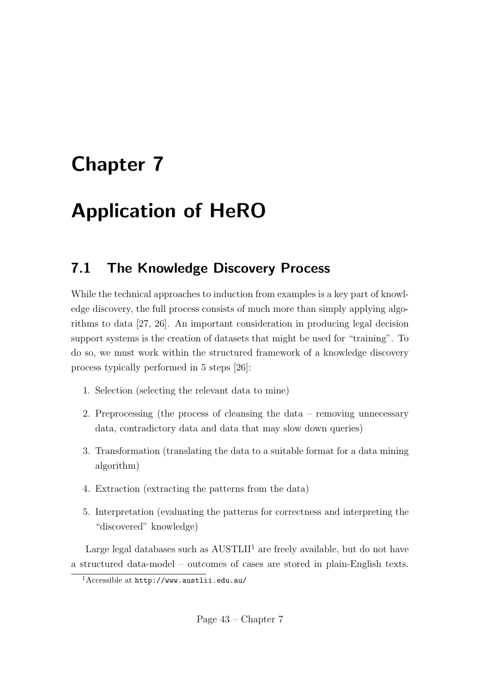# Chapter 7

# Application of HeRO

### 7.1 The Knowledge Discovery Process

While the technical approaches to induction from examples is a key part of knowledge discovery, the full process consists of much more than simply applying algorithms to data [27, 26]. An important consideration in producing legal decision support systems is the creation of datasets that might be used for "training". To do so, we must work within the structured framework of a knowledge discovery process typically performed in 5 steps [26]:

- 1. Selection (selecting the relevant data to mine)
- 2. Preprocessing (the process of cleansing the data removing unnecessary data, contradictory data and data that may slow down queries)
- 3. Transformation (translating the data to a suitable format for a data mining algorithm)
- 4. Extraction (extracting the patterns from the data)
- 5. Interpretation (evaluating the patterns for correctness and interpreting the "discovered" knowledge)

Large legal databases such as  $\text{AUSTLII}^1$  are freely available, but do not have a structured data-model – outcomes of cases are stored in plain-English texts.

<sup>1</sup>Accessible at http://www.austlii.edu.au/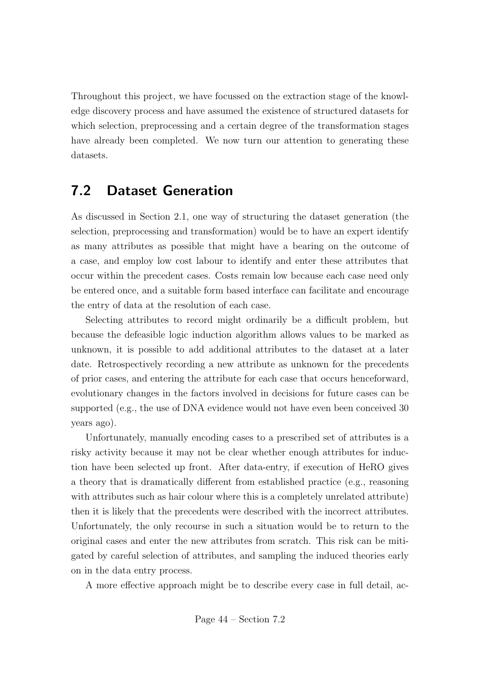Throughout this project, we have focussed on the extraction stage of the knowledge discovery process and have assumed the existence of structured datasets for which selection, preprocessing and a certain degree of the transformation stages have already been completed. We now turn our attention to generating these datasets.

### 7.2 Dataset Generation

As discussed in Section 2.1, one way of structuring the dataset generation (the selection, preprocessing and transformation) would be to have an expert identify as many attributes as possible that might have a bearing on the outcome of a case, and employ low cost labour to identify and enter these attributes that occur within the precedent cases. Costs remain low because each case need only be entered once, and a suitable form based interface can facilitate and encourage the entry of data at the resolution of each case.

Selecting attributes to record might ordinarily be a difficult problem, but because the defeasible logic induction algorithm allows values to be marked as unknown, it is possible to add additional attributes to the dataset at a later date. Retrospectively recording a new attribute as unknown for the precedents of prior cases, and entering the attribute for each case that occurs henceforward, evolutionary changes in the factors involved in decisions for future cases can be supported (e.g., the use of DNA evidence would not have even been conceived 30 years ago).

Unfortunately, manually encoding cases to a prescribed set of attributes is a risky activity because it may not be clear whether enough attributes for induction have been selected up front. After data-entry, if execution of HeRO gives a theory that is dramatically different from established practice (e.g., reasoning with attributes such as hair colour where this is a completely unrelated attribute) then it is likely that the precedents were described with the incorrect attributes. Unfortunately, the only recourse in such a situation would be to return to the original cases and enter the new attributes from scratch. This risk can be mitigated by careful selection of attributes, and sampling the induced theories early on in the data entry process.

A more effective approach might be to describe every case in full detail, ac-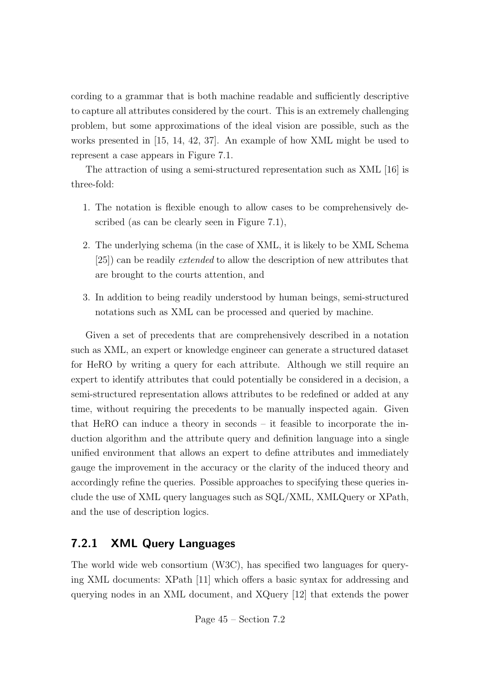cording to a grammar that is both machine readable and sufficiently descriptive to capture all attributes considered by the court. This is an extremely challenging problem, but some approximations of the ideal vision are possible, such as the works presented in [15, 14, 42, 37]. An example of how XML might be used to represent a case appears in Figure 7.1.

The attraction of using a semi-structured representation such as XML [16] is three-fold:

- 1. The notation is flexible enough to allow cases to be comprehensively described (as can be clearly seen in Figure 7.1),
- 2. The underlying schema (in the case of XML, it is likely to be XML Schema [25]) can be readily extended to allow the description of new attributes that are brought to the courts attention, and
- 3. In addition to being readily understood by human beings, semi-structured notations such as XML can be processed and queried by machine.

Given a set of precedents that are comprehensively described in a notation such as XML, an expert or knowledge engineer can generate a structured dataset for HeRO by writing a query for each attribute. Although we still require an expert to identify attributes that could potentially be considered in a decision, a semi-structured representation allows attributes to be redefined or added at any time, without requiring the precedents to be manually inspected again. Given that HeRO can induce a theory in seconds – it feasible to incorporate the induction algorithm and the attribute query and definition language into a single unified environment that allows an expert to define attributes and immediately gauge the improvement in the accuracy or the clarity of the induced theory and accordingly refine the queries. Possible approaches to specifying these queries include the use of XML query languages such as SQL/XML, XMLQuery or XPath, and the use of description logics.

#### 7.2.1 XML Query Languages

The world wide web consortium (W3C), has specified two languages for querying XML documents: XPath [11] which offers a basic syntax for addressing and querying nodes in an XML document, and XQuery [12] that extends the power

Page 45 – Section 7.2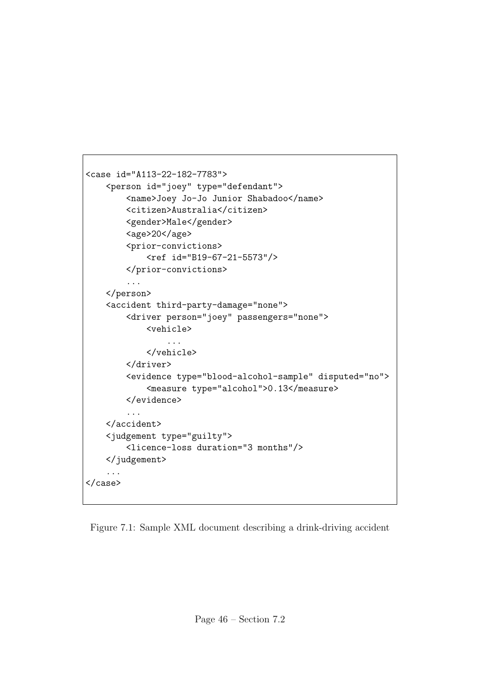```
<case id="A113-22-182-7783">
    <person id="joey" type="defendant">
        <name>Joey Jo-Jo Junior Shabadoo</name>
        <citizen>Australia</citizen>
        <gender>Male</gender>
        <age>20</age>
        <prior-convictions>
            <ref id="B19-67-21-5573"/>
        </prior-convictions>
        ...
    </person>
    <accident third-party-damage="none">
        <driver person="joey" passengers="none">
            <vehicle>
                ...
            </vehicle>
        </driver>
        <evidence type="blood-alcohol-sample" disputed="no">
            <measure type="alcohol">0.13</measure>
        </evidence>
        ...
    </accident>
    <judgement type="guilty">
        <licence-loss duration="3 months"/>
   </judgement>
    ...
</case>
```
Figure 7.1: Sample XML document describing a drink-driving accident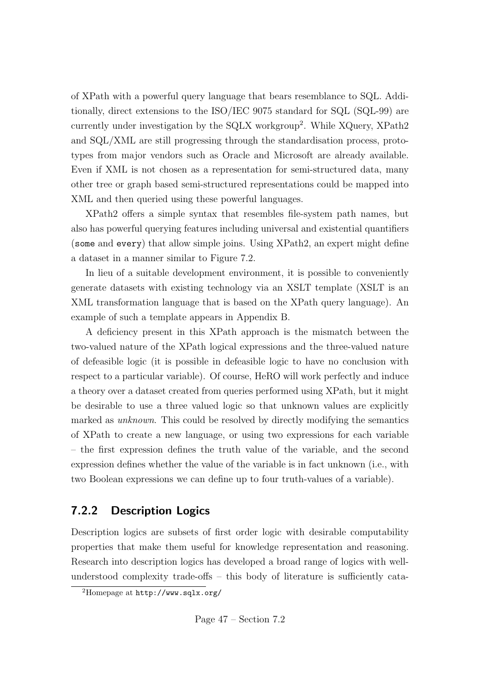of XPath with a powerful query language that bears resemblance to SQL. Additionally, direct extensions to the ISO/IEC 9075 standard for SQL (SQL-99) are currently under investigation by the SQLX workgroup<sup>2</sup>. While XQuery, XPath2 and SQL/XML are still progressing through the standardisation process, prototypes from major vendors such as Oracle and Microsoft are already available. Even if XML is not chosen as a representation for semi-structured data, many other tree or graph based semi-structured representations could be mapped into XML and then queried using these powerful languages.

XPath2 offers a simple syntax that resembles file-system path names, but also has powerful querying features including universal and existential quantifiers (some and every) that allow simple joins. Using XPath2, an expert might define a dataset in a manner similar to Figure 7.2.

In lieu of a suitable development environment, it is possible to conveniently generate datasets with existing technology via an XSLT template (XSLT is an XML transformation language that is based on the XPath query language). An example of such a template appears in Appendix B.

A deficiency present in this XPath approach is the mismatch between the two-valued nature of the XPath logical expressions and the three-valued nature of defeasible logic (it is possible in defeasible logic to have no conclusion with respect to a particular variable). Of course, HeRO will work perfectly and induce a theory over a dataset created from queries performed using XPath, but it might be desirable to use a three valued logic so that unknown values are explicitly marked as unknown. This could be resolved by directly modifying the semantics of XPath to create a new language, or using two expressions for each variable – the first expression defines the truth value of the variable, and the second expression defines whether the value of the variable is in fact unknown (i.e., with two Boolean expressions we can define up to four truth-values of a variable).

#### 7.2.2 Description Logics

Description logics are subsets of first order logic with desirable computability properties that make them useful for knowledge representation and reasoning. Research into description logics has developed a broad range of logics with wellunderstood complexity trade-offs – this body of literature is sufficiently cata-

<sup>2</sup>Homepage at http://www.sqlx.org/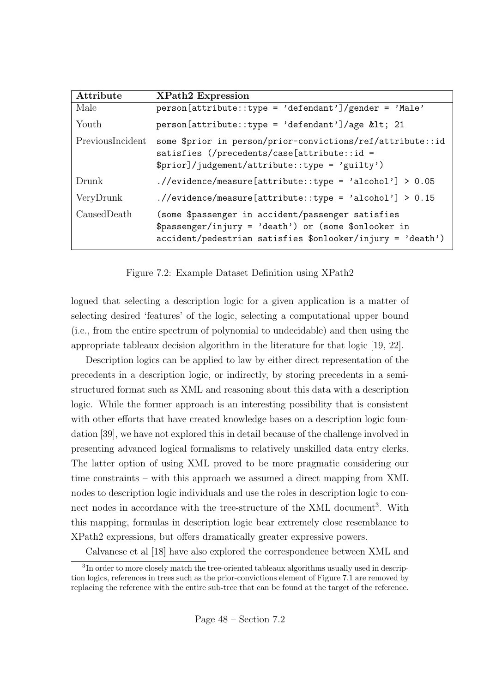| Attribute        | <b>XPath2 Expression</b>                                                                                                                                                   |
|------------------|----------------------------------------------------------------------------------------------------------------------------------------------------------------------------|
| Male             | $person[attribute::type = 'defendant']/gender = 'Male'$                                                                                                                    |
| Youth            | person[attribute::type = 'defendant']/age < 21                                                                                                                             |
| PreviousIncident | some \$prior in person/prior-convictions/ref/attribute::id<br>satisfies $\frac{1}{2}$ (/precedents/case [attribute::id =<br>\$prior]/judgement/attribute::type = 'guilty') |
| Drunk            | $./$ /evidence/measure[attribute::type = 'alcohol'] > 0.05                                                                                                                 |
| VeryDrunk        | $./$ /evidence/measure[attribute::type = 'alcohol'] > 0.15                                                                                                                 |
| CausedDeath      | (some \$passenger in accident/passenger satisfies<br>\$passenger/injury = 'death') or (some \$onlooker in<br>accident/pedestrian satisfies \$onlooker/injury = 'death')    |

Figure 7.2: Example Dataset Definition using XPath2

logued that selecting a description logic for a given application is a matter of selecting desired 'features' of the logic, selecting a computational upper bound (i.e., from the entire spectrum of polynomial to undecidable) and then using the appropriate tableaux decision algorithm in the literature for that logic [19, 22].

Description logics can be applied to law by either direct representation of the precedents in a description logic, or indirectly, by storing precedents in a semistructured format such as XML and reasoning about this data with a description logic. While the former approach is an interesting possibility that is consistent with other efforts that have created knowledge bases on a description logic foundation [39], we have not explored this in detail because of the challenge involved in presenting advanced logical formalisms to relatively unskilled data entry clerks. The latter option of using XML proved to be more pragmatic considering our time constraints – with this approach we assumed a direct mapping from XML nodes to description logic individuals and use the roles in description logic to connect nodes in accordance with the tree-structure of the XML document<sup>3</sup>. With this mapping, formulas in description logic bear extremely close resemblance to XPath2 expressions, but offers dramatically greater expressive powers.

Calvanese et al [18] have also explored the correspondence between XML and

<sup>&</sup>lt;sup>3</sup>In order to more closely match the tree-oriented tableaux algorithms usually used in description logics, references in trees such as the prior-convictions element of Figure 7.1 are removed by replacing the reference with the entire sub-tree that can be found at the target of the reference.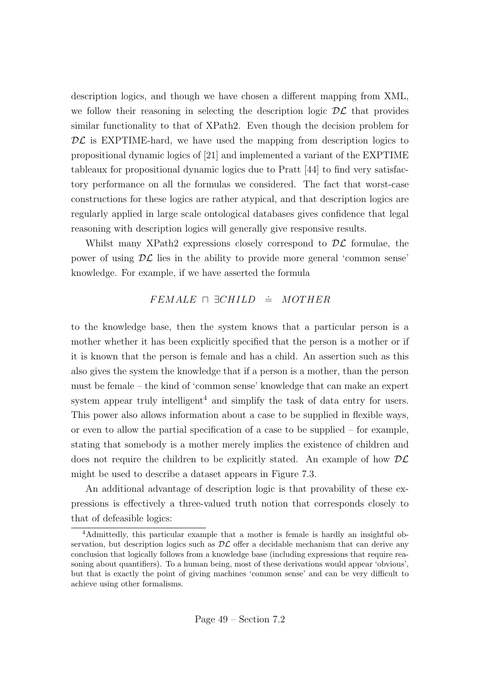description logics, and though we have chosen a different mapping from XML, we follow their reasoning in selecting the description logic  $\mathcal{DL}$  that provides similar functionality to that of XPath2. Even though the decision problem for  $\mathcal{DL}$  is EXPTIME-hard, we have used the mapping from description logics to propositional dynamic logics of [21] and implemented a variant of the EXPTIME tableaux for propositional dynamic logics due to Pratt [44] to find very satisfactory performance on all the formulas we considered. The fact that worst-case constructions for these logics are rather atypical, and that description logics are regularly applied in large scale ontological databases gives confidence that legal reasoning with description logics will generally give responsive results.

Whilst many XPath2 expressions closely correspond to  $\mathcal{DL}$  formulae, the power of using  $\mathcal{DL}$  lies in the ability to provide more general 'common sense' knowledge. For example, if we have asserted the formula

#### $F E M A L E \sqcap \exists CHILD \doteq MOTHER$

to the knowledge base, then the system knows that a particular person is a mother whether it has been explicitly specified that the person is a mother or if it is known that the person is female and has a child. An assertion such as this also gives the system the knowledge that if a person is a mother, than the person must be female – the kind of 'common sense' knowledge that can make an expert system appear truly intelligent<sup>4</sup> and simplify the task of data entry for users. This power also allows information about a case to be supplied in flexible ways, or even to allow the partial specification of a case to be supplied – for example, stating that somebody is a mother merely implies the existence of children and does not require the children to be explicitly stated. An example of how  $D\mathcal{L}$ might be used to describe a dataset appears in Figure 7.3.

An additional advantage of description logic is that provability of these expressions is effectively a three-valued truth notion that corresponds closely to that of defeasible logics:

<sup>4</sup>Admittedly, this particular example that a mother is female is hardly an insightful observation, but description logics such as  $\mathcal{DL}$  offer a decidable mechanism that can derive any conclusion that logically follows from a knowledge base (including expressions that require reasoning about quantifiers). To a human being, most of these derivations would appear 'obvious', but that is exactly the point of giving machines 'common sense' and can be very difficult to achieve using other formalisms.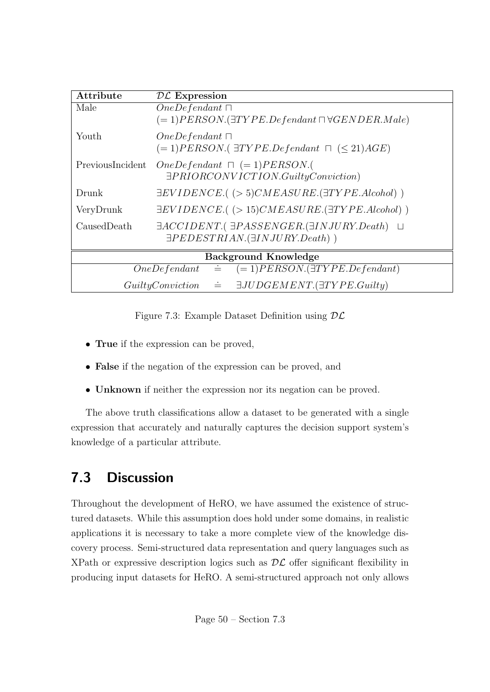| Attribute                                                             | $\mathcal{DL}$ Expression                                                                                                     |  |
|-----------------------------------------------------------------------|-------------------------------------------------------------------------------------------------------------------------------|--|
| Male                                                                  | $OneDefendant \sqcap$<br>$(=1) PERSON.(\exists TYPE. Defendant \sqcap \forall GENDER. Male)$                                  |  |
| Youth                                                                 | $OneDefendant \sqcap$<br>$(=1) PERSON.$ ( $\exists TYPE. Defendant \cap (\leq 21)AGE$ )                                       |  |
| PreviousIncident                                                      | $OneDefendant \cap (=1) PERSON.$<br>$\exists PRIORCONVICTION.GuillyConviction)$                                               |  |
| Drunk                                                                 | $\exists EVIDENCE.$ ( $>5) CMEASURE.$ $(\exists TYPE. A lcohol)$ )                                                            |  |
| VeryDrunk                                                             | $\exists EVIDENCE.$ ( $> 15) CMEASURE.$ $(\exists TYPE. A lcohol)$ )                                                          |  |
| CausedDeath                                                           | $\exists ACCIDENT. ( \exists PASSENGER. (\exists INJURY. Death ) \ \sqcup$<br>$\exists PEDESTRIAN. (\exists INJURY. Death)$ ) |  |
| <b>Background Knowledge</b>                                           |                                                                                                                               |  |
| $(=1) PERSON.(\exists TYPE. Defendant)$<br>$OneDefendant \doteq$      |                                                                                                                               |  |
| $\exists JUDGEMENT.(\exists TYPE.Guily)$<br>$GuiltyConviction \doteq$ |                                                                                                                               |  |

Figure 7.3: Example Dataset Definition using DL

- **True** if the expression can be proved,
- False if the negation of the expression can be proved, and
- Unknown if neither the expression nor its negation can be proved.

The above truth classifications allow a dataset to be generated with a single expression that accurately and naturally captures the decision support system's knowledge of a particular attribute.

### 7.3 Discussion

Throughout the development of HeRO, we have assumed the existence of structured datasets. While this assumption does hold under some domains, in realistic applications it is necessary to take a more complete view of the knowledge discovery process. Semi-structured data representation and query languages such as XPath or expressive description logics such as  $\mathcal{DL}$  offer significant flexibility in producing input datasets for HeRO. A semi-structured approach not only allows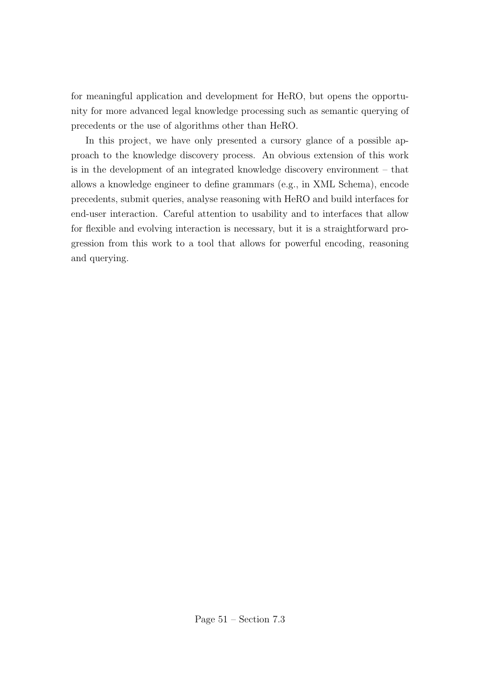for meaningful application and development for HeRO, but opens the opportunity for more advanced legal knowledge processing such as semantic querying of precedents or the use of algorithms other than HeRO.

In this project, we have only presented a cursory glance of a possible approach to the knowledge discovery process. An obvious extension of this work is in the development of an integrated knowledge discovery environment – that allows a knowledge engineer to define grammars (e.g., in XML Schema), encode precedents, submit queries, analyse reasoning with HeRO and build interfaces for end-user interaction. Careful attention to usability and to interfaces that allow for flexible and evolving interaction is necessary, but it is a straightforward progression from this work to a tool that allows for powerful encoding, reasoning and querying.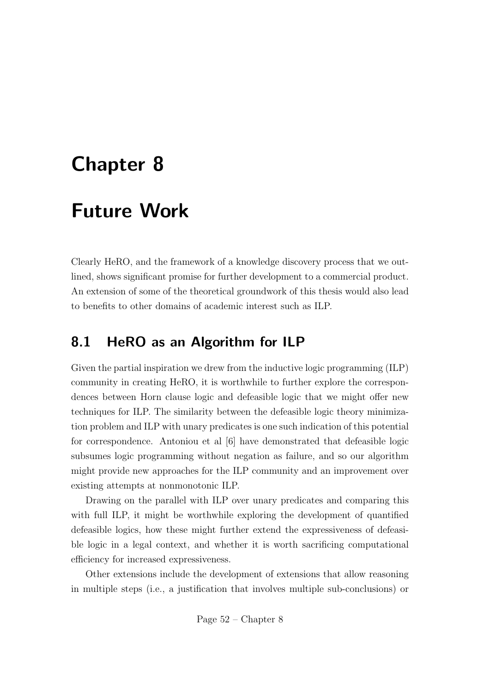## Chapter 8

## Future Work

Clearly HeRO, and the framework of a knowledge discovery process that we outlined, shows significant promise for further development to a commercial product. An extension of some of the theoretical groundwork of this thesis would also lead to benefits to other domains of academic interest such as ILP.

### 8.1 HeRO as an Algorithm for ILP

Given the partial inspiration we drew from the inductive logic programming (ILP) community in creating HeRO, it is worthwhile to further explore the correspondences between Horn clause logic and defeasible logic that we might offer new techniques for ILP. The similarity between the defeasible logic theory minimization problem and ILP with unary predicates is one such indication of this potential for correspondence. Antoniou et al [6] have demonstrated that defeasible logic subsumes logic programming without negation as failure, and so our algorithm might provide new approaches for the ILP community and an improvement over existing attempts at nonmonotonic ILP.

Drawing on the parallel with ILP over unary predicates and comparing this with full ILP, it might be worthwhile exploring the development of quantified defeasible logics, how these might further extend the expressiveness of defeasible logic in a legal context, and whether it is worth sacrificing computational efficiency for increased expressiveness.

Other extensions include the development of extensions that allow reasoning in multiple steps (i.e., a justification that involves multiple sub-conclusions) or

Page 52 – Chapter 8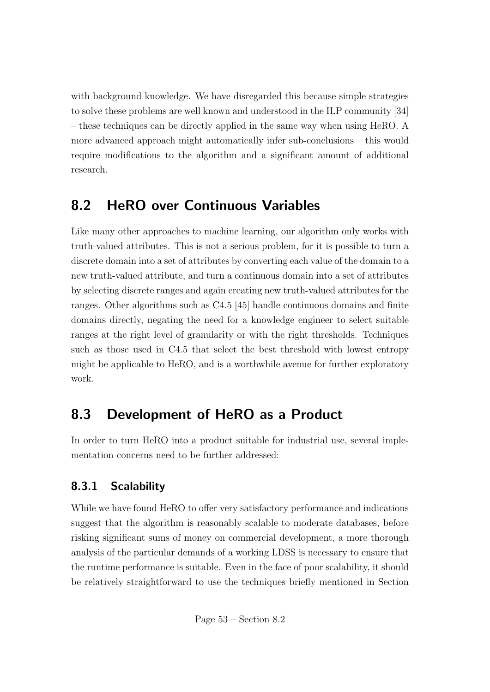with background knowledge. We have disregarded this because simple strategies to solve these problems are well known and understood in the ILP community [34] – these techniques can be directly applied in the same way when using HeRO. A more advanced approach might automatically infer sub-conclusions – this would require modifications to the algorithm and a significant amount of additional research.

### 8.2 HeRO over Continuous Variables

Like many other approaches to machine learning, our algorithm only works with truth-valued attributes. This is not a serious problem, for it is possible to turn a discrete domain into a set of attributes by converting each value of the domain to a new truth-valued attribute, and turn a continuous domain into a set of attributes by selecting discrete ranges and again creating new truth-valued attributes for the ranges. Other algorithms such as C4.5 [45] handle continuous domains and finite domains directly, negating the need for a knowledge engineer to select suitable ranges at the right level of granularity or with the right thresholds. Techniques such as those used in C4.5 that select the best threshold with lowest entropy might be applicable to HeRO, and is a worthwhile avenue for further exploratory work.

### 8.3 Development of HeRO as a Product

In order to turn HeRO into a product suitable for industrial use, several implementation concerns need to be further addressed:

### 8.3.1 Scalability

While we have found HeRO to offer very satisfactory performance and indications suggest that the algorithm is reasonably scalable to moderate databases, before risking significant sums of money on commercial development, a more thorough analysis of the particular demands of a working LDSS is necessary to ensure that the runtime performance is suitable. Even in the face of poor scalability, it should be relatively straightforward to use the techniques briefly mentioned in Section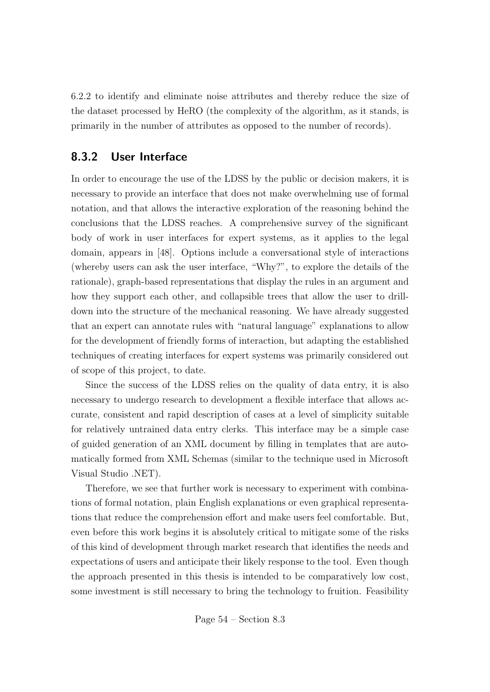6.2.2 to identify and eliminate noise attributes and thereby reduce the size of the dataset processed by HeRO (the complexity of the algorithm, as it stands, is primarily in the number of attributes as opposed to the number of records).

#### 8.3.2 User Interface

In order to encourage the use of the LDSS by the public or decision makers, it is necessary to provide an interface that does not make overwhelming use of formal notation, and that allows the interactive exploration of the reasoning behind the conclusions that the LDSS reaches. A comprehensive survey of the significant body of work in user interfaces for expert systems, as it applies to the legal domain, appears in [48]. Options include a conversational style of interactions (whereby users can ask the user interface, "Why?", to explore the details of the rationale), graph-based representations that display the rules in an argument and how they support each other, and collapsible trees that allow the user to drilldown into the structure of the mechanical reasoning. We have already suggested that an expert can annotate rules with "natural language" explanations to allow for the development of friendly forms of interaction, but adapting the established techniques of creating interfaces for expert systems was primarily considered out of scope of this project, to date.

Since the success of the LDSS relies on the quality of data entry, it is also necessary to undergo research to development a flexible interface that allows accurate, consistent and rapid description of cases at a level of simplicity suitable for relatively untrained data entry clerks. This interface may be a simple case of guided generation of an XML document by filling in templates that are automatically formed from XML Schemas (similar to the technique used in Microsoft Visual Studio .NET).

Therefore, we see that further work is necessary to experiment with combinations of formal notation, plain English explanations or even graphical representations that reduce the comprehension effort and make users feel comfortable. But, even before this work begins it is absolutely critical to mitigate some of the risks of this kind of development through market research that identifies the needs and expectations of users and anticipate their likely response to the tool. Even though the approach presented in this thesis is intended to be comparatively low cost, some investment is still necessary to bring the technology to fruition. Feasibility

Page 54 – Section 8.3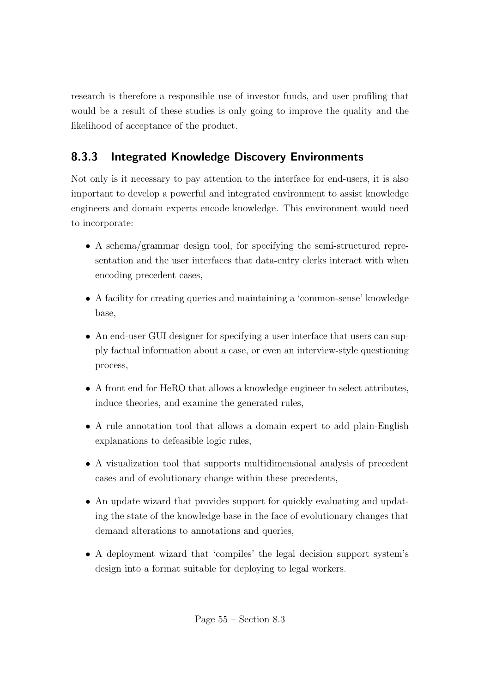research is therefore a responsible use of investor funds, and user profiling that would be a result of these studies is only going to improve the quality and the likelihood of acceptance of the product.

### 8.3.3 Integrated Knowledge Discovery Environments

Not only is it necessary to pay attention to the interface for end-users, it is also important to develop a powerful and integrated environment to assist knowledge engineers and domain experts encode knowledge. This environment would need to incorporate:

- A schema/grammar design tool, for specifying the semi-structured representation and the user interfaces that data-entry clerks interact with when encoding precedent cases,
- A facility for creating queries and maintaining a 'common-sense' knowledge base,
- An end-user GUI designer for specifying a user interface that users can supply factual information about a case, or even an interview-style questioning process,
- A front end for HeRO that allows a knowledge engineer to select attributes, induce theories, and examine the generated rules,
- A rule annotation tool that allows a domain expert to add plain-English explanations to defeasible logic rules,
- A visualization tool that supports multidimensional analysis of precedent cases and of evolutionary change within these precedents,
- An update wizard that provides support for quickly evaluating and updating the state of the knowledge base in the face of evolutionary changes that demand alterations to annotations and queries,
- A deployment wizard that 'compiles' the legal decision support system's design into a format suitable for deploying to legal workers.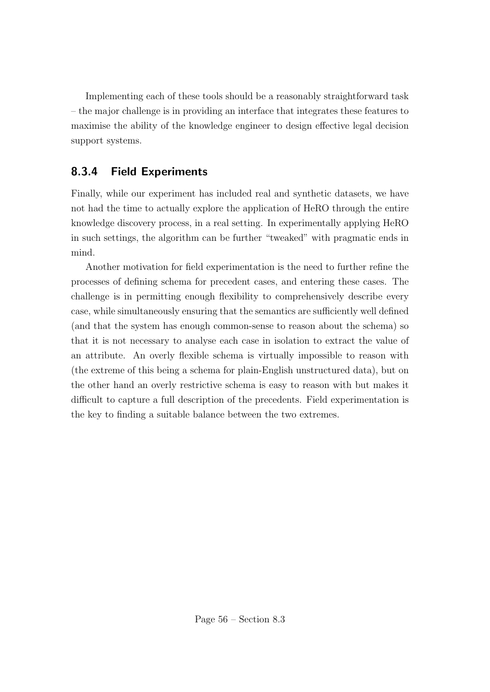Implementing each of these tools should be a reasonably straightforward task – the major challenge is in providing an interface that integrates these features to maximise the ability of the knowledge engineer to design effective legal decision support systems.

### 8.3.4 Field Experiments

Finally, while our experiment has included real and synthetic datasets, we have not had the time to actually explore the application of HeRO through the entire knowledge discovery process, in a real setting. In experimentally applying HeRO in such settings, the algorithm can be further "tweaked" with pragmatic ends in mind.

Another motivation for field experimentation is the need to further refine the processes of defining schema for precedent cases, and entering these cases. The challenge is in permitting enough flexibility to comprehensively describe every case, while simultaneously ensuring that the semantics are sufficiently well defined (and that the system has enough common-sense to reason about the schema) so that it is not necessary to analyse each case in isolation to extract the value of an attribute. An overly flexible schema is virtually impossible to reason with (the extreme of this being a schema for plain-English unstructured data), but on the other hand an overly restrictive schema is easy to reason with but makes it difficult to capture a full description of the precedents. Field experimentation is the key to finding a suitable balance between the two extremes.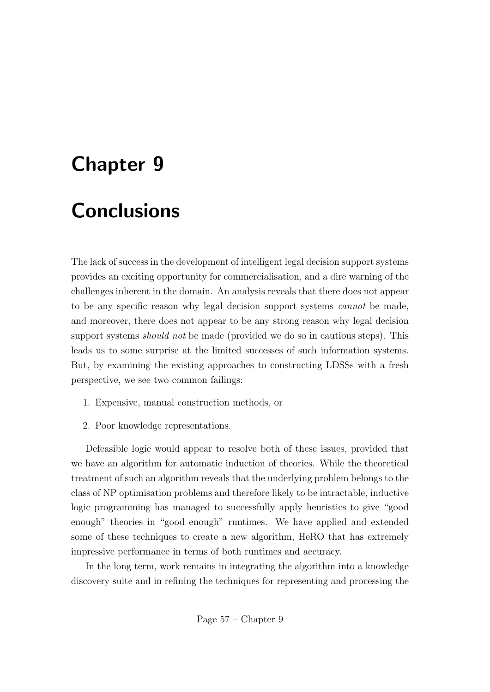# Chapter 9

# **Conclusions**

The lack of success in the development of intelligent legal decision support systems provides an exciting opportunity for commercialisation, and a dire warning of the challenges inherent in the domain. An analysis reveals that there does not appear to be any specific reason why legal decision support systems cannot be made, and moreover, there does not appear to be any strong reason why legal decision support systems *should not* be made (provided we do so in cautious steps). This leads us to some surprise at the limited successes of such information systems. But, by examining the existing approaches to constructing LDSSs with a fresh perspective, we see two common failings:

- 1. Expensive, manual construction methods, or
- 2. Poor knowledge representations.

Defeasible logic would appear to resolve both of these issues, provided that we have an algorithm for automatic induction of theories. While the theoretical treatment of such an algorithm reveals that the underlying problem belongs to the class of NP optimisation problems and therefore likely to be intractable, inductive logic programming has managed to successfully apply heuristics to give "good enough" theories in "good enough" runtimes. We have applied and extended some of these techniques to create a new algorithm, HeRO that has extremely impressive performance in terms of both runtimes and accuracy.

In the long term, work remains in integrating the algorithm into a knowledge discovery suite and in refining the techniques for representing and processing the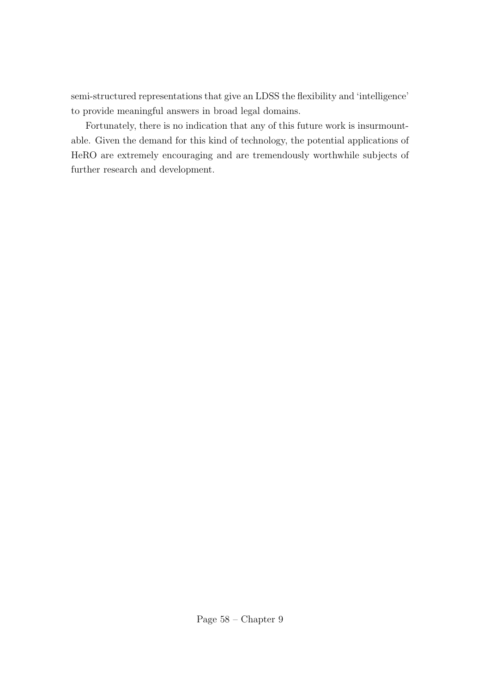semi-structured representations that give an LDSS the flexibility and 'intelligence' to provide meaningful answers in broad legal domains.

Fortunately, there is no indication that any of this future work is insurmountable. Given the demand for this kind of technology, the potential applications of HeRO are extremely encouraging and are tremendously worthwhile subjects of further research and development.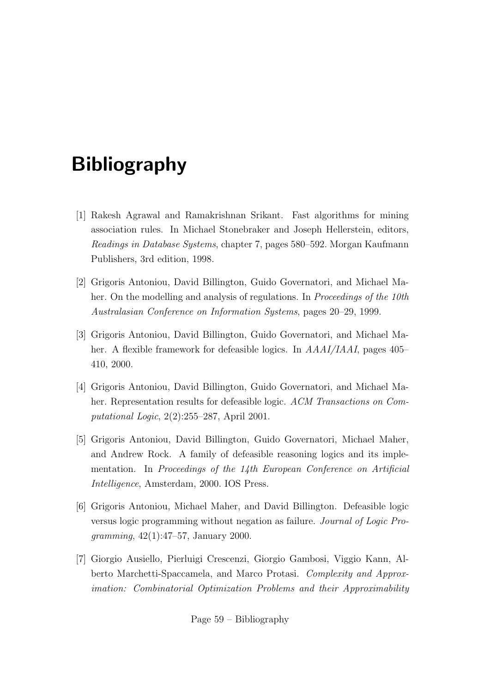# Bibliography

- [1] Rakesh Agrawal and Ramakrishnan Srikant. Fast algorithms for mining association rules. In Michael Stonebraker and Joseph Hellerstein, editors, Readings in Database Systems, chapter 7, pages 580–592. Morgan Kaufmann Publishers, 3rd edition, 1998.
- [2] Grigoris Antoniou, David Billington, Guido Governatori, and Michael Maher. On the modelling and analysis of regulations. In *Proceedings of the 10th* Australasian Conference on Information Systems, pages 20–29, 1999.
- [3] Grigoris Antoniou, David Billington, Guido Governatori, and Michael Maher. A flexible framework for defeasible logics. In  $AAAI/IAAI$ , pages 405– 410, 2000.
- [4] Grigoris Antoniou, David Billington, Guido Governatori, and Michael Maher. Representation results for defeasible logic. ACM Transactions on Computational Logic, 2(2):255–287, April 2001.
- [5] Grigoris Antoniou, David Billington, Guido Governatori, Michael Maher, and Andrew Rock. A family of defeasible reasoning logics and its implementation. In Proceedings of the 14th European Conference on Artificial Intelligence, Amsterdam, 2000. IOS Press.
- [6] Grigoris Antoniou, Michael Maher, and David Billington. Defeasible logic versus logic programming without negation as failure. Journal of Logic Programming, 42(1):47–57, January 2000.
- [7] Giorgio Ausiello, Pierluigi Crescenzi, Giorgio Gambosi, Viggio Kann, Alberto Marchetti-Spaccamela, and Marco Protasi. Complexity and Approximation: Combinatorial Optimization Problems and their Approximability

Page 59 – Bibliography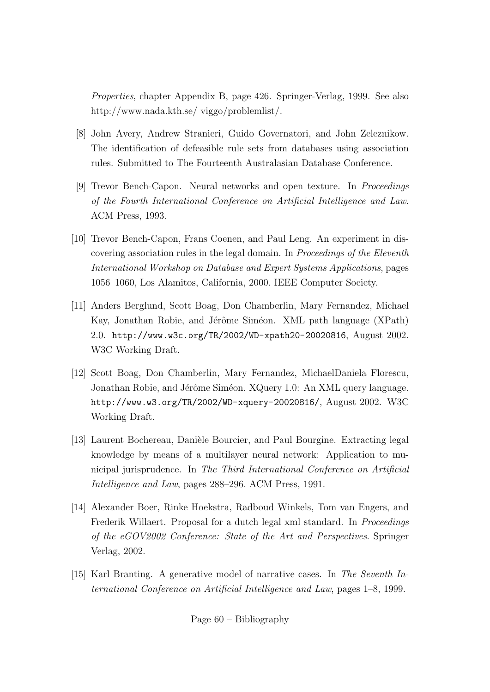Properties, chapter Appendix B, page 426. Springer-Verlag, 1999. See also http://www.nada.kth.se/ viggo/problemlist/.

- [8] John Avery, Andrew Stranieri, Guido Governatori, and John Zeleznikow. The identification of defeasible rule sets from databases using association rules. Submitted to The Fourteenth Australasian Database Conference.
- [9] Trevor Bench-Capon. Neural networks and open texture. In Proceedings of the Fourth International Conference on Artificial Intelligence and Law. ACM Press, 1993.
- [10] Trevor Bench-Capon, Frans Coenen, and Paul Leng. An experiment in discovering association rules in the legal domain. In Proceedings of the Eleventh International Workshop on Database and Expert Systems Applications, pages 1056–1060, Los Alamitos, California, 2000. IEEE Computer Society.
- [11] Anders Berglund, Scott Boag, Don Chamberlin, Mary Fernandez, Michael Kay, Jonathan Robie, and Jérôme Siméon. XML path language (XPath) 2.0. http://www.w3c.org/TR/2002/WD-xpath20-20020816, August 2002. W3C Working Draft.
- [12] Scott Boag, Don Chamberlin, Mary Fernandez, MichaelDaniela Florescu, Jonathan Robie, and Jérôme Siméon. XQuery 1.0: An XML query language. http://www.w3.org/TR/2002/WD-xquery-20020816/, August 2002. W3C Working Draft.
- [13] Laurent Bochereau, Danièle Bourcier, and Paul Bourgine. Extracting legal knowledge by means of a multilayer neural network: Application to municipal jurisprudence. In The Third International Conference on Artificial Intelligence and Law, pages 288–296. ACM Press, 1991.
- [14] Alexander Boer, Rinke Hoekstra, Radboud Winkels, Tom van Engers, and Frederik Willaert. Proposal for a dutch legal xml standard. In *Proceedings* of the eGOV2002 Conference: State of the Art and Perspectives. Springer Verlag, 2002.
- [15] Karl Branting. A generative model of narrative cases. In The Seventh International Conference on Artificial Intelligence and Law, pages 1–8, 1999.

Page 60 – Bibliography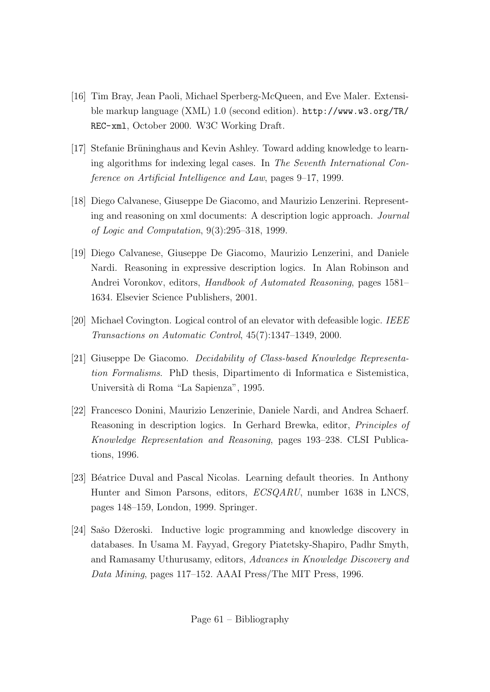- [16] Tim Bray, Jean Paoli, Michael Sperberg-McQueen, and Eve Maler. Extensible markup language (XML) 1.0 (second edition). http://www.w3.org/TR/ REC-xml, October 2000. W3C Working Draft.
- [17] Stefanie Brüninghaus and Kevin Ashley. Toward adding knowledge to learning algorithms for indexing legal cases. In The Seventh International Conference on Artificial Intelligence and Law, pages 9–17, 1999.
- [18] Diego Calvanese, Giuseppe De Giacomo, and Maurizio Lenzerini. Representing and reasoning on xml documents: A description logic approach. Journal of Logic and Computation, 9(3):295–318, 1999.
- [19] Diego Calvanese, Giuseppe De Giacomo, Maurizio Lenzerini, and Daniele Nardi. Reasoning in expressive description logics. In Alan Robinson and Andrei Voronkov, editors, Handbook of Automated Reasoning, pages 1581– 1634. Elsevier Science Publishers, 2001.
- [20] Michael Covington. Logical control of an elevator with defeasible logic. IEEE Transactions on Automatic Control, 45(7):1347–1349, 2000.
- [21] Giuseppe De Giacomo. Decidability of Class-based Knowledge Representation Formalisms. PhD thesis, Dipartimento di Informatica e Sistemistica, Universit`a di Roma "La Sapienza", 1995.
- [22] Francesco Donini, Maurizio Lenzerinie, Daniele Nardi, and Andrea Schaerf. Reasoning in description logics. In Gerhard Brewka, editor, Principles of Knowledge Representation and Reasoning, pages 193–238. CLSI Publications, 1996.
- [23] Béatrice Duval and Pascal Nicolas. Learning default theories. In Anthony Hunter and Simon Parsons, editors, ECSQARU, number 1638 in LNCS, pages 148–159, London, 1999. Springer.
- [24] Sašo Džeroski. Inductive logic programming and knowledge discovery in databases. In Usama M. Fayyad, Gregory Piatetsky-Shapiro, Padhr Smyth, and Ramasamy Uthurusamy, editors, Advances in Knowledge Discovery and Data Mining, pages 117–152. AAAI Press/The MIT Press, 1996.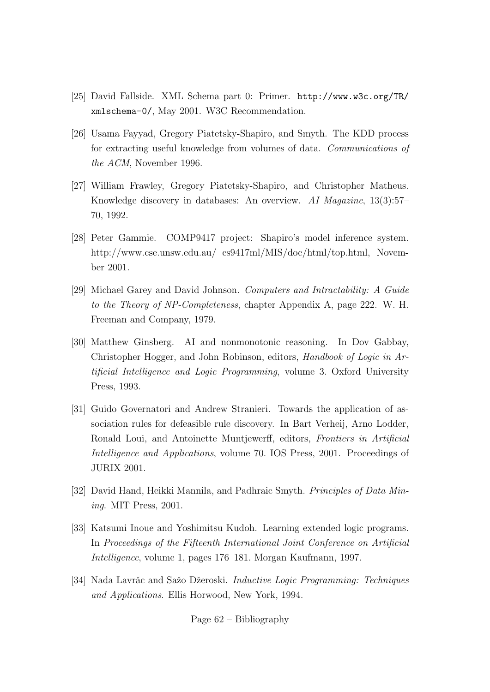- [25] David Fallside. XML Schema part 0: Primer. http://www.w3c.org/TR/ xmlschema-0/, May 2001. W3C Recommendation.
- [26] Usama Fayyad, Gregory Piatetsky-Shapiro, and Smyth. The KDD process for extracting useful knowledge from volumes of data. Communications of the ACM, November 1996.
- [27] William Frawley, Gregory Piatetsky-Shapiro, and Christopher Matheus. Knowledge discovery in databases: An overview. AI Magazine, 13(3):57– 70, 1992.
- [28] Peter Gammie. COMP9417 project: Shapiro's model inference system. http://www.cse.unsw.edu.au/ cs9417ml/MIS/doc/html/top.html, November 2001.
- [29] Michael Garey and David Johnson. Computers and Intractability: A Guide to the Theory of NP-Completeness, chapter Appendix A, page 222. W. H. Freeman and Company, 1979.
- [30] Matthew Ginsberg. AI and nonmonotonic reasoning. In Dov Gabbay, Christopher Hogger, and John Robinson, editors, Handbook of Logic in Artificial Intelligence and Logic Programming, volume 3. Oxford University Press, 1993.
- [31] Guido Governatori and Andrew Stranieri. Towards the application of association rules for defeasible rule discovery. In Bart Verheij, Arno Lodder, Ronald Loui, and Antoinette Muntjewerff, editors, Frontiers in Artificial Intelligence and Applications, volume 70. IOS Press, 2001. Proceedings of JURIX 2001.
- [32] David Hand, Heikki Mannila, and Padhraic Smyth, *Principles of Data Min*ing. MIT Press, 2001.
- [33] Katsumi Inoue and Yoshimitsu Kudoh. Learning extended logic programs. In Proceedings of the Fifteenth International Joint Conference on Artificial Intelligence, volume 1, pages 176–181. Morgan Kaufmann, 1997.
- [34] Nada Lavrǎc and Sažo Džeroski. *Inductive Logic Programming: Techniques* and Applications. Ellis Horwood, New York, 1994.

Page 62 – Bibliography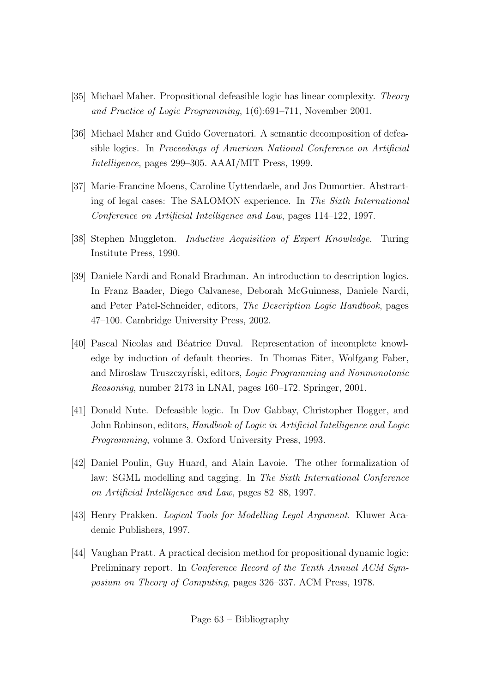- [35] Michael Maher. Propositional defeasible logic has linear complexity. Theory and Practice of Logic Programming, 1(6):691–711, November 2001.
- [36] Michael Maher and Guido Governatori. A semantic decomposition of defeasible logics. In Proceedings of American National Conference on Artificial Intelligence, pages 299–305. AAAI/MIT Press, 1999.
- [37] Marie-Francine Moens, Caroline Uyttendaele, and Jos Dumortier. Abstracting of legal cases: The SALOMON experience. In The Sixth International Conference on Artificial Intelligence and Law, pages 114–122, 1997.
- [38] Stephen Muggleton. *Inductive Acquisition of Expert Knowledge*. Turing Institute Press, 1990.
- [39] Daniele Nardi and Ronald Brachman. An introduction to description logics. In Franz Baader, Diego Calvanese, Deborah McGuinness, Daniele Nardi, and Peter Patel-Schneider, editors, The Description Logic Handbook, pages 47–100. Cambridge University Press, 2002.
- [40] Pascal Nicolas and B´eatrice Duval. Representation of incomplete knowledge by induction of default theories. In Thomas Eiter, Wolfgang Faber, and Miroslaw Truszczyriski, editors, Logic Programming and Nonmonotonic Reasoning, number 2173 in LNAI, pages 160–172. Springer, 2001.
- [41] Donald Nute. Defeasible logic. In Dov Gabbay, Christopher Hogger, and John Robinson, editors, Handbook of Logic in Artificial Intelligence and Logic Programming, volume 3. Oxford University Press, 1993.
- [42] Daniel Poulin, Guy Huard, and Alain Lavoie. The other formalization of law: SGML modelling and tagging. In The Sixth International Conference on Artificial Intelligence and Law, pages 82–88, 1997.
- [43] Henry Prakken. Logical Tools for Modelling Legal Argument. Kluwer Academic Publishers, 1997.
- [44] Vaughan Pratt. A practical decision method for propositional dynamic logic: Preliminary report. In Conference Record of the Tenth Annual ACM Symposium on Theory of Computing, pages 326–337. ACM Press, 1978.

Page 63 – Bibliography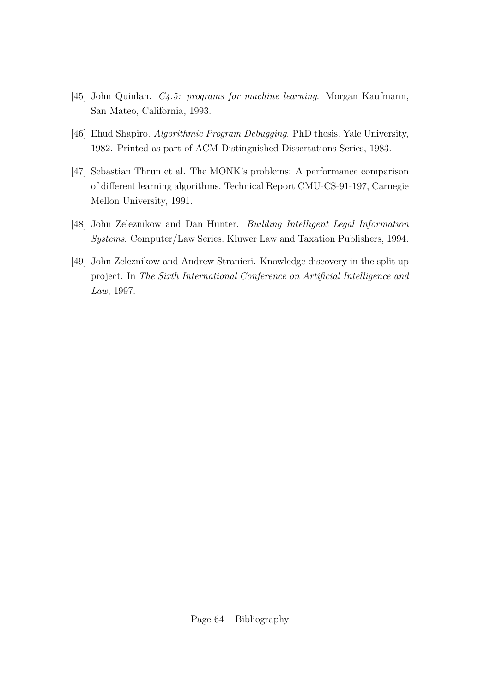- [45] John Quinlan. *C4.5: programs for machine learning*. Morgan Kaufmann, San Mateo, California, 1993.
- [46] Ehud Shapiro. Algorithmic Program Debugging. PhD thesis, Yale University, 1982. Printed as part of ACM Distinguished Dissertations Series, 1983.
- [47] Sebastian Thrun et al. The MONK's problems: A performance comparison of different learning algorithms. Technical Report CMU-CS-91-197, Carnegie Mellon University, 1991.
- [48] John Zeleznikow and Dan Hunter. Building Intelligent Legal Information Systems. Computer/Law Series. Kluwer Law and Taxation Publishers, 1994.
- [49] John Zeleznikow and Andrew Stranieri. Knowledge discovery in the split up project. In The Sixth International Conference on Artificial Intelligence and Law, 1997.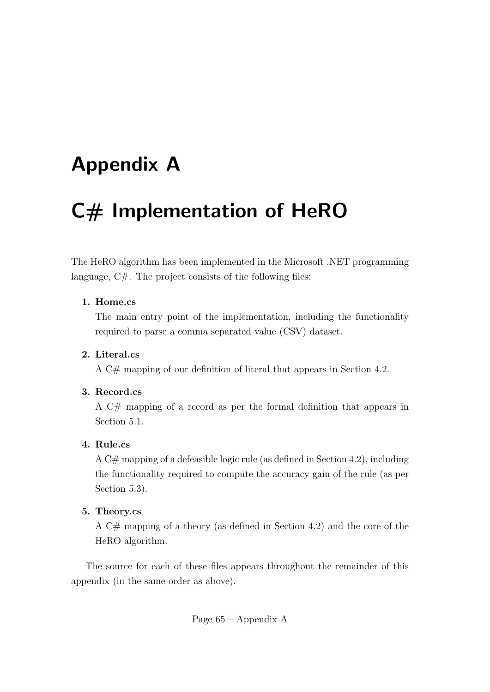## Appendix A

# C# Implementation of HeRO

The HeRO algorithm has been implemented in the Microsoft .NET programming language, C#. The project consists of the following files:

#### 1. Home.cs

The main entry point of the implementation, including the functionality required to parse a comma separated value (CSV) dataset.

#### 2. Literal.cs

A C# mapping of our definition of literal that appears in Section 4.2.

#### 3. Record.cs

A C# mapping of a record as per the formal definition that appears in Section 5.1.

#### 4. Rule.cs

A C# mapping of a defeasible logic rule (as defined in Section 4.2), including the functionality required to compute the accuracy gain of the rule (as per Section 5.3).

#### 5. Theory.cs

A C# mapping of a theory (as defined in Section 4.2) and the core of the HeRO algorithm.

The source for each of these files appears throughout the remainder of this appendix (in the same order as above).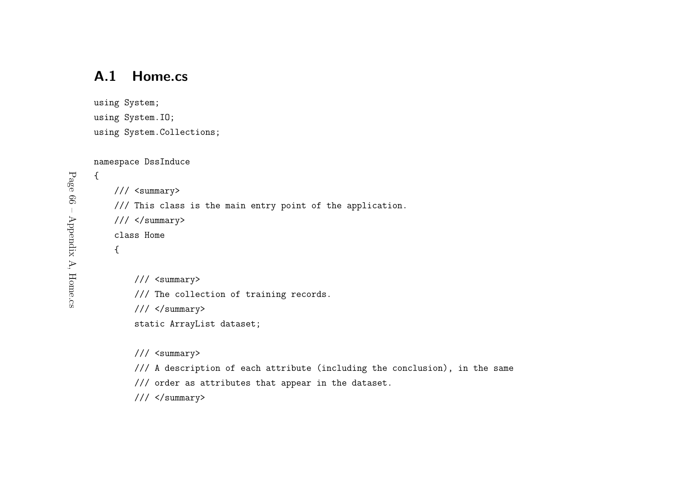## A.1 Home.cs

```
using System;
using System.IO;
using System.Collections;
```
namespace DssInduce

```
{/// <summary>
    /// This class is the main entry point of the application.
   /// </summary>
    class Home
    {/// <summary>
```
/// The collection of training records.

/// </summary>

static ArrayList dataset;

/// <summary>

/// <sup>A</sup> description of each attribute (including the conclusion), in the same

/// order as attributes that appear in the dataset.

/// </summary>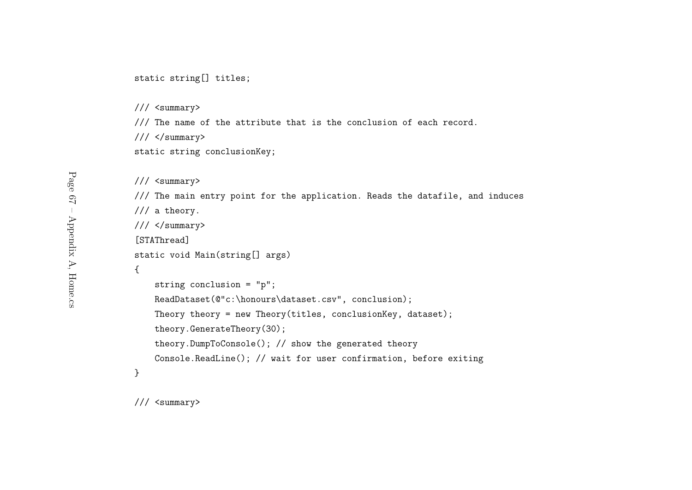#### static string[] titles;

/// <summary>

/// The name of the attribute that is the conclusion of each record.

/// </summary>

static string conclusionKey;

/// <summary> /// The main entry point for the application. Reads the datafile, and induces /// <sup>a</sup> theory.  $///$  </summary> [STAThread]static void Main(string[] args) {string conclusion <sup>=</sup> "p"; ReadDataset(@"c:\honours\dataset.csv", conclusion); Theory theory <sup>=</sup> new Theory(titles, conclusionKey, dataset); theory.GenerateTheory(30);theory.DumpToConsole(); // show the generated theory Console.ReadLine(); // wait for user confirmation, before exiting }

/// <summary>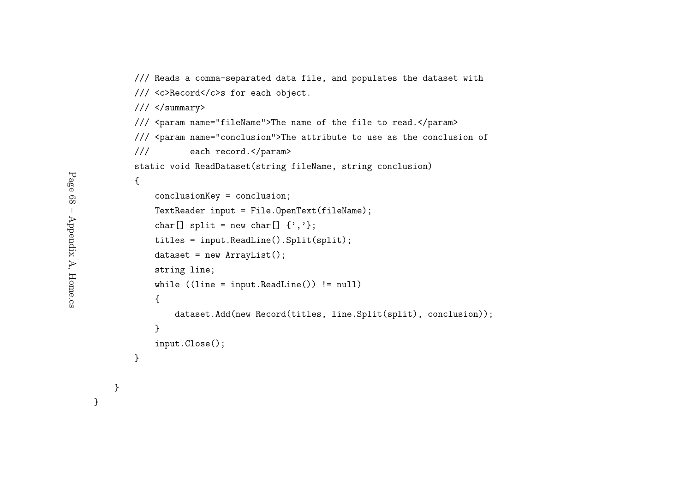```
/// Reads a comma-separated data file, and populates the dataset with
/// <c>Record</c>s for each object.
/// </summary>
/// <param name="fileName">The name of the file to read.</param>
/// <param name="conclusion">The attribute to use as the conclusion of
/// each record.</param>
static void ReadDataset(string fileName, string conclusion)
{conclusionKey = conclusion;
    TextReader input = File.OpenText(fileName);
    char[] split = new char[] \{','\};
    titles = input.ReadLine().Split(split);
    dataset = new ArrayList();
    string line;
    while ((line = input.ReadLine()) != null)
    {dataset.Add(new Record(titles, line.Split(split), conclusion));
    }input.Close();}
```

```
Page 68 – Appendix A, Home.cs
      Page 68 – Appendix A, Home.cs
```
}

}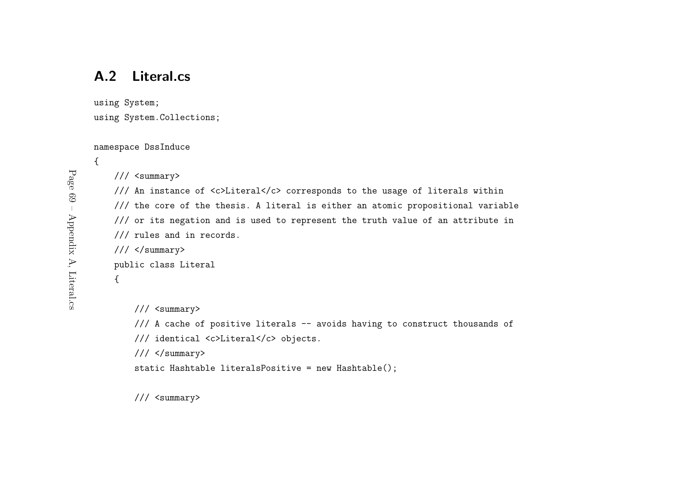## A.2 Literal.cs

using System;

using System.Collections;

namespace DssInduce

{

#### /// <summary>

/// An instance of <c>Literal</c> corresponds to the usage of literals within /// the core of the thesis. <sup>A</sup> literal is either an atomic propositional variable /// or its negation and is used to represen<sup>t</sup> the truth value of an attribute in /// rules and in records. /// </summary> public class Literal {/// <summary> /// <sup>A</sup> cache of positive literals -- avoids having to construct thousands of /// identical <c>Literal</c> objects.

 $///$  </summary>

```
static Hashtable literalsPositive = new Hashtable();
```
/// <summary>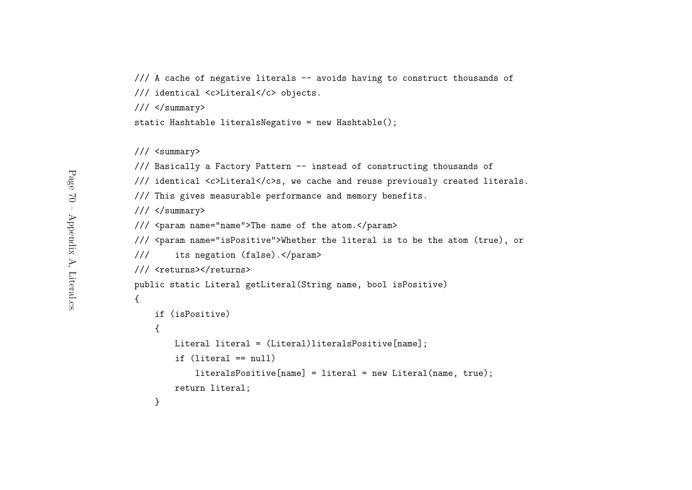- /// <sup>A</sup> cache of negative literals -- avoids having to construct thousands of
- /// identical <c>Literal</c> objects.
- /// </summary>

```
static Hashtable literalsNegative = new Hashtable();
```

```
/// Basically a Factory Pattern -- instead of constructing thousands of
```
/// identical <c>Literal</c>s, we cache and reuse previously created literals.

/// This <sup>g</sup>ives measurable performance and memory benefits.

 $///$  </summary>

/// <param name="name">The name of the atom.</param>

```
/// <param name="isPositive">Whether the literal is to be the atom (true), or
```

```
/// its negation (false).</param>
```

```
/// <returns></returns>
```
public static Literal getLiteral(String name, bool isPositive)

```
if (isPositive)
```

```
Literal literal = (Literal)literalsPositive[name];
```

```
if (literal == null)
```
 $literalsPositive[name] = literal = new Literal(name, true);$ return literal;

}

{

{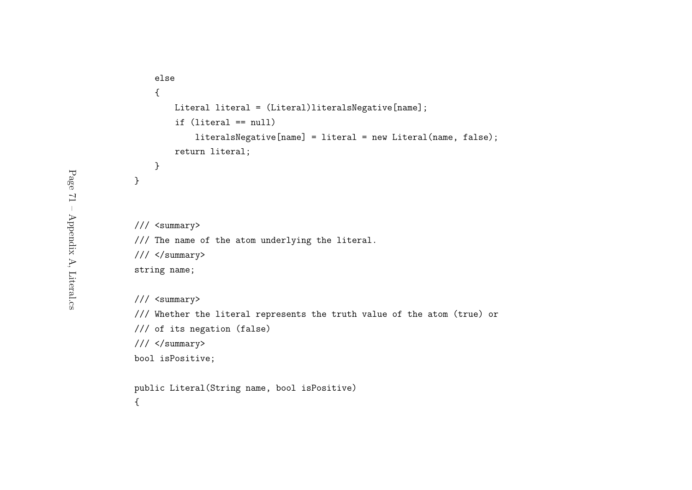```
else{Literal literal = (Literal)literalsNegative[name];
    if (literal == null)
       literalsNegative[name] = literal = new Literal(name, false);
   return literal;
}
```
}

#### /// <summary>

/// The name of the atom underlying the literal.

 $///$  </summary>

string name;

/// <summary>

/// Whether the literal represents the truth value of the atom (true) or

```
/// of its negation (false)
```

```
/// </summary>
```

```
bool isPositive;
```
public Literal(String name, bool isPositive)

{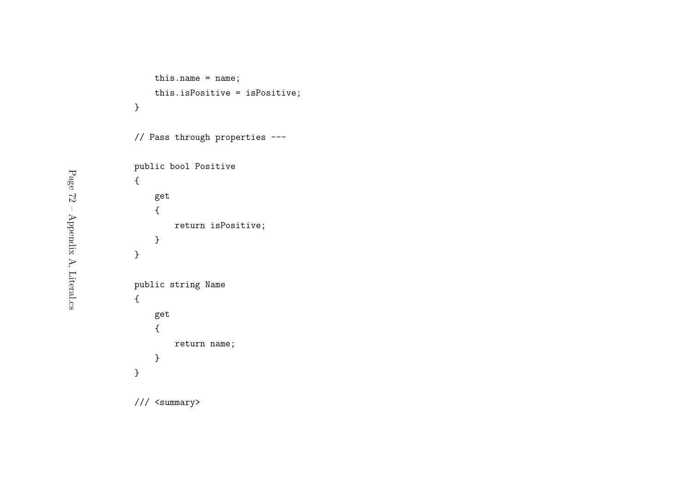```
this.name = name;
   this.isPositive = isPositive;
}
```
// Pass through properties ---

```
public bool Positive
{get{return isPositive;
   }}public string Name
{get{return name;
   }}
```
/// <summary>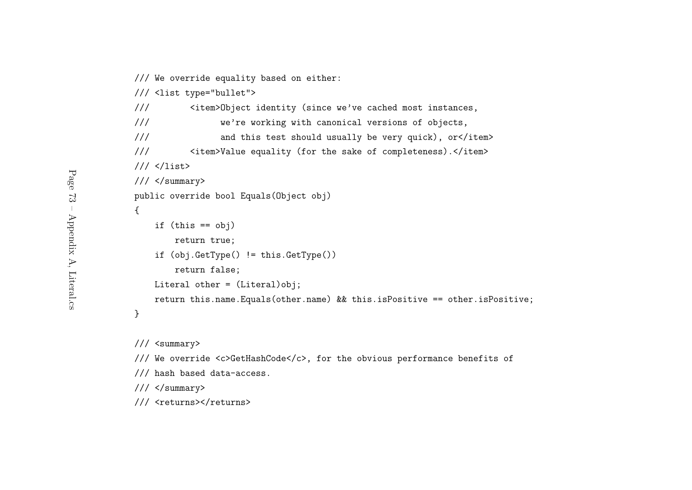/// We override equality based on either:

/// <list type="bullet">

```
/// <item>Object identity (since we've cached most instances,
```
/// we're working with canonical versions of objects,

/// and this test should usually be very quick), or</item>

```
/// <item>Value equality (for the sake of completeness).</item>
```

```
/// </list>
```

```
/// </summary>
```
public override bool Equals(Object obj)

```
{if (this == obj)return true;
   if (obj.GetType() != this.GetType())
       return false;
   Literal other = (Literal)obj;
   return this.name.Equals(other.name) && this.isPositive == other.isPositive;
```
}

/// <summary>

```
/// We override <c>GetHashCode</c>, for the obvious performance benefits of
```
/// hash based data-access.

 $///$  </summary>

/// <returns></returns>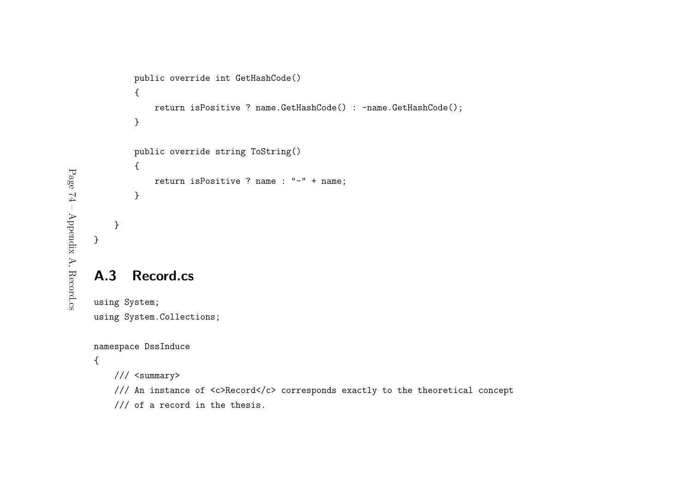```
public override int GetHashCode()
   {return isPositive ? name.GetHashCode() : -name.GetHashCode();
   }public override string ToString()
   {return isPositive ? name : "-" + name;
   }}
```
## A.3 Record.cs

using System;

using System.Collections;

```
namespace DssInduce
```
{

/// <summary>

- /// An instance of <c>Record</c> corresponds exactly to the theoretical concept
- /// of <sup>a</sup> record in the thesis.

}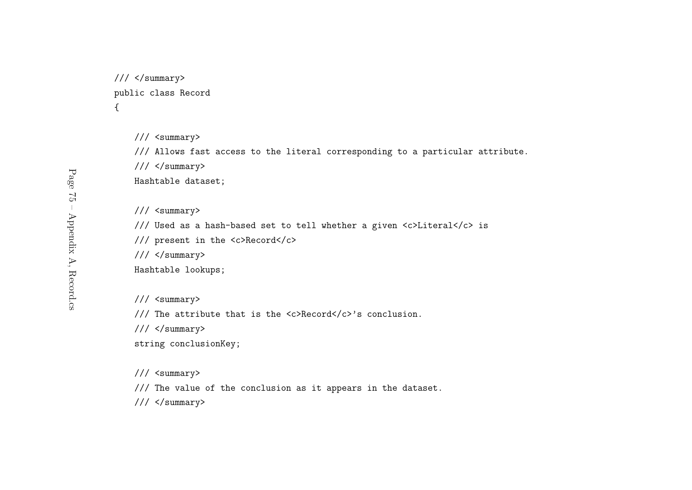```
// / </summary>
public class Record
{
```
/// Allows fast access to the literal corresponding to <sup>a</sup> particular attribute.

/// </summary>

Hashtable dataset;

/// <summary>

/// Used as <sup>a</sup> hash-based set to tell whether <sup>a</sup> <sup>g</sup>iven <c>Literal</c> is

/// presen<sup>t</sup> in the <c>Record</c>

 $///$  </summary>

Hashtable lookups;

/// <summary>

/// The attribute that is the <c>Record</c>'s conclusion.

/// </summary>

string conclusionKey;

/// <summary>

/// The value of the conclusion as it appears in the dataset.

 $///$  </summary>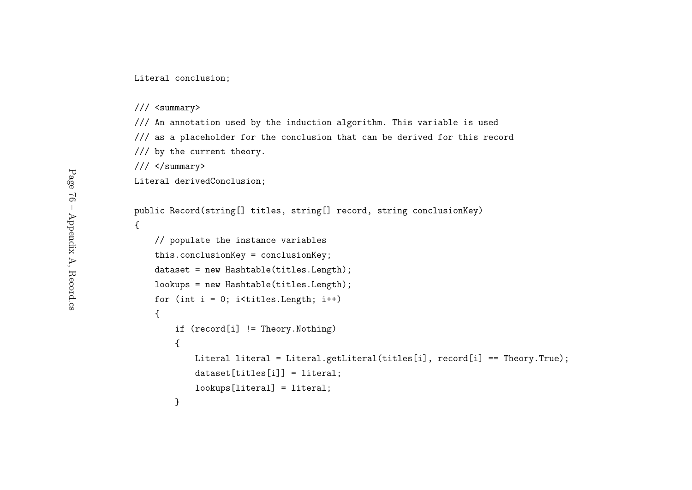Literal conclusion;

```
/// <summary>
```
/// An annotation used by the induction algorithm. This variable is used /// as <sup>a</sup> <sup>p</sup>laceholder for the conclusion that can be derived for this record /// by the current theory.

/// </summary>

}

Literal derivedConclusion;

```
public Record(string[] titles, string[] record, string conclusionKey)
{// populate the instance variables
   this.conclusionKey = conclusionKey;
   dataset = new Hashtable(titles.Length);
   lookups = new Hashtable(titles.Length);
   for (int i = 0; i<titles. Length; i^{++})
    {if (record[i] != Theory.Nothing)
        {Literal literal = Literal.getLiteral(titles[i], record[i] == Theory.True);
           dataset[titles[i]] = literal;
           lookups[literal] = literal;
```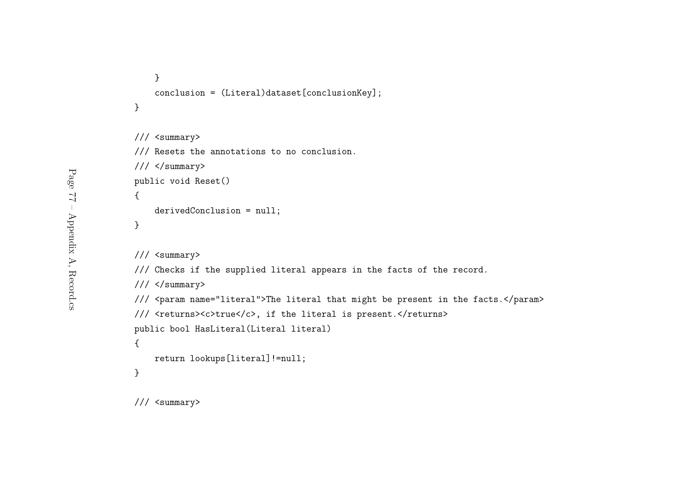```
}conclusion = (Literal)dataset[conclusionKey];
}
```

```
/// <summary>
```
/// Resets the annotations to no conclusion.

/// </summary>

```
public void Reset()
```

```
derivedConclusion = null;
```
}

{

/// <summary>

/// Checks if the supplied literal appears in the facts of the record.

```
/// </summary>
```

```
/// <param name="literal">The literal that might be present in the facts.</param>
```

```
/// <returns><c>true</c>, if the literal is present.</returns>
```
public bool HasLiteral(Literal literal)

```
return lookups[literal]!=null;
```

```
}
```
{

/// <summary>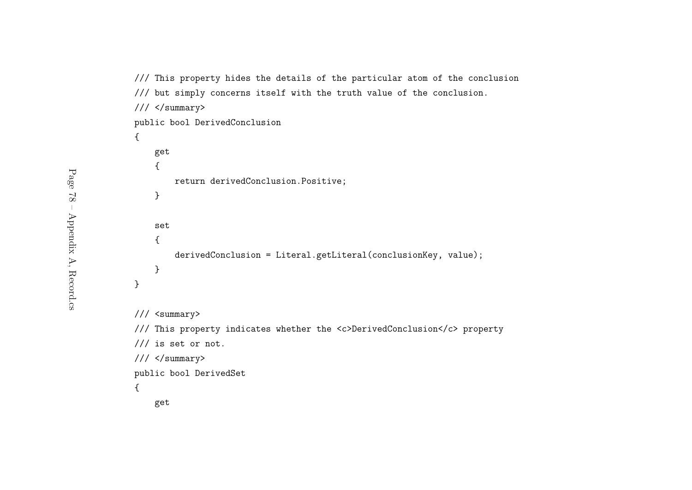```
/// This property hides the details of the particular atom of the conclusion
/// but simply concerns itself with the truth value of the conclusion.
/// </summary>
public bool DerivedConclusion
{get{return derivedConclusion.Positive;
    }set{derivedConclusion = Literal.getLiteral(conclusionKey, value);
    }}/// <summary>
/// This property indicates whether the <c>DerivedConclusion</c> property
/// is set or not.
/// </summary>
public bool DerivedSet
{get
```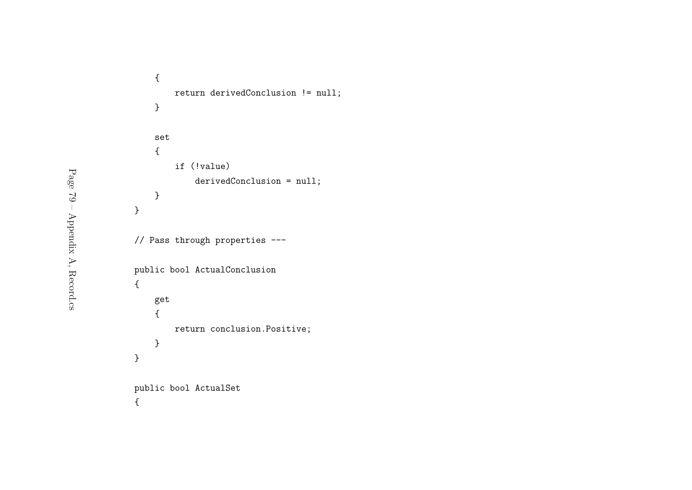```
{return derivedConclusion != null;
   }set{if (!value)
           derivedConclusion = null;
   }}// Pass through properties ---
public bool ActualConclusion
{get{return conclusion.Positive;
   }}public bool ActualSet
{
```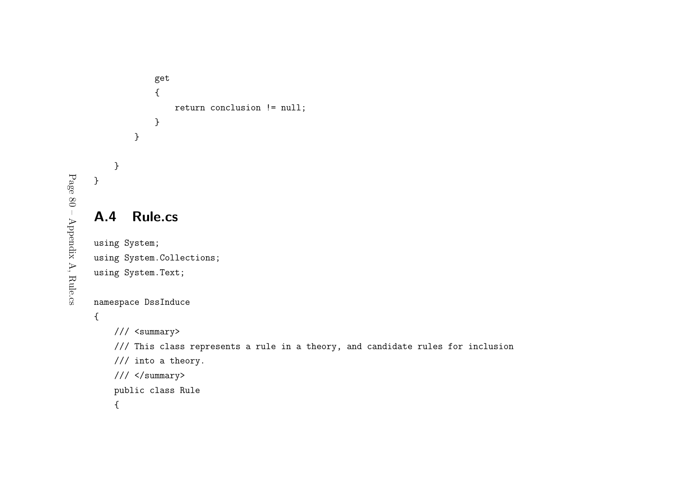# get{return conclusion != null; }}A.4 Rule.cs using System; using System.Collections; using System.Text;

```
namespace DssInduce
```
{

```
/// <summary>
```
/// This class represents <sup>a</sup> rule in <sup>a</sup> theory, and candidate rules for inclusion

```
/// into a theory.
```

```
/// </summary>
```
public class Rule

{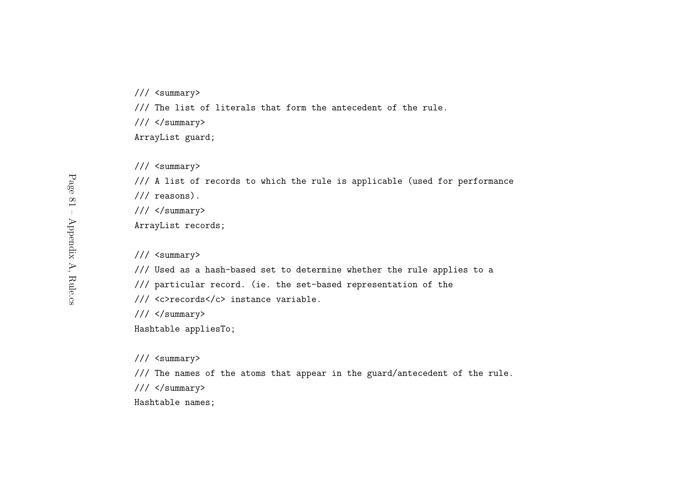/// The list of literals that form the antecedent of the rule.

/// </summary>

ArrayList guard;

/// <summary>

/// <sup>A</sup> list of records to which the rule is applicable (used for performance

/// reasons).

 $///$  </summary>

ArrayList records;

/// <summary>

/// Used as <sup>a</sup> hash-based set to determine whether the rule applies to <sup>a</sup>

/// particular record. (ie. the set-based representation of the

/// <c>records</c> instance variable.

/// </summary>

Hashtable appliesTo;

/// <summary>

/// The names of the atoms that appear in the guard/antecedent of the rule.

 $///$  </summary>

Hashtable names;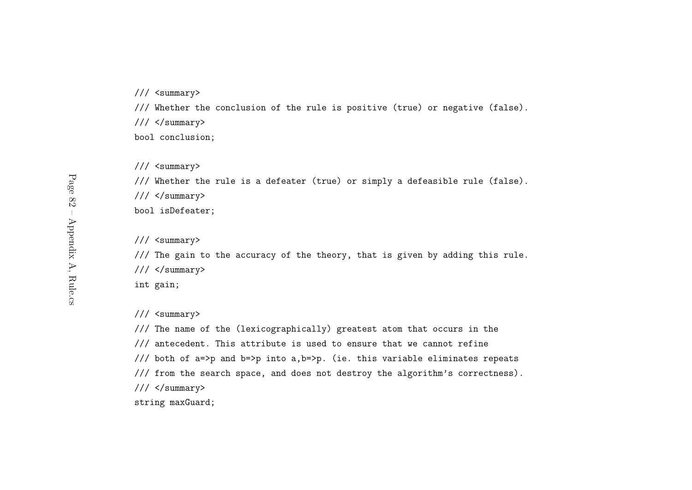/// Whether the conclusion of the rule is positive (true) or negative (false).

 $// / <$ /summary>

bool conclusion;

/// <summary>

/// Whether the rule is <sup>a</sup> defeater (true) or simply <sup>a</sup> defeasible rule (false).

 $///$  </summary>

bool isDefeater;

/// <summary>

/// The gain to the accuracy of the theory, that is <sup>g</sup>iven by adding this rule.

 $// / <$ /summary>

int gain;

/// <summary>

/// The name of the (lexicographically) greatest atom that occurs in the /// antecedent. This attribute is used to ensure that we cannot refine /// both of a=>p and b=>p into a,b=>p. (ie. this variable eliminates repeats /// from the search space, and does not destroy the algorithm's correctness).  $///$  </summary> string maxGuard;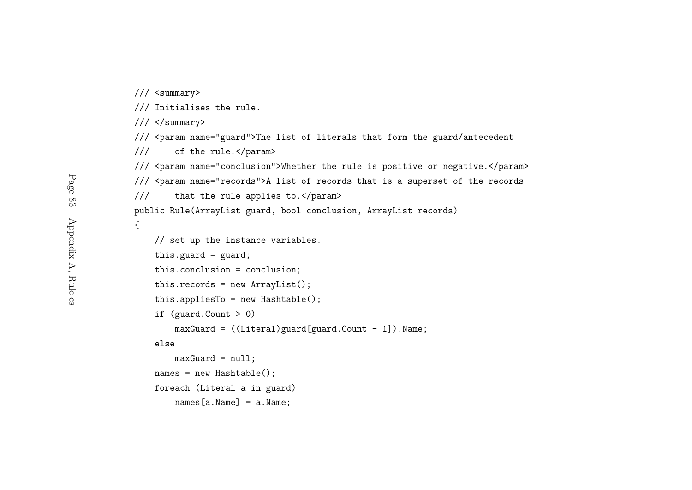/// Initialises the rule.

/// </summary>

/// <param name="guard">The list of literals that form the guard/antecedent

/// of the rule.</param>

/// <param name="conclusion">Whether the rule is positive or negative.</param>

/// <param name="records">A list of records that is <sup>a</sup> superse<sup>t</sup> of the records

/// that the rule applies to.</param>

public Rule(ArrayList guard, bool conclusion, ArrayList records)

{

```
// set up the instance variables.
this.guard = \text{guard};
this.conclusion = conclusion;
this.records = new ArrayList();
this.appliesTo = new Hashtable();
if (guard.Count > 0)
    maxGuard = ((literal) guard[guard.Count - 1]). Name;
elsemaxGuard = null;
```

```
names = new Hashtable();
```
names[a.Name] = a.Name;

foreach (Literal <sup>a</sup> in guard)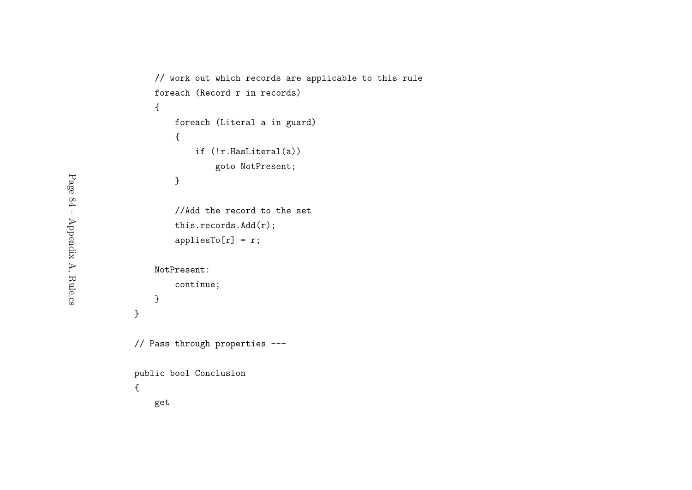```
// work out which records are applicable to this rule
   foreach (Record r in records)
    {foreach (Literal a in guard)
       {if (!r.HasLiteral(a))
               goto NotPresent;
       }//Add the record to the set
       this.records.Add(r);appliesTo[r] = r;NotPresent:continue;}}// Pass through properties ---
public bool Conclusion
{get
```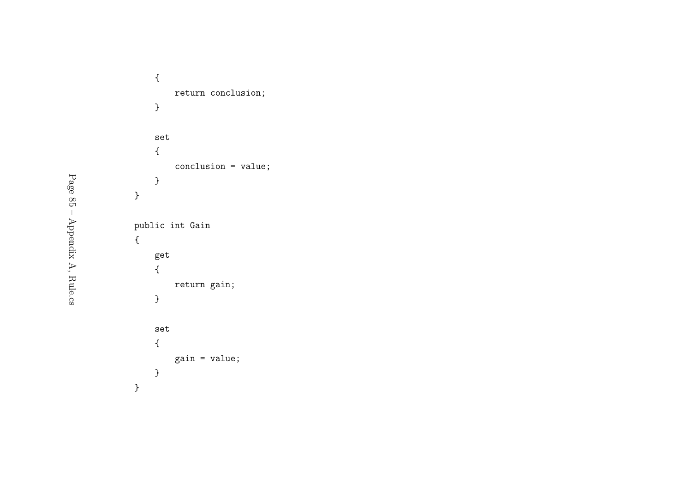```
{return conclusion;
   }set{conclusion = value;
   }}public int Gain
{get{return gain;
   }set{gain = value;
   }}
```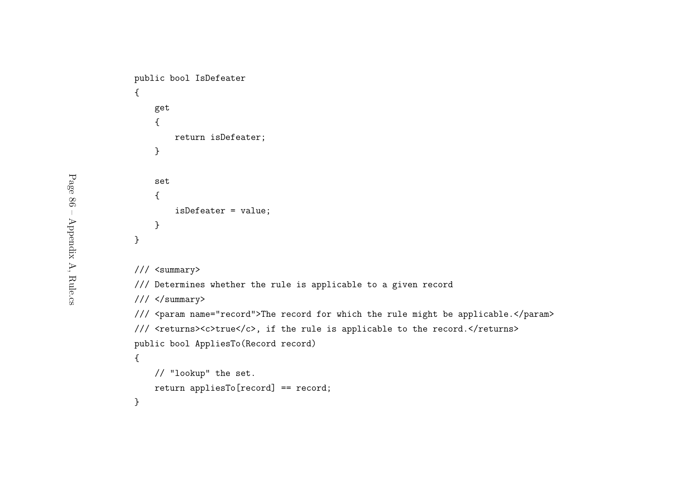```
public bool IsDefeater
{get{return isDefeater;
    }set{isDefeater = value;
    }}/// <summary>
/// Determines whether the rule is applicable to a given record
/// </summary>
/// <param name="record">The record for which the rule might be applicable.</param>
/// <returns><c>true</c>, if the rule is applicable to the record.</returns>
public bool AppliesTo(Record record)
{// "lookup" the set.
   return appliesTo[record] == record;
}
```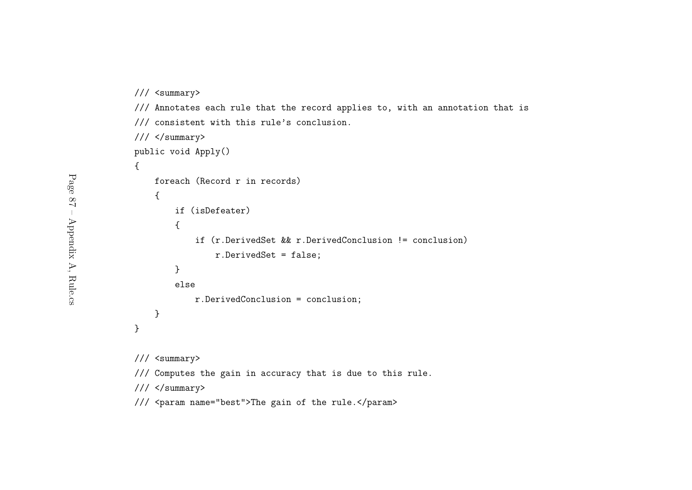```
/// <summary>
/// Annotates each rule that the record applies to, with an annotation that is
/// consistent with this rule's conclusion.
/// </summary>
public void Apply()
{foreach (Record r in records)
    {if (isDefeater)
        {if (r.DerivedSet && r.DerivedConclusion != conclusion)
               r.DerivedSet = false;
       }elser.DerivedConclusion = conclusion;
    }}/// <summary>
/// Computes the gain in accuracy that is due to this rule.
/// </summary>
```
/// <param name="best">The gain of the rule.</param>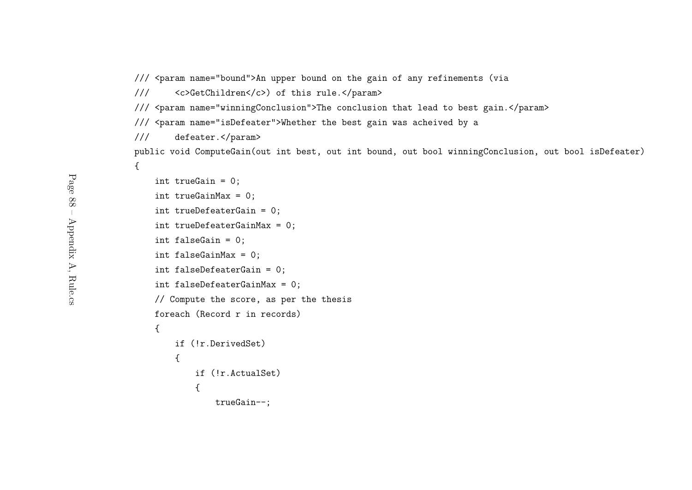- /// <param name="bound">An upper bound on the gain of any refinements (via
- /// <c>GetChildren</c>) of this rule.</param>
- /// <param name="winningConclusion">The conclusion that lead to best gain.</param>
- /// <param name="isDefeater">Whether the best gain was acheived by <sup>a</sup>
- /// defeater.</param>

public void ComputeGain(out int best, out int bound, out bool winningConclusion, out bool isDefeater) {

```
int trueGain = 0;
int trueGainMax = 0;
int trueDefeaterGain = 0;
int trueDefeaterGainMax = 0;
int falseGain = 0;
int falseGainMax = 0;
int falseDefeaterGain = 0;
int falseDefeaterGainMax = 0;
// Compute the score, as per the thesis
foreach (Record r in records)
{if (!r.DerivedSet)
    {if (!r.ActualSet)
        {trueGain--;
```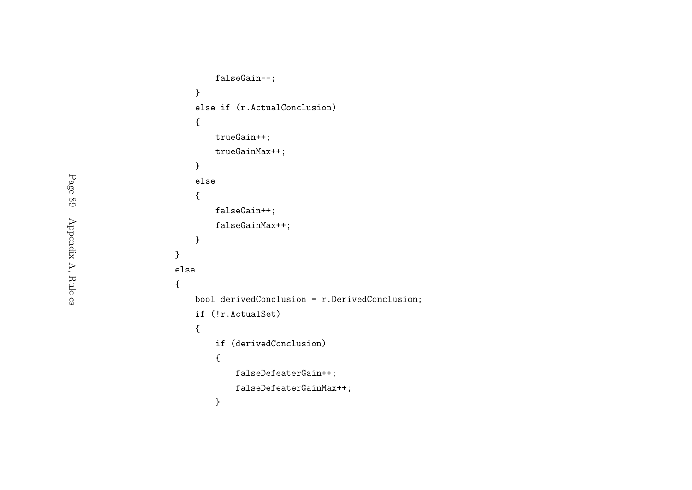```
falseGain--;}
else if (r.ActualConclusion)
   {trueGain++;trueGainMax++;}else{falseGain++;falseGainMax++;}}else{bool derivedConclusion = r.DerivedConclusion;
   if (!r.ActualSet)
   {if (derivedConclusion)
       {falseDefeaterGain++;
falseDefeaterGainMax++;}
```
Page 89 – Appendix A, Rule.cs Page 89 – Appendix A, Rule.cs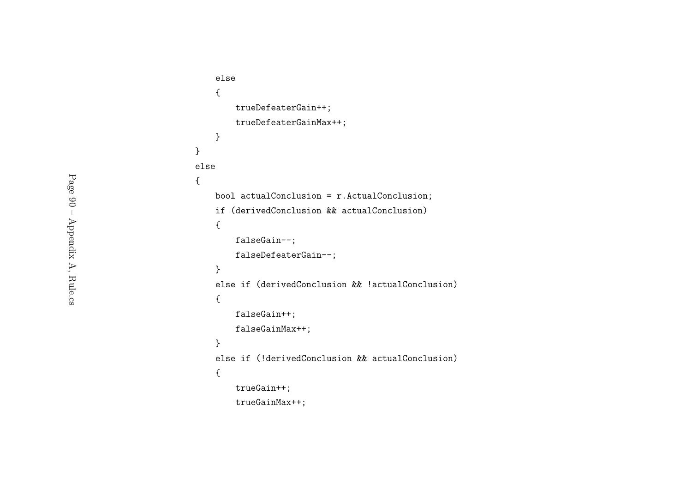```
else{trueDefeaterGain++;trueDefeaterGainMax++;}}else{bool actualConclusion = r.ActualConclusion;
   if (derivedConclusion && actualConclusion)
   {falseGain--;
falseDefeaterGain--;}else if (derivedConclusion && !actualConclusion)
   {falseGain++;falseGainMax++;}else if (!derivedConclusion && actualConclusion)
   {trueGain++;trueGainMax++;
```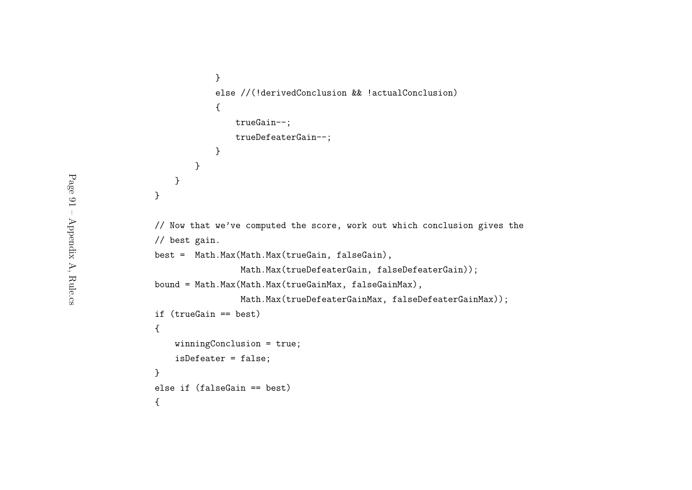```
}else //(!derivedConclusion && !actualConclusion)
           {trueGain--;trueDefeaterGain--;}}}}// Now that we've computed the score, work out which conclusion gives the
// best gain.
best = Math.Max(Math.Max(trueGain, falseGain),
                Math.Max(trueDefeaterGain, falseDefeaterGain));
bound = Math.Max(Math.Max(trueGainMax, falseGainMax),
                Math.Max(trueDefeaterGainMax, falseDefeaterGainMax));
if (trueGain == best)
{winningConclusion = true;
   isDefeater = false;
}else if (falseGain == best)
{
```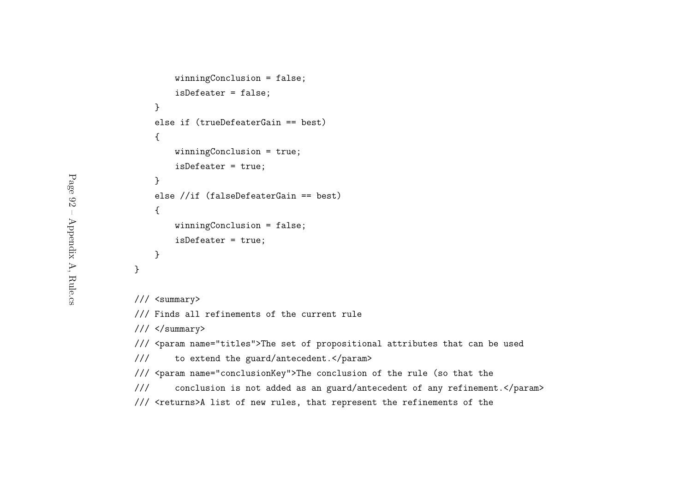```
winningConclusion = false;
        isDefeater = false;
    }else if (trueDefeaterGain == best)
    {winningConclusion = true;
        isDefeater = true;
    }else //if (falseDefeaterGain == best)
    {winningConclusion = false;
       isDefeater = true;
    }}/// <summary>
/// Finds all refinements of the current rule
/// </summary>
/// <param name="titles">The set of propositional attributes that can be used
```
/// to extend the guard/antecedent.</param>

/// <param name="conclusionKey">The conclusion of the rule (so that the

/// conclusion is not added as an guard/antecedent of any refinement.</param>

/// <returns>A list of new rules, that represent the refinements of the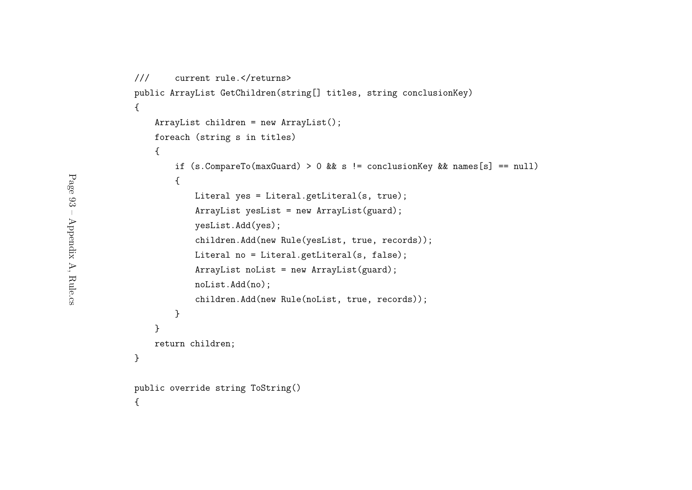```
/// current rule.</returns>
public ArrayList GetChildren(string[] titles, string conclusionKey)
{ArrayList children = new ArrayList();
   foreach (string s in titles)
    {if (s.CompareTo(maxGuard) > 0 && s != conclusionKey && names[s] == null)
       {Literal yes = Literal.getLiteral(s, true);
           ArrayList yesList = new ArrayList(guard);yesList.Add(yes);children.Add(new Rule(yesList, true, records));
           Literal no = Literal.getLiteral(s, false);
           ArrayList noList = new ArrayList(guard);
           noList.Add(no);children.Add(new Rule(noList, true, records));
       }}return children;
}public override string ToString()
{
```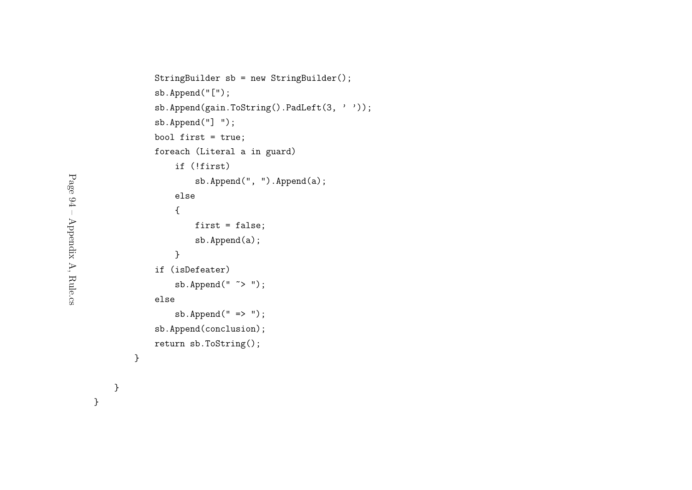```
StringBuilder sb = new StringBuilder();
sb.Append("[");sb.Append(gain.ToString().PadLeft(3, ''));
sb.Append("] ");
bool first = true;
foreach (Literal a in guard)
    if (!first)
        sb.Append(", ").Append(a);
   else{first = false;sb.Append(a);}
if (isDefeater)
    sb.Append(" \tilde{\sim} ");
elsesb. Append(" => ");
sb.Append(conclusion);return sb.ToString();
```
}

}

}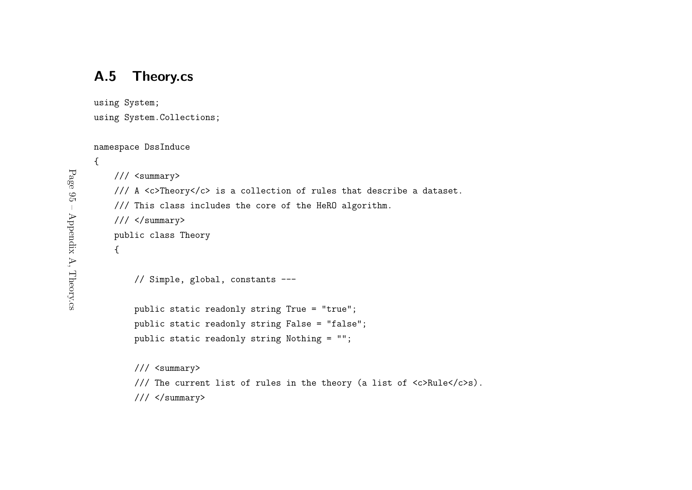### A.5 Theory.cs

using System;

```
using System.Collections;
```

```
namespace DssInduce
```

```
{/// <summary>
    /// A <c>Theory</c> is a collection of rules that describe a dataset.
    /// This class includes the core of the HeRO algorithm.
   /// </summary>
    public class Theory
    {// Simple, global, constants ---
        public static readonly string True = "true";
        public static readonly string False = "false";
        public static readonly string Nothing = "";
        /// <summary>
```
/// The current list of rules in the theory (a list of  $\langle c \rangle$ Rule $\langle c \rangle$ s).

 $///$  </summary>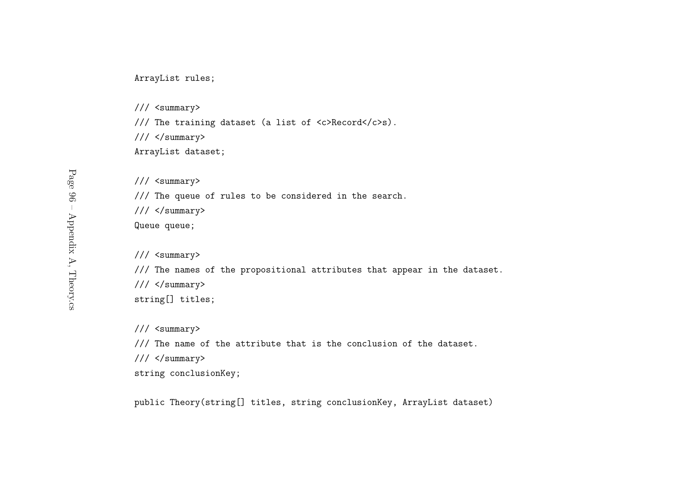ArrayList rules;

/// <summary>

/// The training dataset (a list of <c>Record</c>s).

/// </summary>

ArrayList dataset;

/// <summary>

/// The queue of rules to be considered in the search.

 $///$  </summary>

Queue queue;

/// <summary>

/// The names of the propositional attributes that appear in the dataset.

 $///$  </summary>

string[] titles;

/// <summary>

/// The name of the attribute that is the conclusion of the dataset.

/// </summary>

string conclusionKey;

public Theory(string[] titles, string conclusionKey, ArrayList dataset)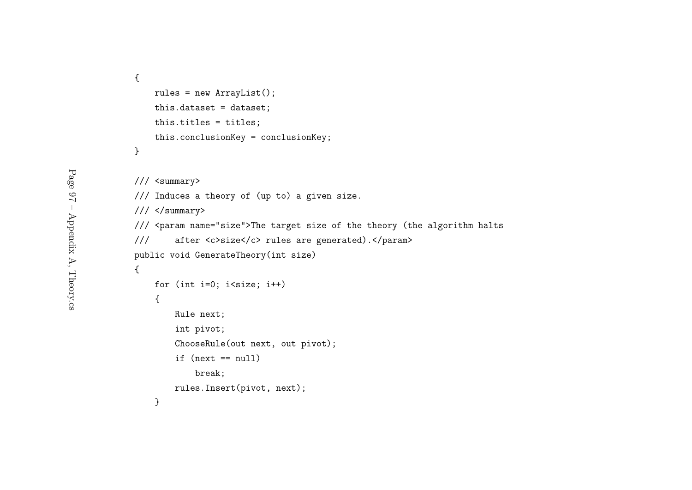```
{rules = new ArrayList();
   this.dataset = dataset;
   this.titles = titles;
   this.conclusionKey = conclusionKey;
}
```
}

```
/// <summary>
/// Induces a theory of (up to) a given size.
/// </summary>
/// <param name="size">The target size of the theory (the algorithm halts
/// after <c>size</c> rules are generated).</param>
public void GenerateTheory(int size)
{for (int i=0; i<size; i++)
   {Rule next;
        int pivot;
       ChooseRule(out next, out pivot);
       if (next == null)
           break;rules.Insert(pivot, next);
```
Page  $97 -$  Appendix A, Theory.cs Page 97 – Appendix A, Theory.cs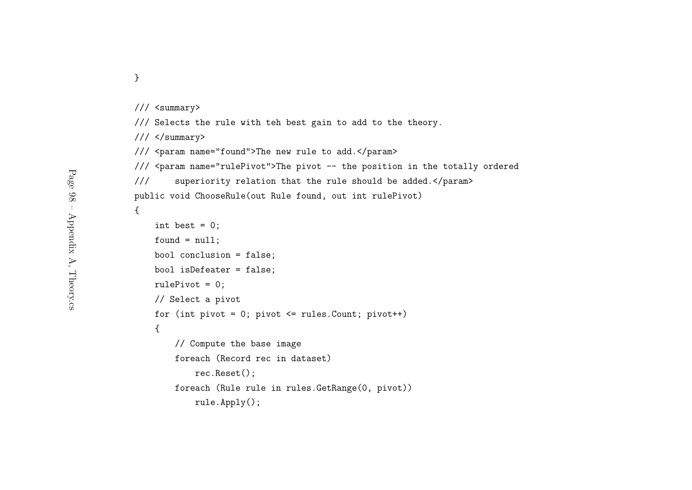}

```
/// <summary>
```

```
/// Selects the rule with teh best gain to add to the theory.
```
/// </summary>

/// <param name="found">The new rule to add.</param>

/// <param name="rulePivot">The <sup>p</sup>ivot -- the position in the totally ordered

```
/// superiority relation that the rule should be added.</param>
```

```
public void ChooseRule(out Rule found, out int rulePivot)
```
{

```
int best = 0:
found = null;bool conclusion = false;
bool isDefeater = false;
rulePivot = 0;
// Select a pivot
for (int pivot = 0; pivot \le rules. Count; pivot++)
{// Compute the base image
   foreach (Record rec in dataset)
       rec.Reset();foreach (Rule rule in rules.GetRange(0, pivot))
       rule.Apply();
```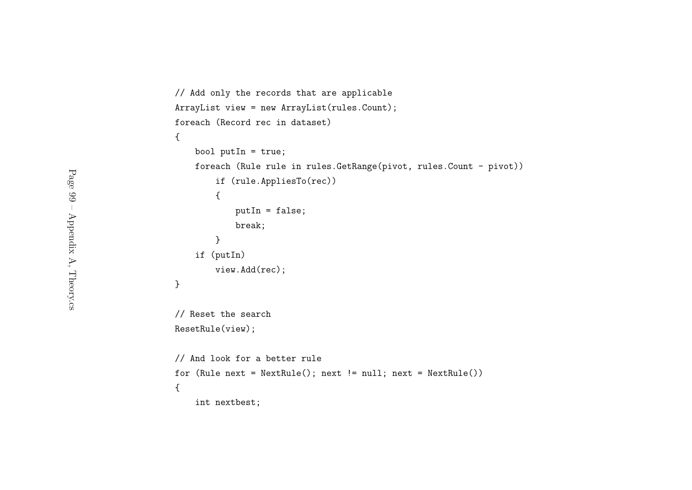```
// Add only the records that are applicable
ArrayList view = new ArrayList(rules.Count);
foreach (Record rec in dataset)
{bool putIn = true;
    foreach (Rule rule in rules.GetRange(pivot, rules.Count - pivot))
        if (rule.AppliesTo(rec))
        {putIn = false;
            break;}if (putIn)
        view.Add(rec);}// Reset the search
ResetRule(view);// And look for a better rule
for (Rule next = NextRule(); next != null; next = NextRule()){int nextbest;
```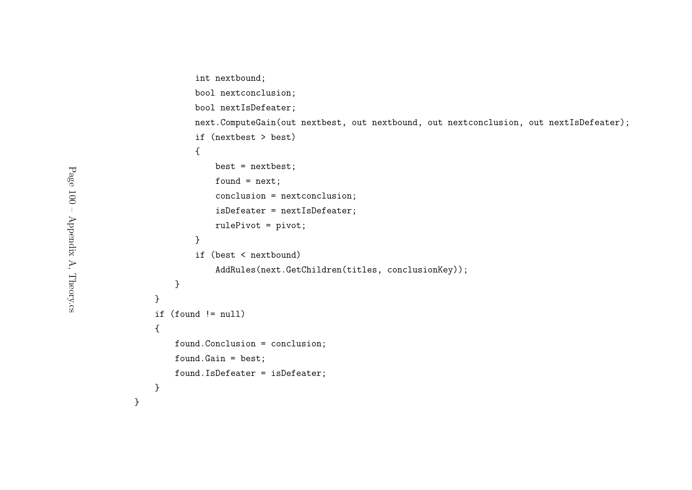```
int nextbound;
       bool nextconclusion;
       bool nextIsDefeater;
       next.ComputeGain(out nextbest, out nextbound, out nextconclusion, out nextIsDefeater);
       if (nextbest > best)
       {best = nextbest;
           found = next;conclusion = nextconclusion;
            isDefeater = nextIsDefeater;
           rulePivot = pivot;
       }if (best < nextbound)
           AddRules(next.GetChildren(titles, conclusionKey));
   }}if (found != null)
{found.Conclusion = conclusion;
   found.Gain = best;
   found.IsDefeater = isDefeater;
}
```
}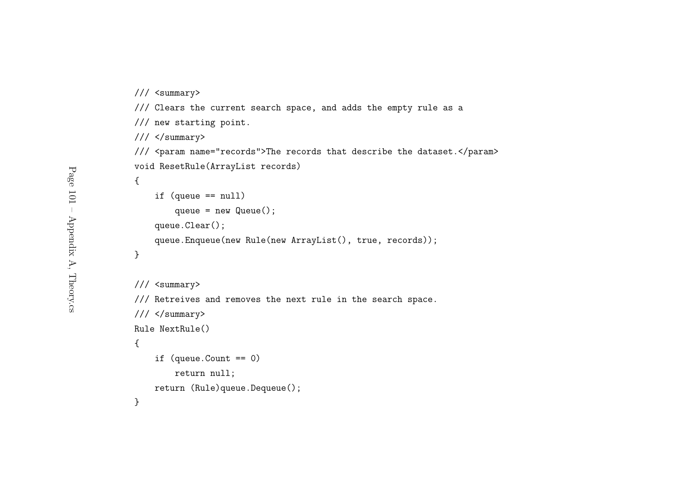/// <summary>

```
/// Clears the current search space, and adds the empty rule as a
/// new starting point.
/// </summary>
/// <param name="records">The records that describe the dataset.</param>
void ResetRule(ArrayList records)
{if (queue == null)
       queue = new Queue();
    queue.Clear();queue.Enqueue(new Rule(new ArrayList(), true, records));
}/// <summary>
/// Retreives and removes the next rule in the search space.
/// </summary>
Rule NextRule()
{if (queue.Count == 0)
```
return null;

return (Rule)queue.Dequeue();

}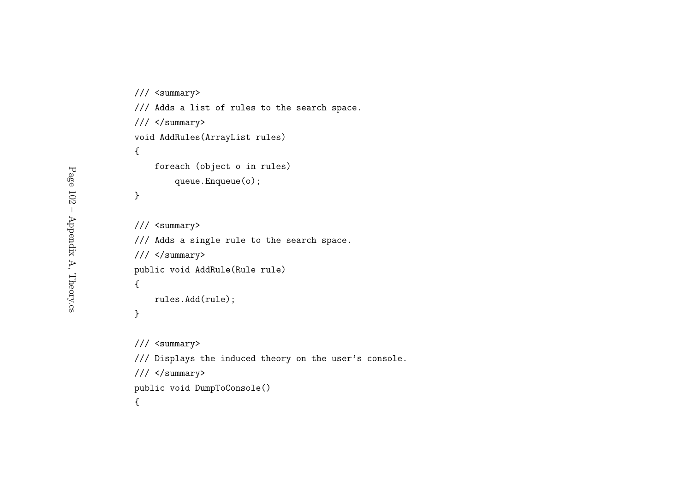```
/// <summary>
/// Adds a list of rules to the search space.
/// </summary>
void AddRules(ArrayList rules)
{foreach (object o in rules)
       queue.Enqueue(o);}/// <summary>
/// Adds a single rule to the search space.
/// </summary>
public void AddRule(Rule rule)
{rules.Add(rule);
```

```
}
```

```
/// <summary>
/// Displays the induced theory on the user's console.
/// </summary>
public void DumpToConsole()
{
```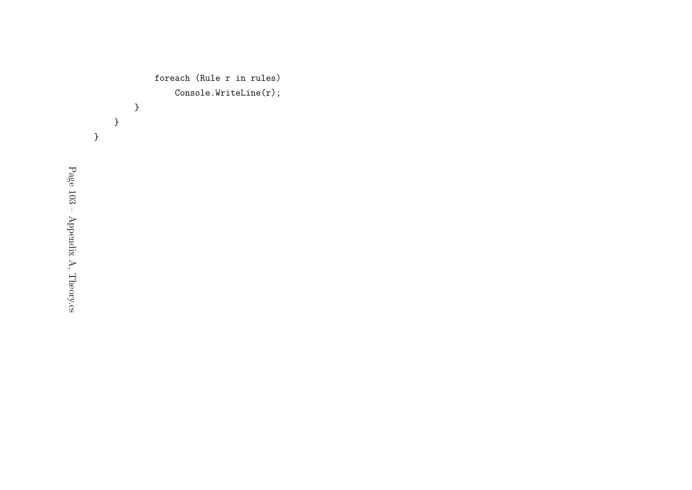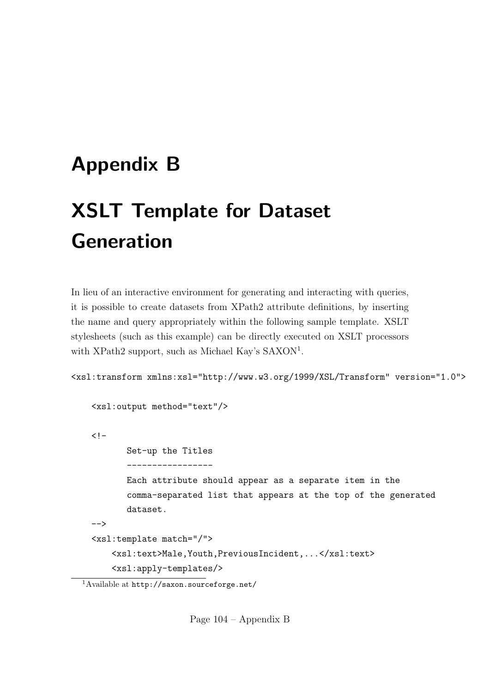## Appendix B

# XSLT Template for Dataset Generation

In lieu of an interactive environment for generating and interacting with queries, it is possible to create datasets from XPath2 attribute definitions, by inserting the name and query appropriately within the following sample template. XSLT stylesheets (such as this example) can be directly executed on XSLT processors with XPath2 support, such as Michael Kay's SAXON<sup>1</sup>.

<xsl:transform xmlns:xsl="http://www.w3.org/1999/XSL/Transform" version="1.0">

```
<xsl:output method="text"/>
\leq! –
       Set-up the Titles
       -----------------
       Each attribute should appear as a separate item in the
       comma-separated list that appears at the top of the generated
       dataset.
-->
<xsl:template match="/">
    <xsl:text>Male,Youth,PreviousIncident,...</xsl:text>
    <xsl:apply-templates/>
```
Page 104 – Appendix B

<sup>1</sup>Available at http://saxon.sourceforge.net/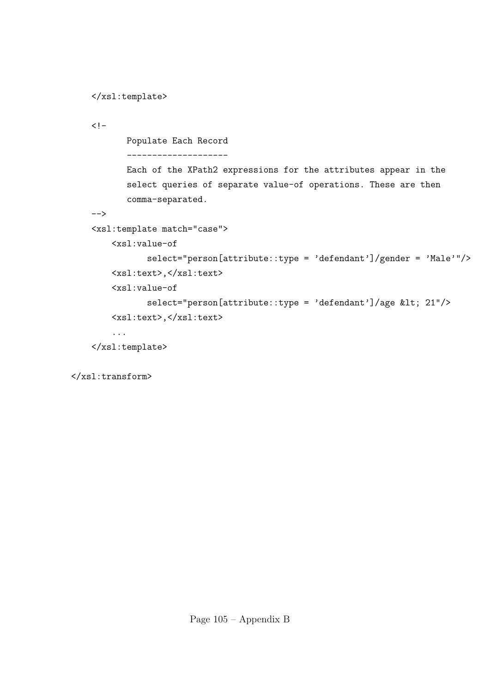```
</xsl:template>
```
 $\langle$ ! -

Populate Each Record

--------------------

Each of the XPath2 expressions for the attributes appear in the select queries of separate value-of operations. These are then comma-separated.

-->

<xsl:template match="case">

<xsl:value-of

```
select="person[attribute::type = 'defendant']/gender = 'Male'"/>
<xsl:text>,</xsl:text>
```
<xsl:value-of

```
select="person[attribute::type = 'defendant']/age < 21"/>
<xsl:text>,</xsl:text>
```
...

```
</xsl:template>
```
</xsl:transform>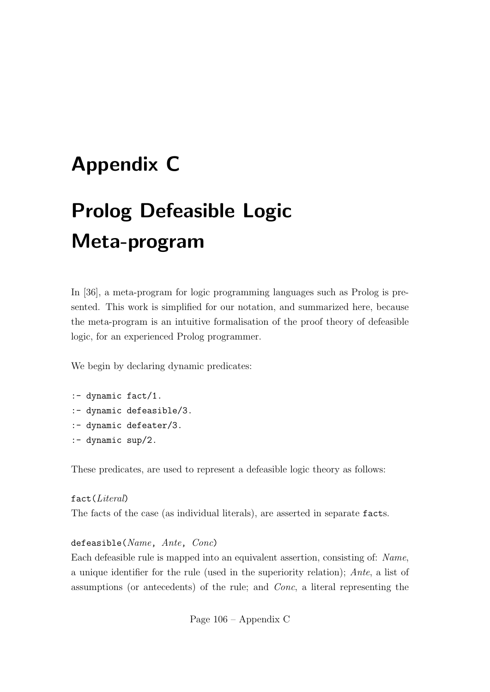### Appendix C

## Prolog Defeasible Logic Meta-program

In [36], a meta-program for logic programming languages such as Prolog is presented. This work is simplified for our notation, and summarized here, because the meta-program is an intuitive formalisation of the proof theory of defeasible logic, for an experienced Prolog programmer.

We begin by declaring dynamic predicates:

- :- dynamic fact/1.
- :- dynamic defeasible/3.
- :- dynamic defeater/3.
- :- dynamic sup/2.

These predicates, are used to represent a defeasible logic theory as follows:

fact(Literal) The facts of the case (as individual literals), are asserted in separate facts.

#### defeasible(Name, Ante, Conc)

Each defeasible rule is mapped into an equivalent assertion, consisting of: Name, a unique identifier for the rule (used in the superiority relation); Ante, a list of assumptions (or antecedents) of the rule; and Conc, a literal representing the

Page 106 – Appendix C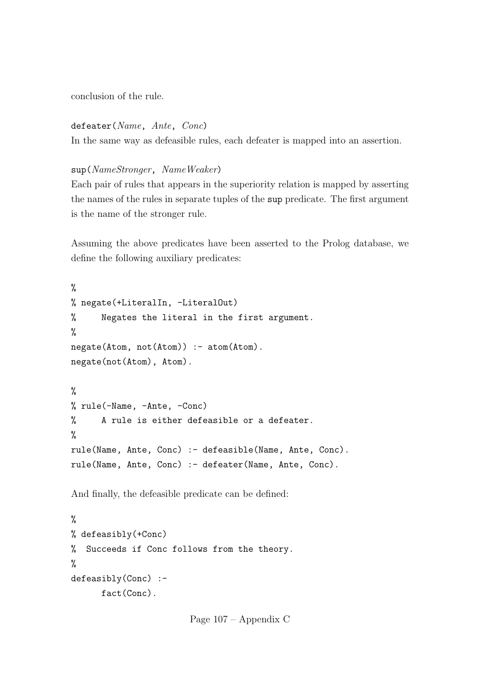conclusion of the rule.

defeater(Name, Ante, Conc)

In the same way as defeasible rules, each defeater is mapped into an assertion.

sup(NameStronger, NameWeaker)

Each pair of rules that appears in the superiority relation is mapped by asserting the names of the rules in separate tuples of the sup predicate. The first argument is the name of the stronger rule.

Assuming the above predicates have been asserted to the Prolog database, we define the following auxiliary predicates:

```
%
% negate(+LiteralIn, -LiteralOut)
% Negates the literal in the first argument.
%
negate(Atom, not(Atom)) :- atom(Atom).
negate(not(Atom), Atom).
\frac{9}{6}% rule(-Name, -Ante, -Conc)
% A rule is either defeasible or a defeater.
%
rule(Name, Ante, Conc) :- defeasible(Name, Ante, Conc).
rule(Name, Ante, Conc) :- defeater(Name, Ante, Conc).
```
And finally, the defeasible predicate can be defined:

```
%
% defeasibly(+Conc)
% Succeeds if Conc follows from the theory.
%
defeasibly(Conc) :-
      fact(Conc).
```
Page 107 – Appendix C